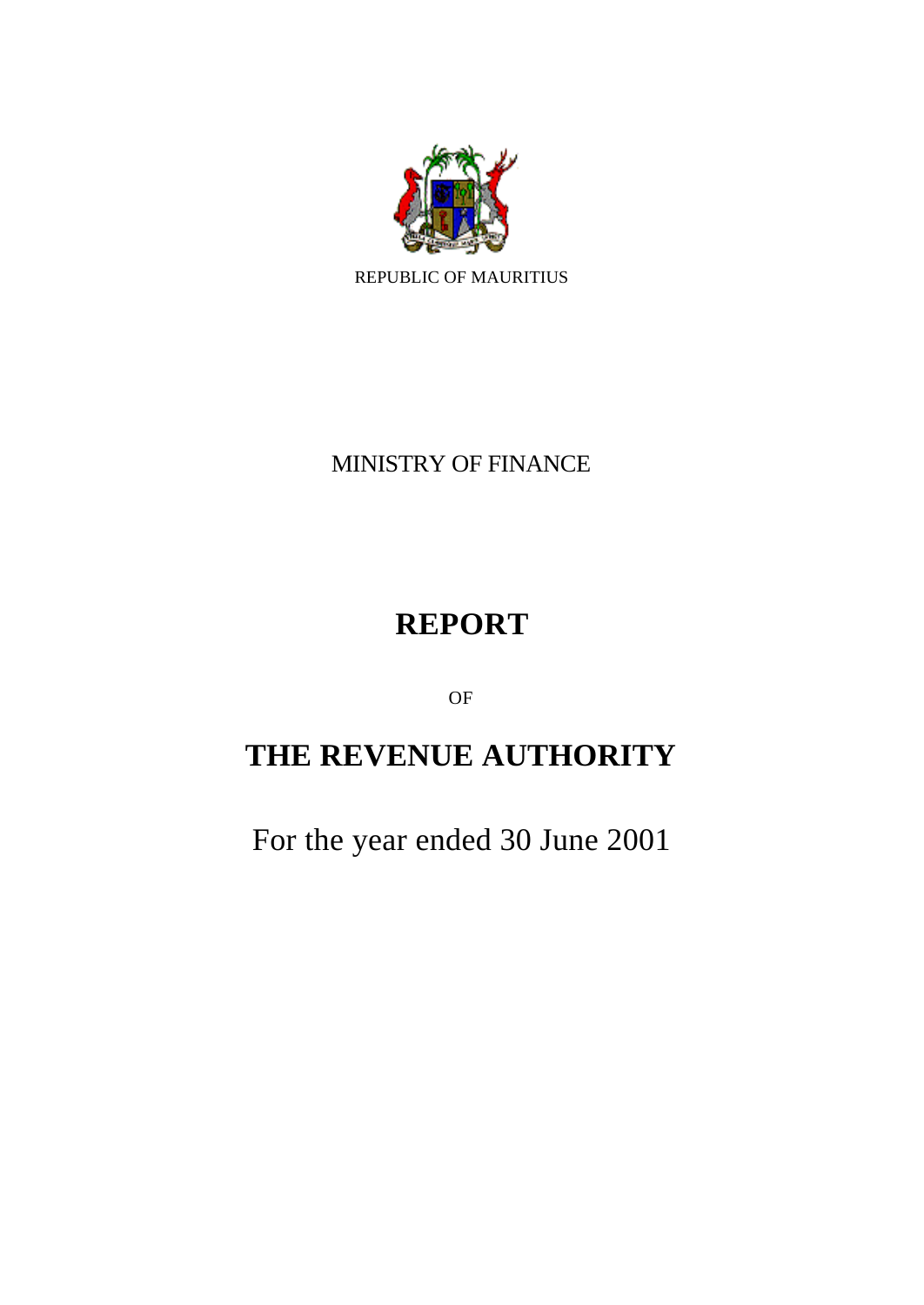

MINISTRY OF FINANCE

# **REPORT**

OF

# **THE REVENUE AUTHORITY**

For the year ended 30 June 2001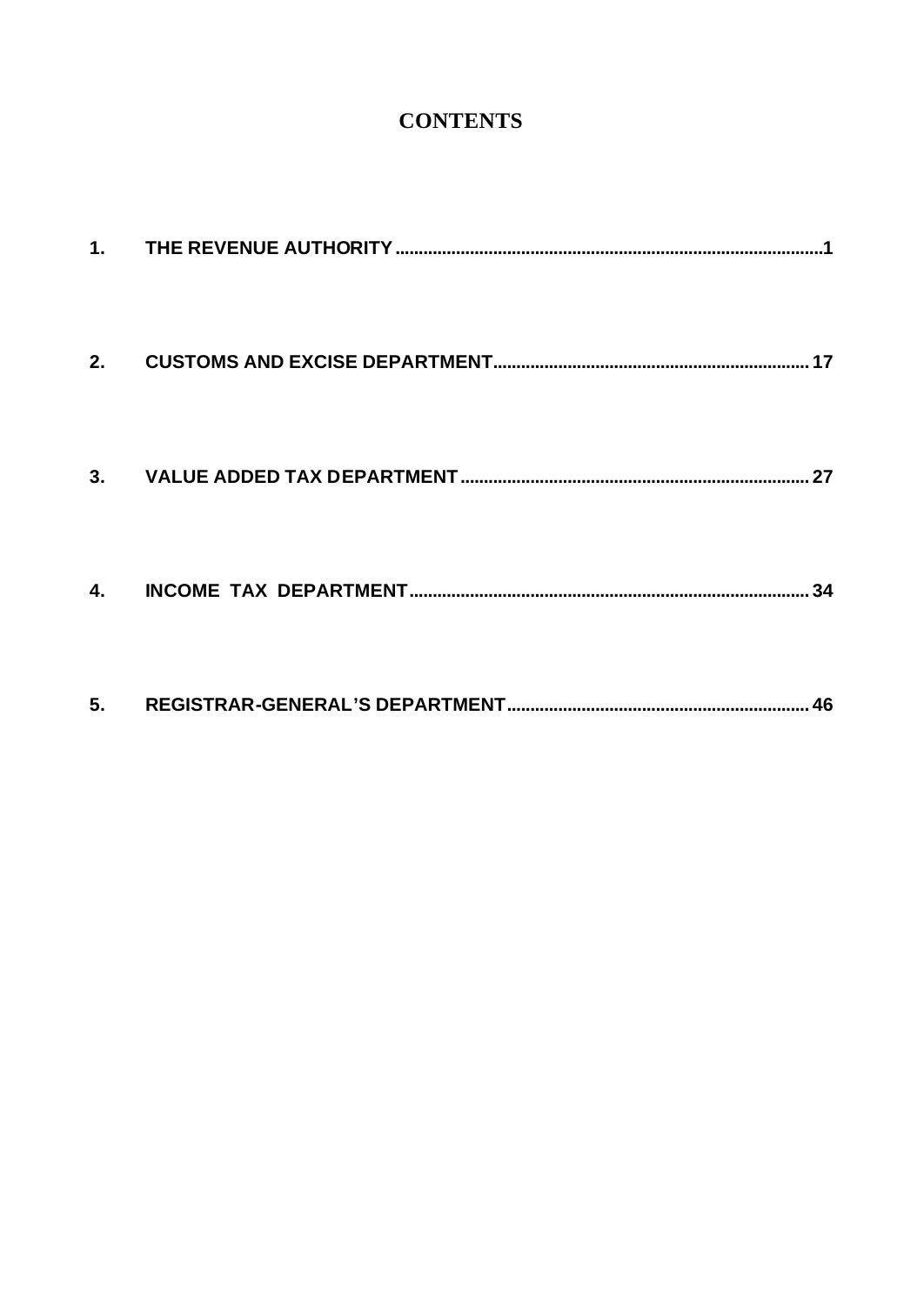# **CONTENTS**

| 2.             |  |
|----------------|--|
| 3.             |  |
| $\mathbf{4}$ . |  |
| 5.             |  |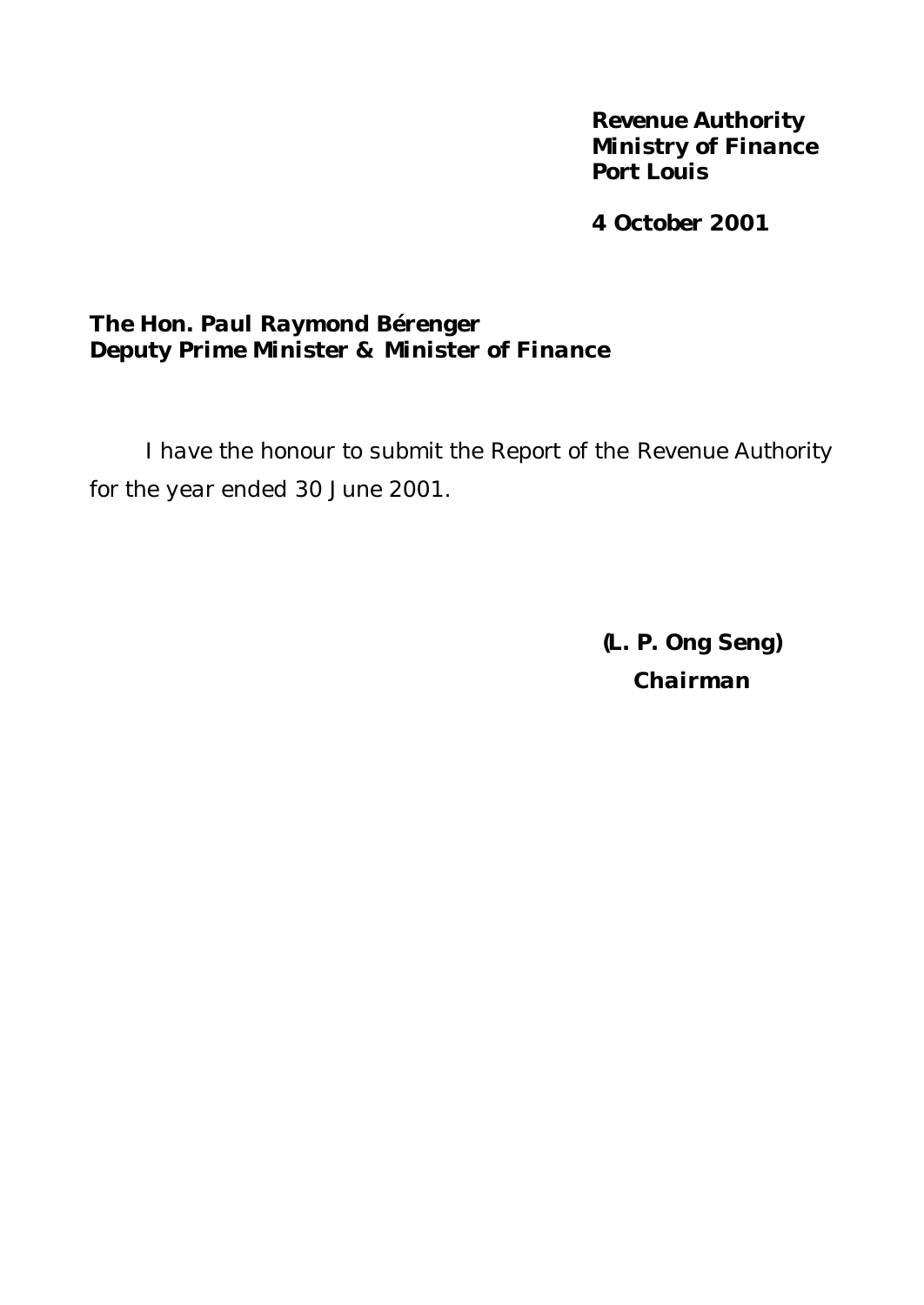*Revenue Authority Ministry of Finance Port Louis*

*4 October 2001*

# *The Hon. Paul Raymond Bérenger Deputy Prime Minister & Minister of Finance*

*I have the honour to submit the Report of the Revenue Authority for the year ended 30 June 2001.*

> *(L. P. Ong Seng) Chairman*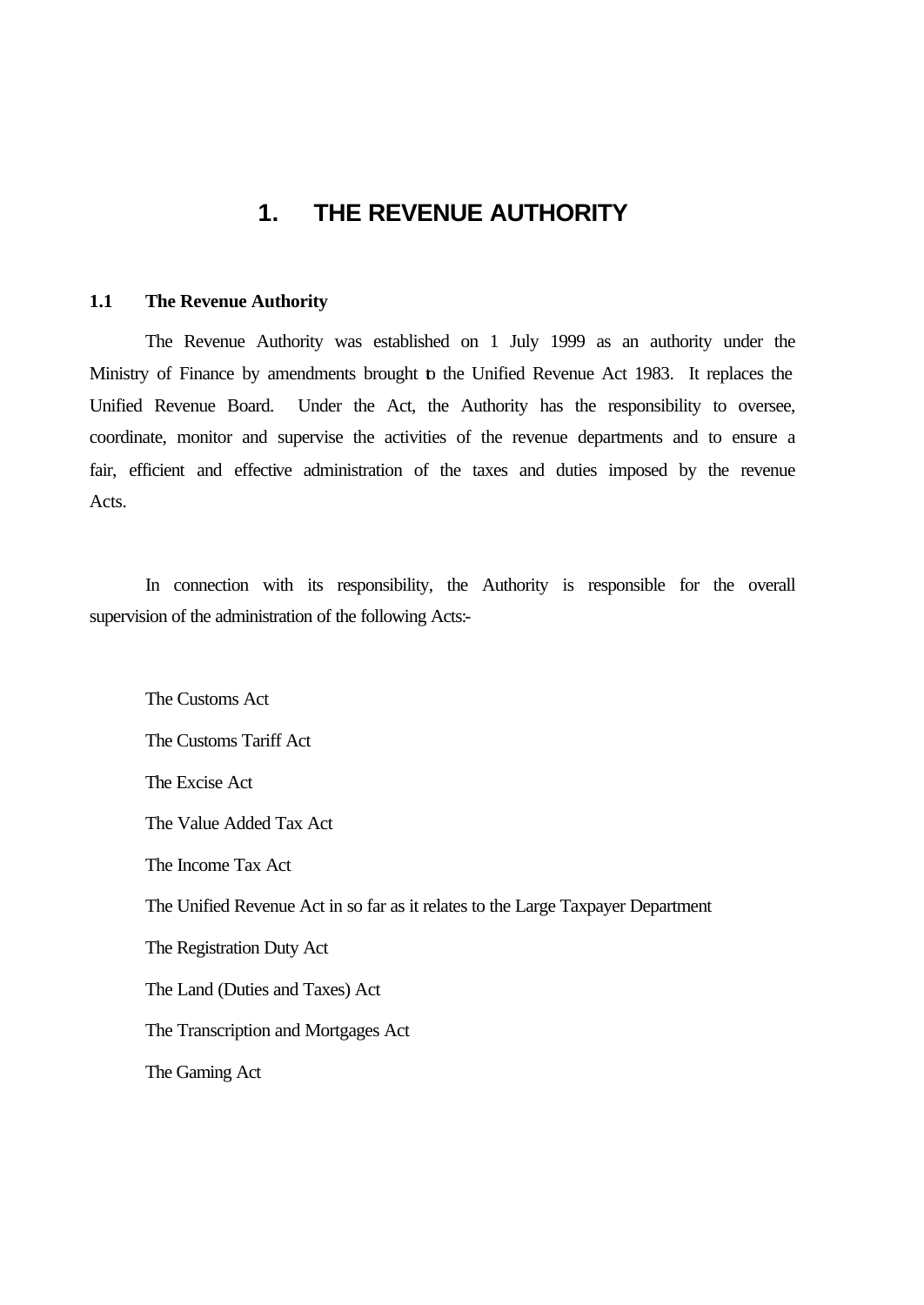# **1. THE REVENUE AUTHORITY**

#### **1.1 The Revenue Authority**

The Revenue Authority was established on 1 July 1999 as an authority under the Ministry of Finance by amendments brought to the Unified Revenue Act 1983. It replaces the Unified Revenue Board. Under the Act, the Authority has the responsibility to oversee, coordinate, monitor and supervise the activities of the revenue departments and to ensure a fair, efficient and effective administration of the taxes and duties imposed by the revenue Acts.

In connection with its responsibility, the Authority is responsible for the overall supervision of the administration of the following Acts:-

The Customs Act The Customs Tariff Act The Excise Act The Value Added Tax Act The Income Tax Act The Unified Revenue Act in so far as it relates to the Large Taxpayer Department The Registration Duty Act The Land (Duties and Taxes) Act The Transcription and Mortgages Act The Gaming Act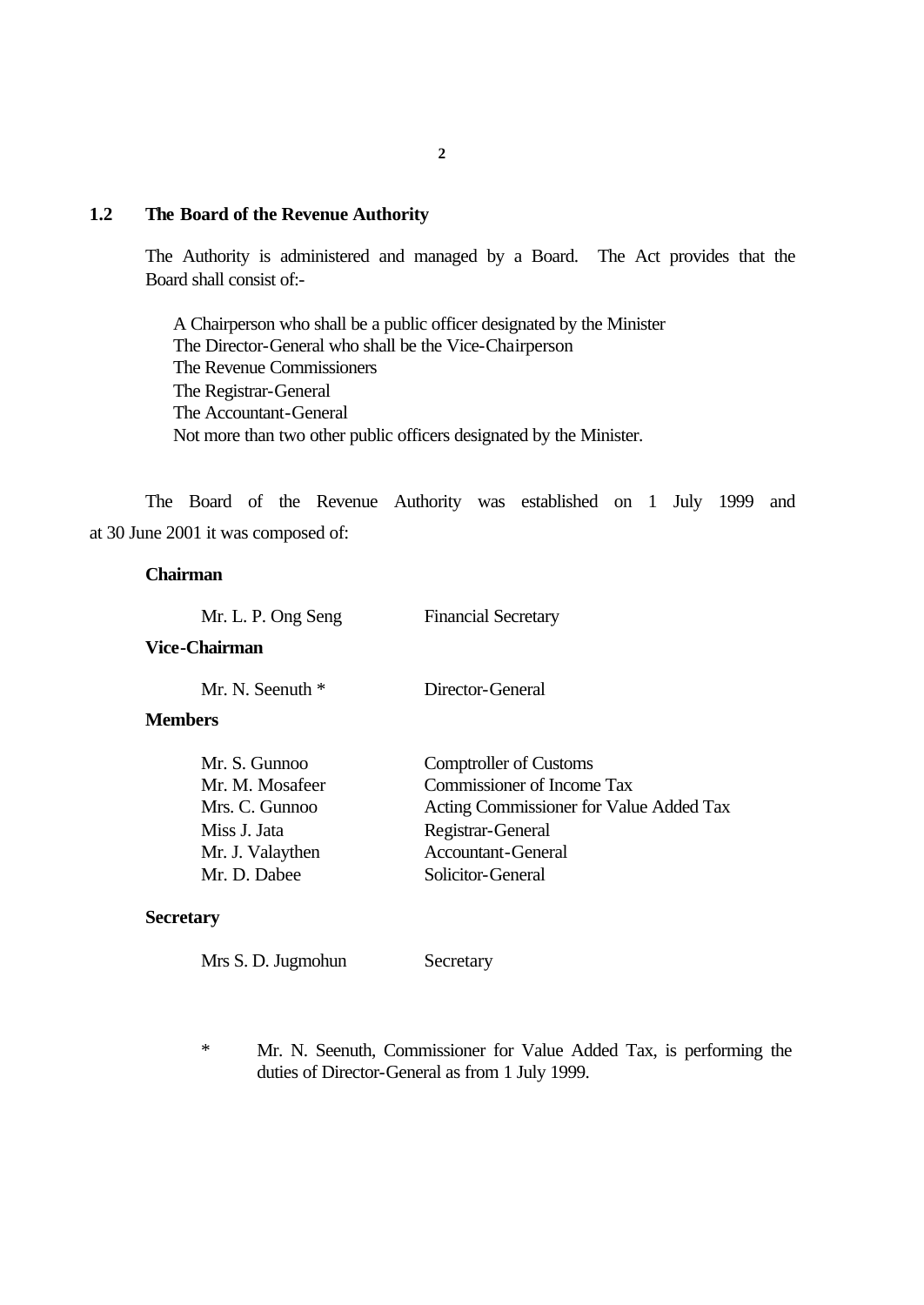#### **1.2 The Board of the Revenue Authority**

The Authority is administered and managed by a Board. The Act provides that the Board shall consist of:-

A Chairperson who shall be a public officer designated by the Minister The Director-General who shall be the Vice-Chairperson The Revenue Commissioners The Registrar-General The Accountant-General Not more than two other public officers designated by the Minister.

The Board of the Revenue Authority was established on 1 July 1999 and at 30 June 2001 it was composed of:

#### **Chairman**

#### **Vice-Chairman**

Mr. N. Seenuth \* Director-General

Financial Secretary

#### **Members**

| Mr. S. Gunnoo    | <b>Comptroller of Customs</b>           |
|------------------|-----------------------------------------|
| Mr. M. Mosafeer  | Commissioner of Income Tax              |
| Mrs. C. Gunnoo   | Acting Commissioner for Value Added Tax |
| Miss J. Jata     | Registrar-General                       |
| Mr. J. Valaythen | <b>Accountant-General</b>               |
| Mr. D. Dabee     | Solicitor-General                       |

#### **Secretary**

| Mrs S. D. Jugmohun | Secretary |
|--------------------|-----------|
|--------------------|-----------|

\* Mr. N. Seenuth, Commissioner for Value Added Tax, is performing the duties of Director-General as from 1 July 1999.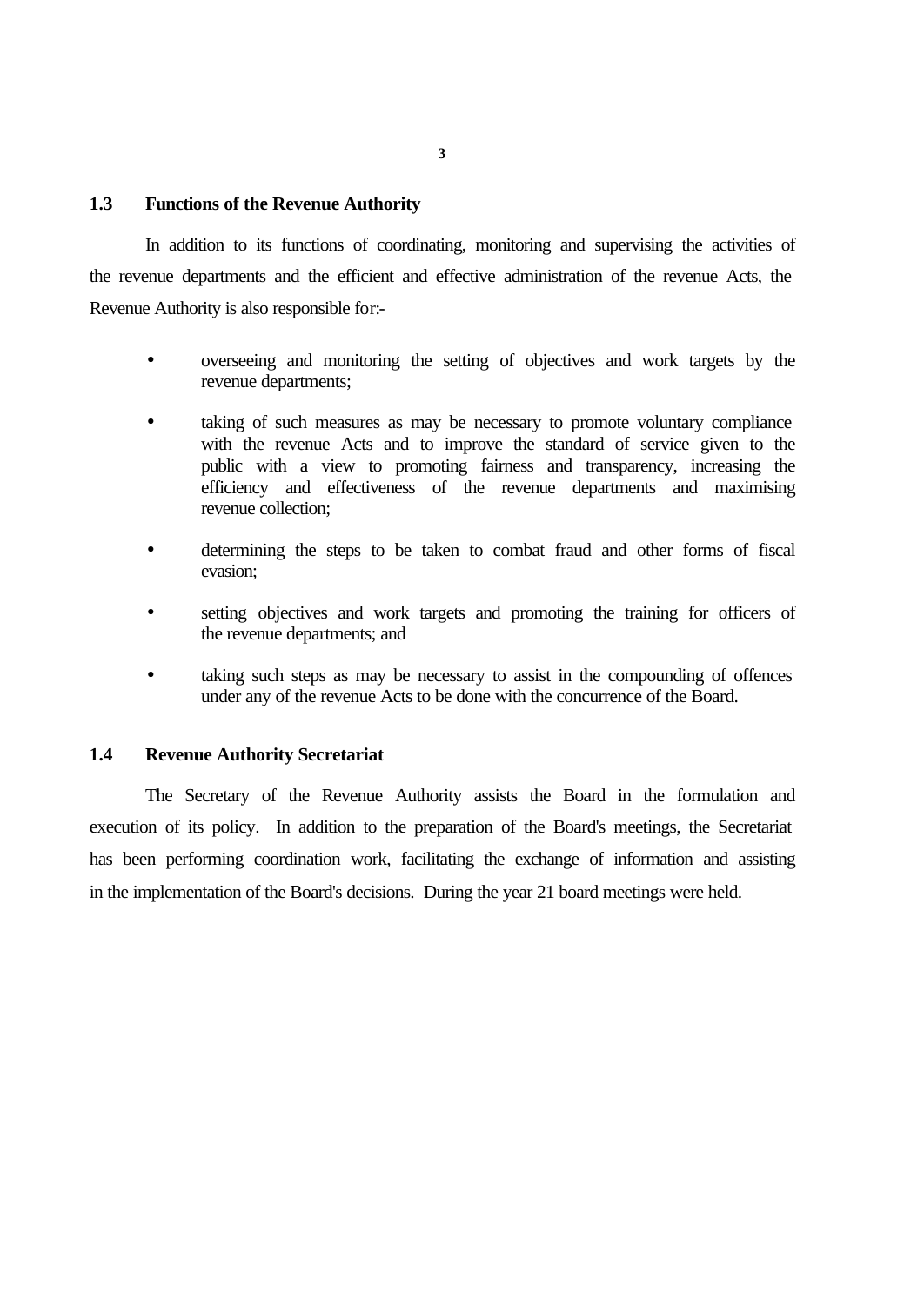#### **1.3 Functions of the Revenue Authority**

In addition to its functions of coordinating, monitoring and supervising the activities of the revenue departments and the efficient and effective administration of the revenue Acts, the Revenue Authority is also responsible for:-

- overseeing and monitoring the setting of objectives and work targets by the revenue departments;
- taking of such measures as may be necessary to promote voluntary compliance with the revenue Acts and to improve the standard of service given to the public with a view to promoting fairness and transparency, increasing the efficiency and effectiveness of the revenue departments and maximising revenue collection;
- determining the steps to be taken to combat fraud and other forms of fiscal evasion;
- setting objectives and work targets and promoting the training for officers of the revenue departments; and
- taking such steps as may be necessary to assist in the compounding of offences under any of the revenue Acts to be done with the concurrence of the Board.

#### **1.4 Revenue Authority Secretariat**

The Secretary of the Revenue Authority assists the Board in the formulation and execution of its policy. In addition to the preparation of the Board's meetings, the Secretariat has been performing coordination work, facilitating the exchange of information and assisting in the implementation of the Board's decisions. During the year 21 board meetings were held.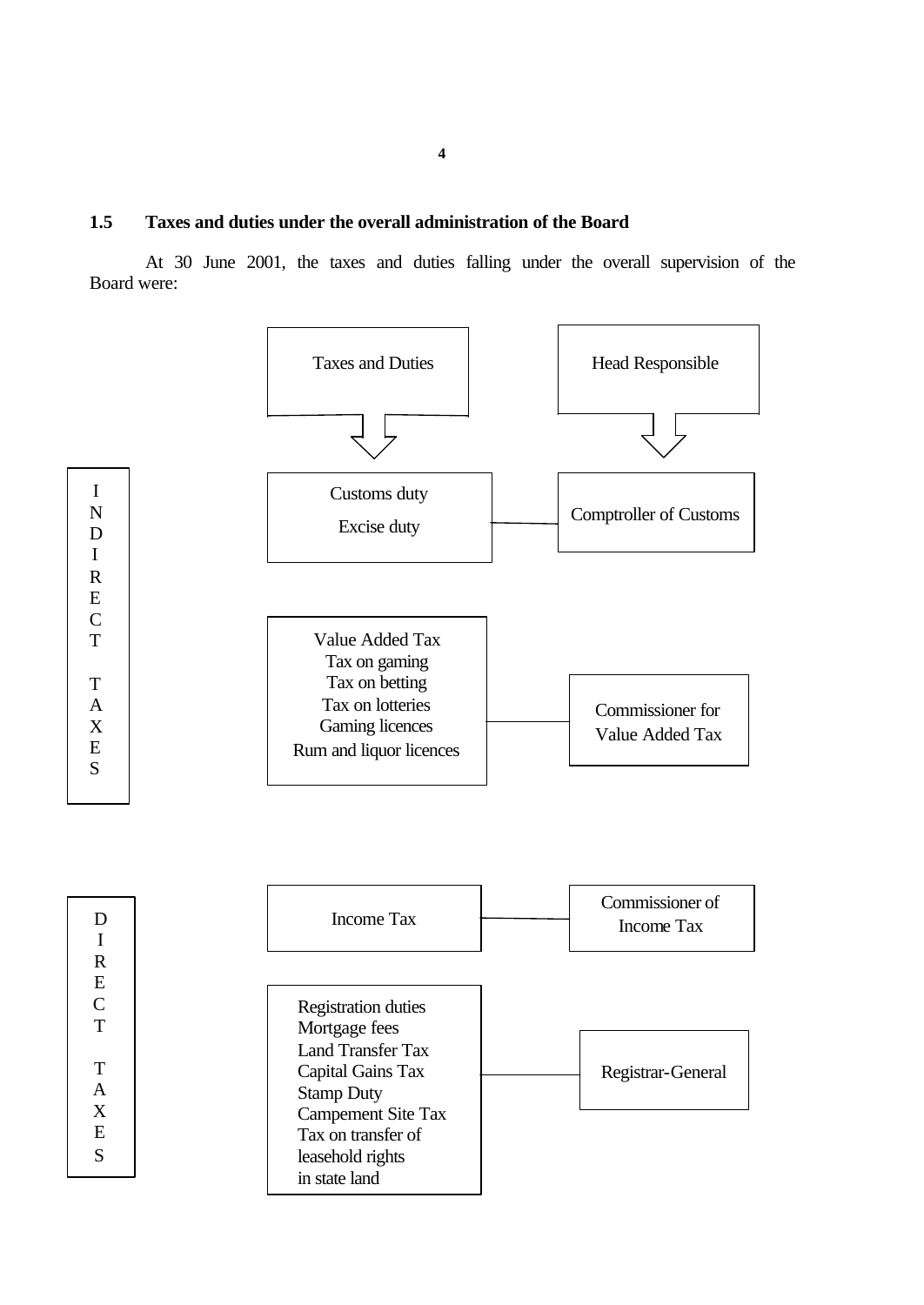At 30 June 2001, the taxes and duties falling under the overall supervision of the Board were:



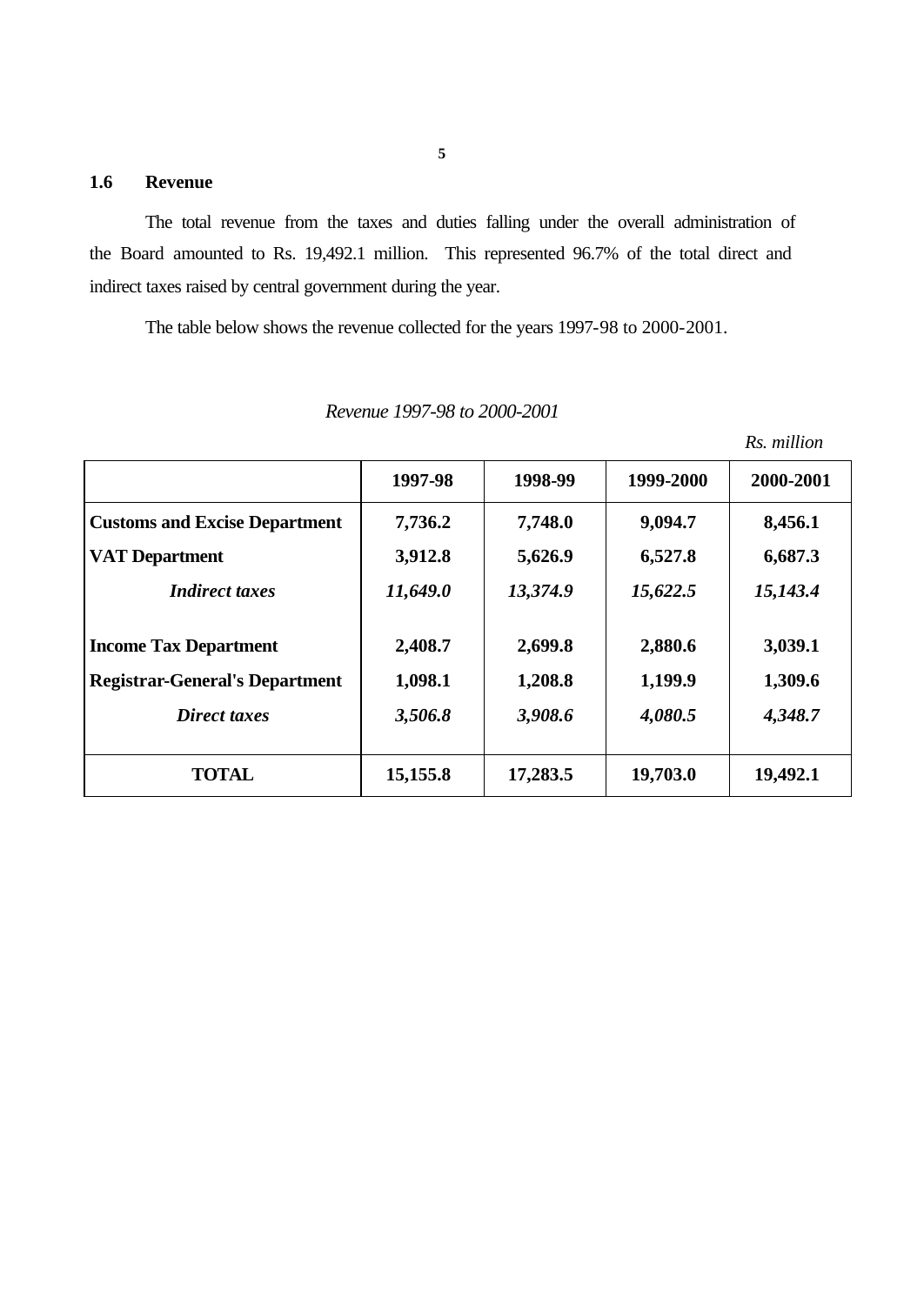# **1.6 Revenue**

The total revenue from the taxes and duties falling under the overall administration of the Board amounted to Rs. 19,492.1 million. This represented 96.7% of the total direct and indirect taxes raised by central government during the year.

The table below shows the revenue collected for the years 1997-98 to 2000-2001.

|                                       |          |          |           | Rs. million |
|---------------------------------------|----------|----------|-----------|-------------|
|                                       | 1997-98  | 1998-99  | 1999-2000 | 2000-2001   |
| <b>Customs and Excise Department</b>  | 7,736.2  | 7,748.0  | 9,094.7   | 8,456.1     |
| <b>VAT Department</b>                 | 3,912.8  | 5,626.9  | 6,527.8   | 6,687.3     |
| <b>Indirect taxes</b>                 | 11,649.0 | 13,374.9 | 15,622.5  | 15,143.4    |
| <b>Income Tax Department</b>          | 2,408.7  | 2,699.8  | 2,880.6   | 3,039.1     |
| <b>Registrar-General's Department</b> | 1,098.1  | 1,208.8  | 1,199.9   | 1,309.6     |
| Direct taxes                          | 3,506.8  | 3,908.6  | 4,080.5   | 4,348.7     |
| <b>TOTAL</b>                          | 15,155.8 | 17,283.5 | 19,703.0  | 19,492.1    |

*Revenue 1997-98 to 2000-2001*

**5**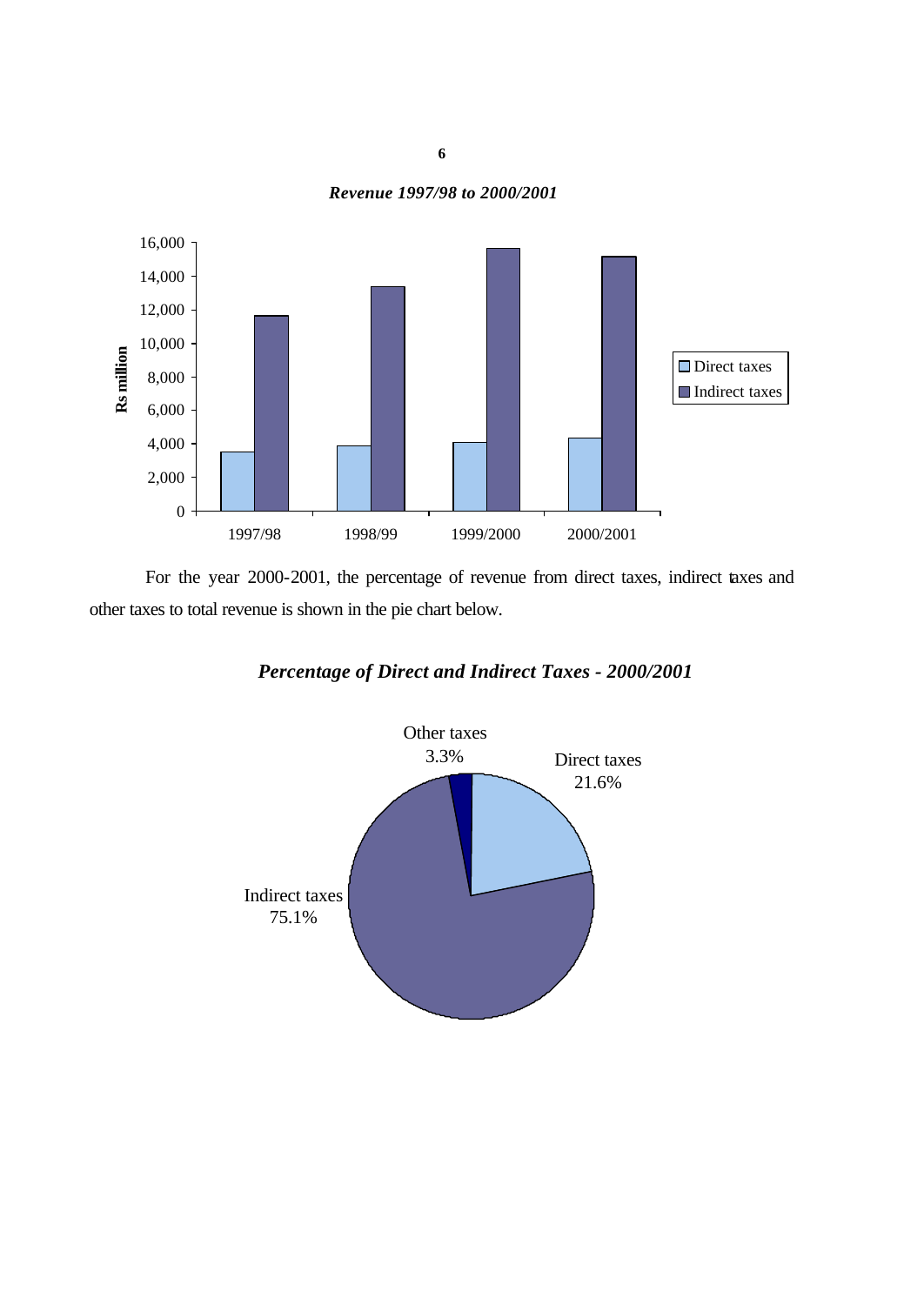*Revenue 1997/98 to 2000/2001*



For the year 2000-2001, the percentage of revenue from direct taxes, indirect taxes and other taxes to total revenue is shown in the pie chart below.



# *Percentage of Direct and Indirect Taxes - 2000/2001*

**6**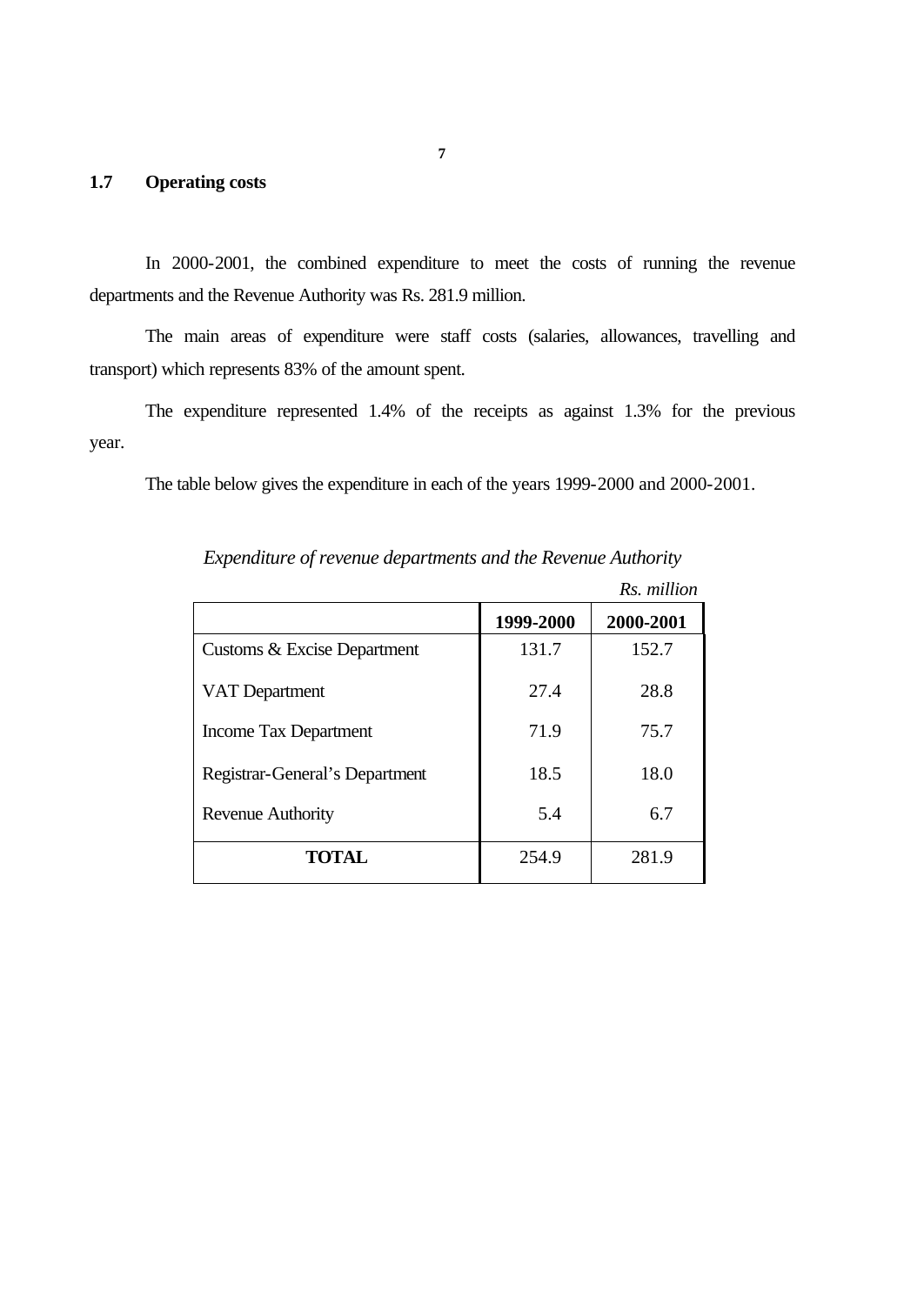# **1.7 Operating costs**

In 2000-2001, the combined expenditure to meet the costs of running the revenue departments and the Revenue Authority was Rs. 281.9 million.

The main areas of expenditure were staff costs (salaries, allowances, travelling and transport) which represents 83% of the amount spent.

The expenditure represented 1.4% of the receipts as against 1.3% for the previous year.

The table below gives the expenditure in each of the years 1999-2000 and 2000-2001.

|                                |           | Rs. million |
|--------------------------------|-----------|-------------|
|                                | 1999-2000 | 2000-2001   |
| Customs & Excise Department    | 131.7     | 152.7       |
| VAT Department                 | 27.4      | 28.8        |
| Income Tax Department          | 71.9      | 75.7        |
| Registrar-General's Department | 18.5      | 18.0        |
| <b>Revenue Authority</b>       | 5.4       | 6.7         |
| <b>TOTAL</b>                   | 254.9     | 281.9       |

*Expenditure of revenue departments and the Revenue Authority*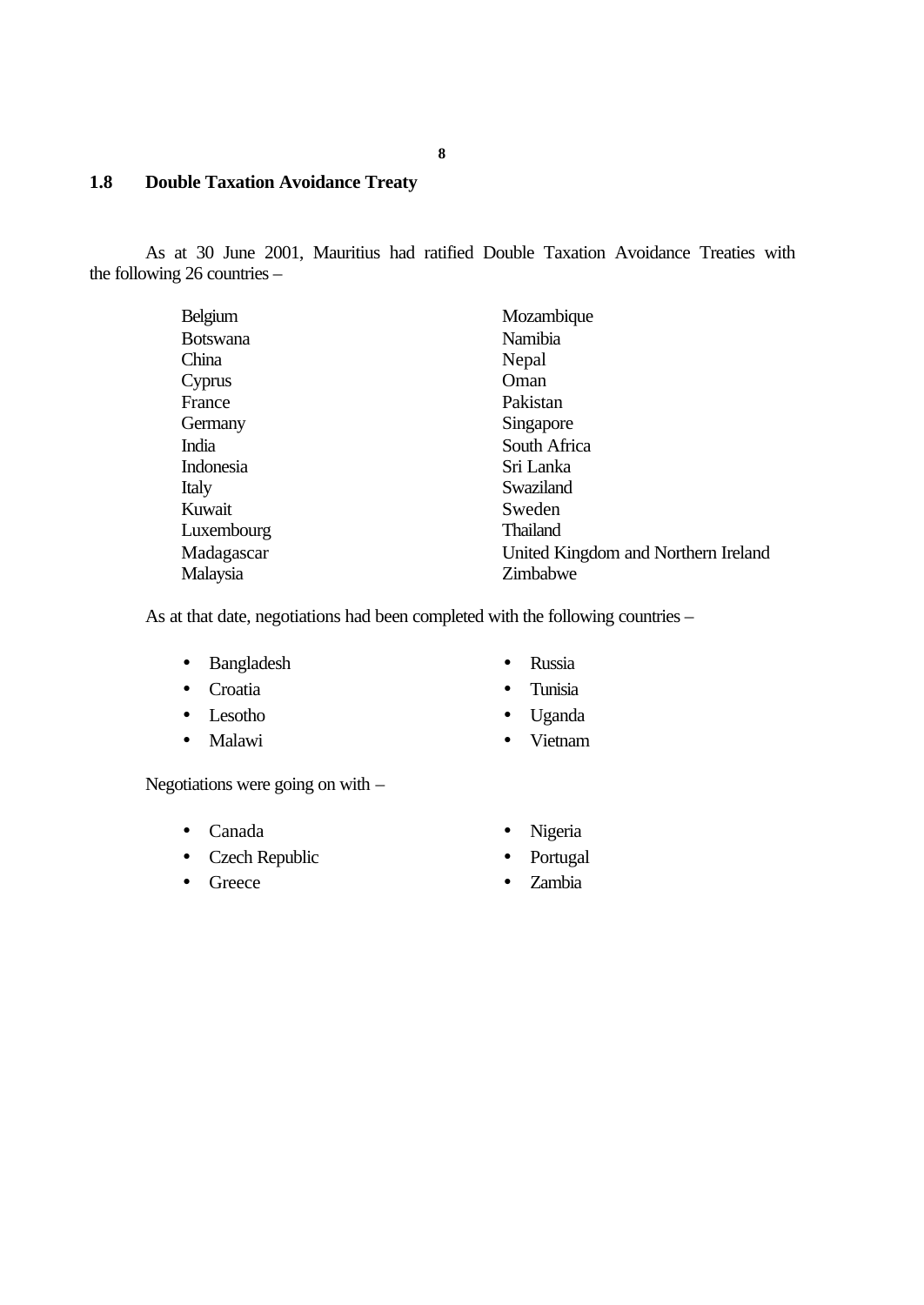# **1.8 Double Taxation Avoidance Treaty**

As at 30 June 2001, Mauritius had ratified Double Taxation Avoidance Treaties with the following 26 countries –

| Belgium         | Mozambique                          |
|-----------------|-------------------------------------|
| <b>Botswana</b> | Namibia                             |
| China           | Nepal                               |
| Cyprus          | Oman                                |
| France          | Pakistan                            |
| Germany         | Singapore                           |
| India           | South Africa                        |
| Indonesia       | Sri Lanka                           |
| Italy           | Swaziland                           |
| Kuwait          | Sweden                              |
| Luxembourg      | <b>Thailand</b>                     |
| Madagascar      | United Kingdom and Northern Ireland |
| Malaysia        | Zimbabwe                            |

As at that date, negotiations had been completed with the following countries –

- Bangladesh Russia
- 
- 
- 
- 
- Croatia Tunisia
- Lesotho Uganda
- Malawi Vietnam

Negotiations were going on with –

- Canada Nigeria
- Czech Republic Portugal
- 
- 
- 
- Greece Zambia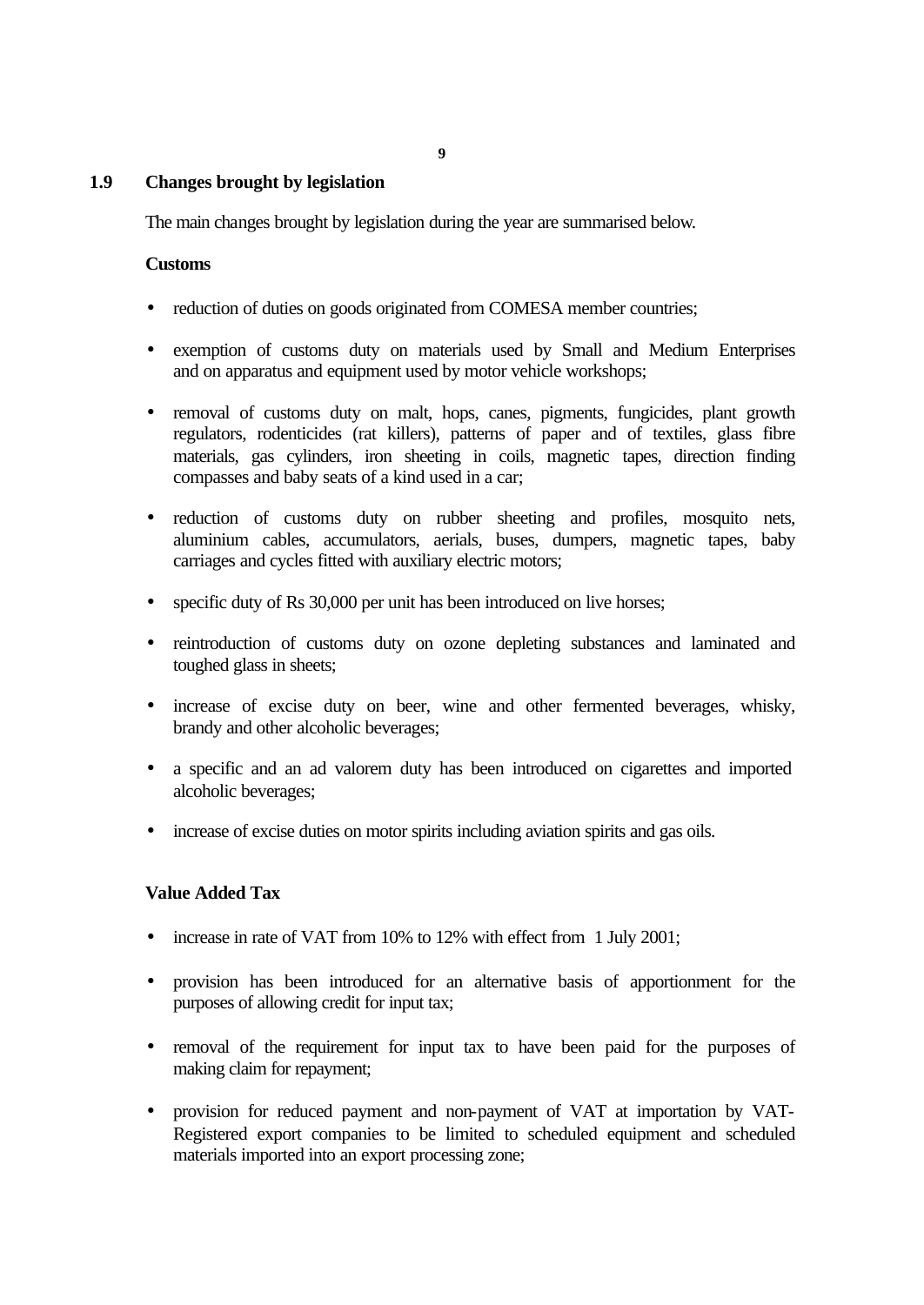**9**

# **1.9 Changes brought by legislation**

The main changes brought by legislation during the year are summarised below.

#### **Customs**

- reduction of duties on goods originated from COMESA member countries;
- exemption of customs duty on materials used by Small and Medium Enterprises and on apparatus and equipment used by motor vehicle workshops;
- removal of customs duty on malt, hops, canes, pigments, fungicides, plant growth regulators, rodenticides (rat killers), patterns of paper and of textiles, glass fibre materials, gas cylinders, iron sheeting in coils, magnetic tapes, direction finding compasses and baby seats of a kind used in a car;
- reduction of customs duty on rubber sheeting and profiles, mosquito nets, aluminium cables, accumulators, aerials, buses, dumpers, magnetic tapes, baby carriages and cycles fitted with auxiliary electric motors;
- specific duty of Rs 30,000 per unit has been introduced on live horses;
- reintroduction of customs duty on ozone depleting substances and laminated and toughed glass in sheets;
- increase of excise duty on beer, wine and other fermented beverages, whisky, brandy and other alcoholic beverages;
- a specific and an ad valorem duty has been introduced on cigarettes and imported alcoholic beverages;
- increase of excise duties on motor spirits including aviation spirits and gas oils.

### **Value Added Tax**

- increase in rate of VAT from 10% to 12% with effect from 1 July 2001;
- provision has been introduced for an alternative basis of apportionment for the purposes of allowing credit for input tax;
- removal of the requirement for input tax to have been paid for the purposes of making claim for repayment;
- provision for reduced payment and non-payment of VAT at importation by VAT-Registered export companies to be limited to scheduled equipment and scheduled materials imported into an export processing zone;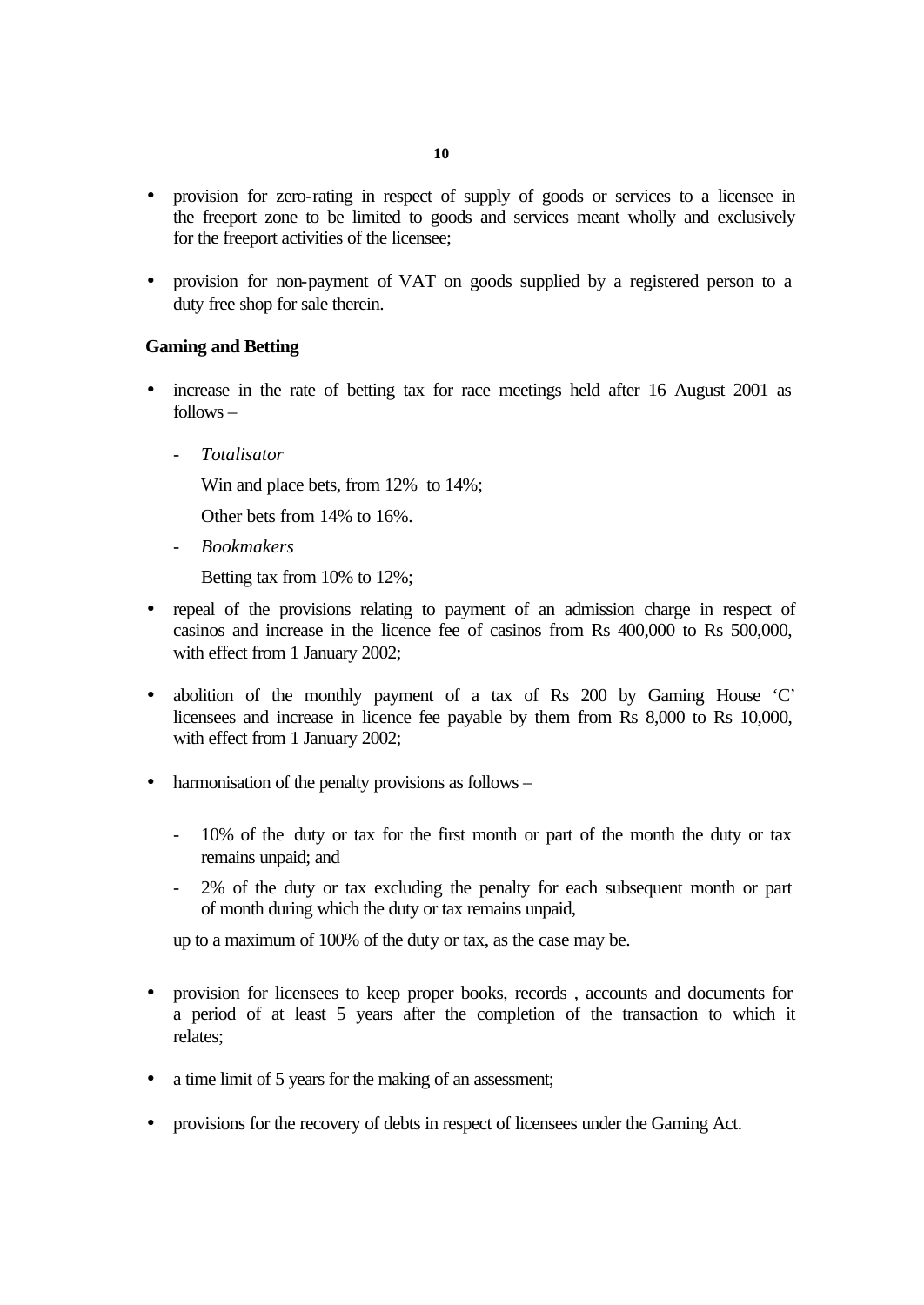- provision for zero-rating in respect of supply of goods or services to a licensee in the freeport zone to be limited to goods and services meant wholly and exclusively for the freeport activities of the licensee;
- provision for non-payment of VAT on goods supplied by a registered person to a duty free shop for sale therein.

### **Gaming and Betting**

- increase in the rate of betting tax for race meetings held after 16 August 2001 as follows –
	- *Totalisator*

Win and place bets, from 12% to 14%;

Other bets from 14% to 16%.

- *Bookmakers*

Betting tax from 10% to 12%;

- repeal of the provisions relating to payment of an admission charge in respect of casinos and increase in the licence fee of casinos from Rs 400,000 to Rs 500,000, with effect from 1 January 2002;
- abolition of the monthly payment of a tax of Rs 200 by Gaming House 'C' licensees and increase in licence fee payable by them from Rs 8,000 to Rs 10,000, with effect from 1 January 2002;
- harmonisation of the penalty provisions as follows
	- 10% of the duty or tax for the first month or part of the month the duty or tax remains unpaid; and
	- 2% of the duty or tax excluding the penalty for each subsequent month or part of month during which the duty or tax remains unpaid,

up to a maximum of 100% of the duty or tax, as the case may be.

- provision for licensees to keep proper books, records , accounts and documents for a period of at least 5 years after the completion of the transaction to which it relates;
- a time limit of 5 years for the making of an assessment;
- provisions for the recovery of debts in respect of licensees under the Gaming Act.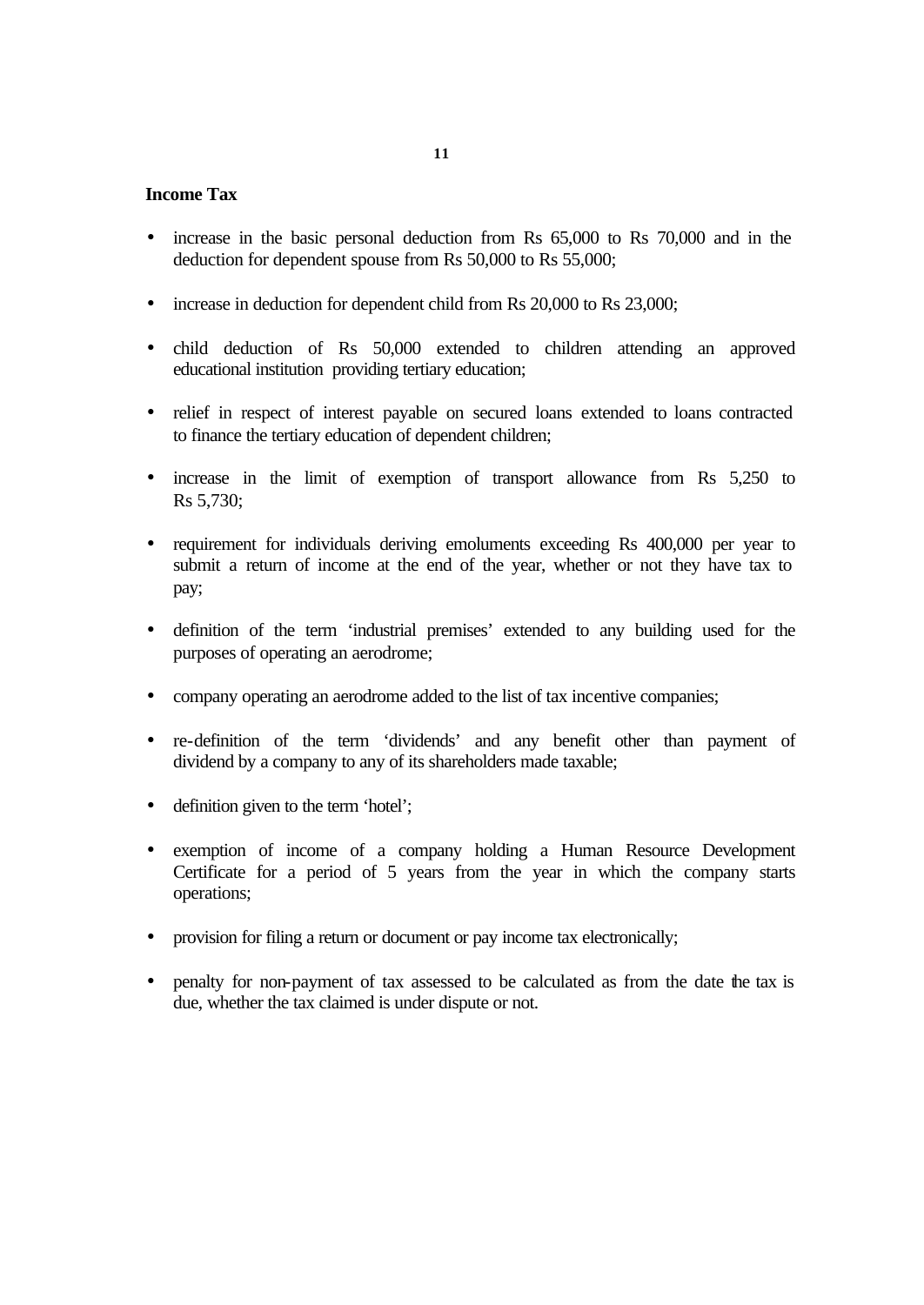#### **Income Tax**

- increase in the basic personal deduction from Rs 65,000 to Rs 70,000 and in the deduction for dependent spouse from Rs 50,000 to Rs 55,000;
- increase in deduction for dependent child from Rs 20,000 to Rs 23,000;
- child deduction of Rs 50,000 extended to children attending an approved educational institution providing tertiary education;
- relief in respect of interest payable on secured loans extended to loans contracted to finance the tertiary education of dependent children;
- increase in the limit of exemption of transport allowance from Rs 5,250 to Rs 5,730;
- requirement for individuals deriving emoluments exceeding Rs 400,000 per year to submit a return of income at the end of the year, whether or not they have tax to pay;
- definition of the term 'industrial premises' extended to any building used for the purposes of operating an aerodrome;
- company operating an aerodrome added to the list of tax incentive companies;
- re-definition of the term 'dividends' and any benefit other than payment of dividend by a company to any of its shareholders made taxable;
- definition given to the term 'hotel';
- exemption of income of a company holding a Human Resource Development Certificate for a period of 5 years from the year in which the company starts operations;
- provision for filing a return or document or pay income tax electronically;
- penalty for non-payment of tax assessed to be calculated as from the date the tax is due, whether the tax claimed is under dispute or not.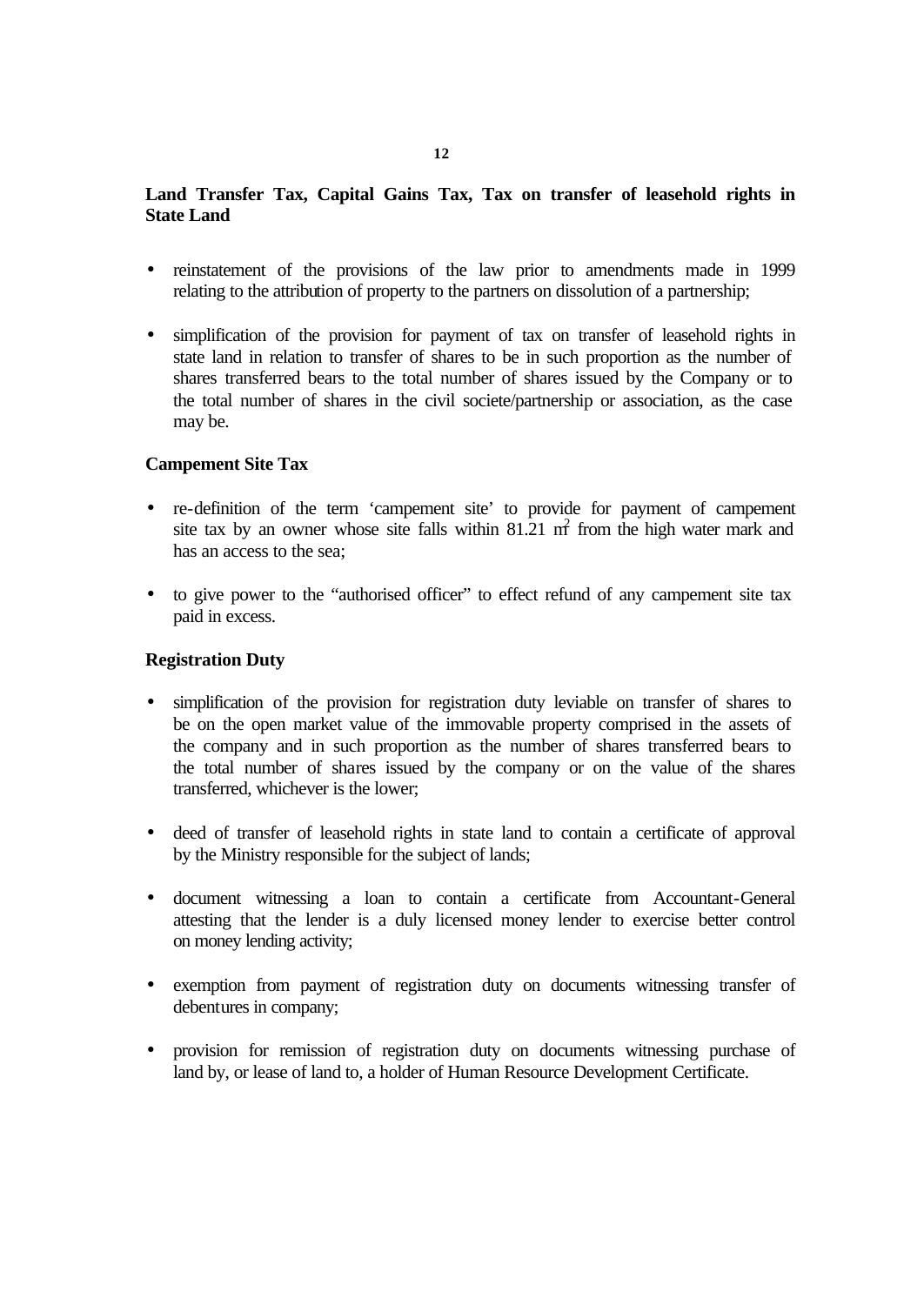# **Land Transfer Tax, Capital Gains Tax, Tax on transfer of leasehold rights in State Land**

- reinstatement of the provisions of the law prior to amendments made in 1999 relating to the attribution of property to the partners on dissolution of a partnership;
- simplification of the provision for payment of tax on transfer of leasehold rights in state land in relation to transfer of shares to be in such proportion as the number of shares transferred bears to the total number of shares issued by the Company or to the total number of shares in the civil societe/partnership or association, as the case may be.

#### **Campement Site Tax**

- re-definition of the term 'campement site' to provide for payment of campement site tax by an owner whose site falls within  $81.21 \text{ m}^2$  from the high water mark and has an access to the sea;
- to give power to the "authorised officer" to effect refund of any campement site tax paid in excess.

#### **Registration Duty**

- simplification of the provision for registration duty leviable on transfer of shares to be on the open market value of the immovable property comprised in the assets of the company and in such proportion as the number of shares transferred bears to the total number of shares issued by the company or on the value of the shares transferred, whichever is the lower;
- deed of transfer of leasehold rights in state land to contain a certificate of approval by the Ministry responsible for the subject of lands;
- document witnessing a loan to contain a certificate from Accountant-General attesting that the lender is a duly licensed money lender to exercise better control on money lending activity;
- exemption from payment of registration duty on documents witnessing transfer of debentures in company;
- provision for remission of registration duty on documents witnessing purchase of land by, or lease of land to, a holder of Human Resource Development Certificate.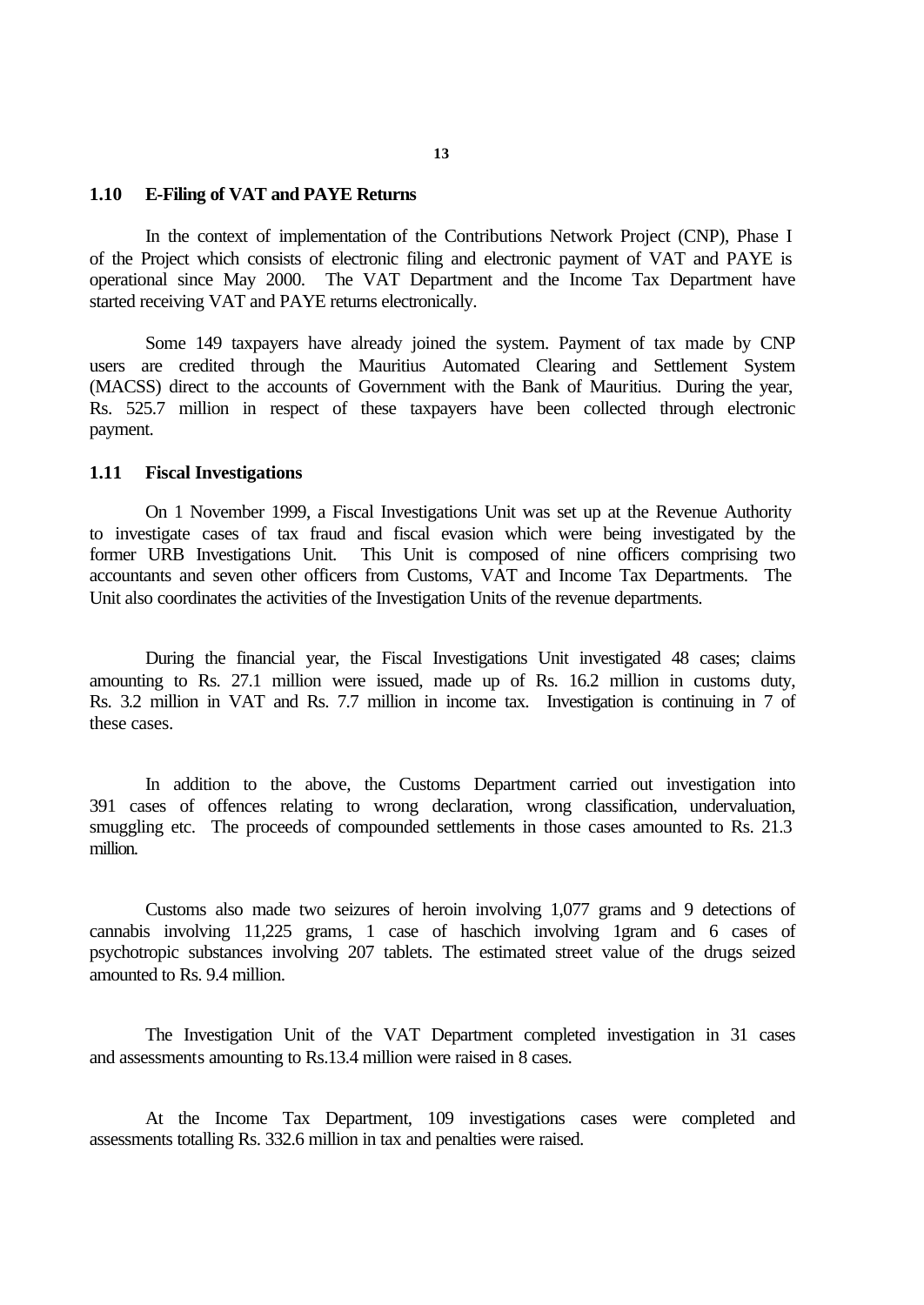#### **1.10 E-Filing of VAT and PAYE Returns**

In the context of implementation of the Contributions Network Project (CNP), Phase I of the Project which consists of electronic filing and electronic payment of VAT and PAYE is operational since May 2000. The VAT Department and the Income Tax Department have started receiving VAT and PAYE returns electronically.

Some 149 taxpayers have already joined the system. Payment of tax made by CNP users are credited through the Mauritius Automated Clearing and Settlement System (MACSS) direct to the accounts of Government with the Bank of Mauritius. During the year, Rs. 525.7 million in respect of these taxpayers have been collected through electronic payment.

#### **1.11 Fiscal Investigations**

On 1 November 1999, a Fiscal Investigations Unit was set up at the Revenue Authority to investigate cases of tax fraud and fiscal evasion which were being investigated by the former URB Investigations Unit. This Unit is composed of nine officers comprising two accountants and seven other officers from Customs, VAT and Income Tax Departments. The Unit also coordinates the activities of the Investigation Units of the revenue departments.

During the financial year, the Fiscal Investigations Unit investigated 48 cases; claims amounting to Rs. 27.1 million were issued, made up of Rs. 16.2 million in customs duty, Rs. 3.2 million in VAT and Rs. 7.7 million in income tax. Investigation is continuing in 7 of these cases.

In addition to the above, the Customs Department carried out investigation into 391 cases of offences relating to wrong declaration, wrong classification, undervaluation, smuggling etc. The proceeds of compounded settlements in those cases amounted to Rs. 21.3 million.

Customs also made two seizures of heroin involving 1,077 grams and 9 detections of cannabis involving 11,225 grams, 1 case of haschich involving 1gram and 6 cases of psychotropic substances involving 207 tablets. The estimated street value of the drugs seized amounted to Rs. 9.4 million.

The Investigation Unit of the VAT Department completed investigation in 31 cases and assessments amounting to Rs.13.4 million were raised in 8 cases.

At the Income Tax Department, 109 investigations cases were completed and assessments totalling Rs. 332.6 million in tax and penalties were raised.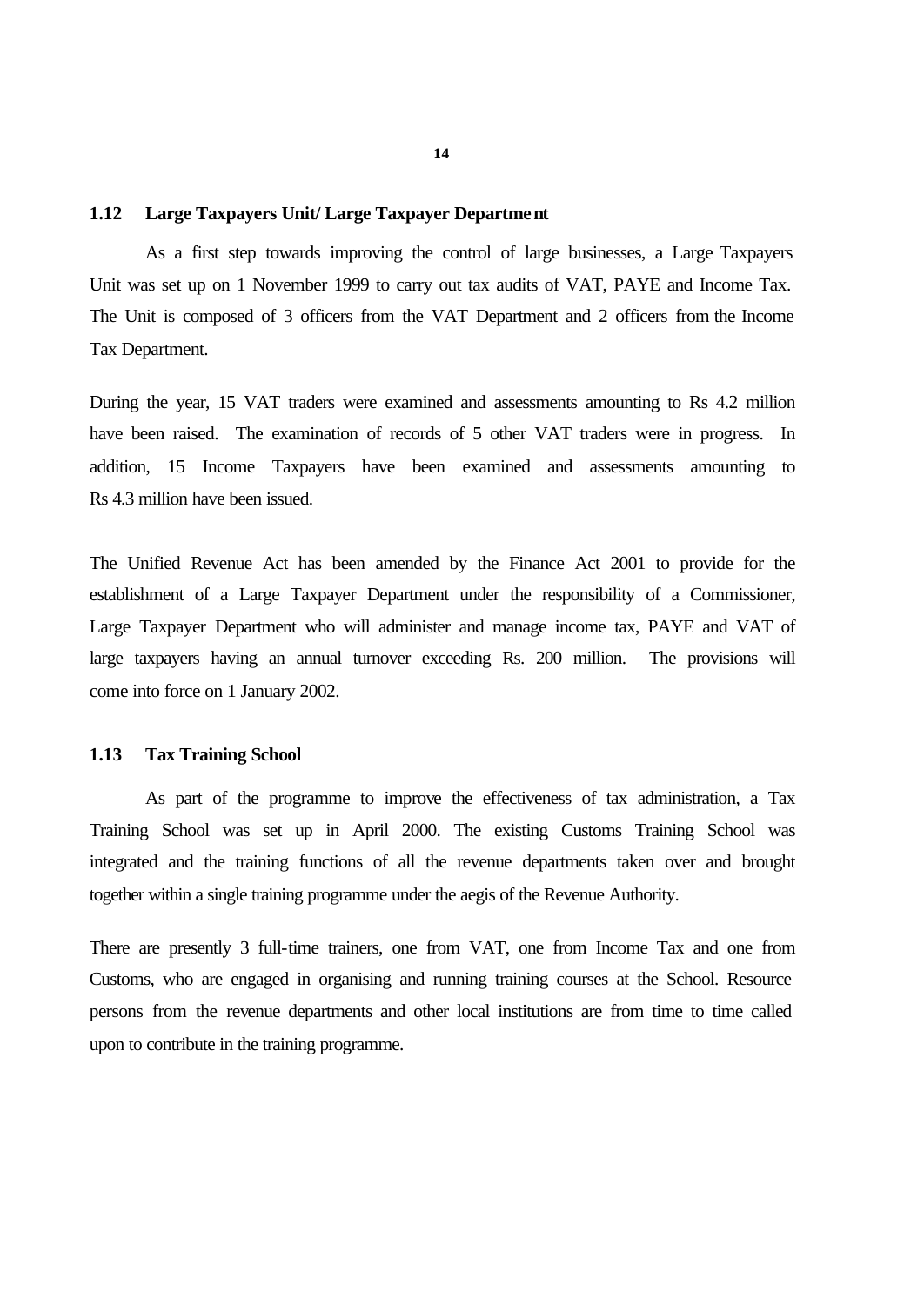#### **1.12 Large Taxpayers Unit/ Large Taxpayer Department**

As a first step towards improving the control of large businesses, a Large Taxpayers Unit was set up on 1 November 1999 to carry out tax audits of VAT, PAYE and Income Tax. The Unit is composed of 3 officers from the VAT Department and 2 officers from the Income Tax Department.

During the year, 15 VAT traders were examined and assessments amounting to Rs 4.2 million have been raised. The examination of records of 5 other VAT traders were in progress. In addition, 15 Income Taxpayers have been examined and assessments amounting to Rs 4.3 million have been issued.

The Unified Revenue Act has been amended by the Finance Act 2001 to provide for the establishment of a Large Taxpayer Department under the responsibility of a Commissioner, Large Taxpayer Department who will administer and manage income tax, PAYE and VAT of large taxpayers having an annual turnover exceeding Rs. 200 million. The provisions will come into force on 1 January 2002.

#### **1.13 Tax Training School**

As part of the programme to improve the effectiveness of tax administration, a Tax Training School was set up in April 2000. The existing Customs Training School was integrated and the training functions of all the revenue departments taken over and brought together within a single training programme under the aegis of the Revenue Authority.

There are presently 3 full-time trainers, one from VAT, one from Income Tax and one from Customs, who are engaged in organising and running training courses at the School. Resource persons from the revenue departments and other local institutions are from time to time called upon to contribute in the training programme.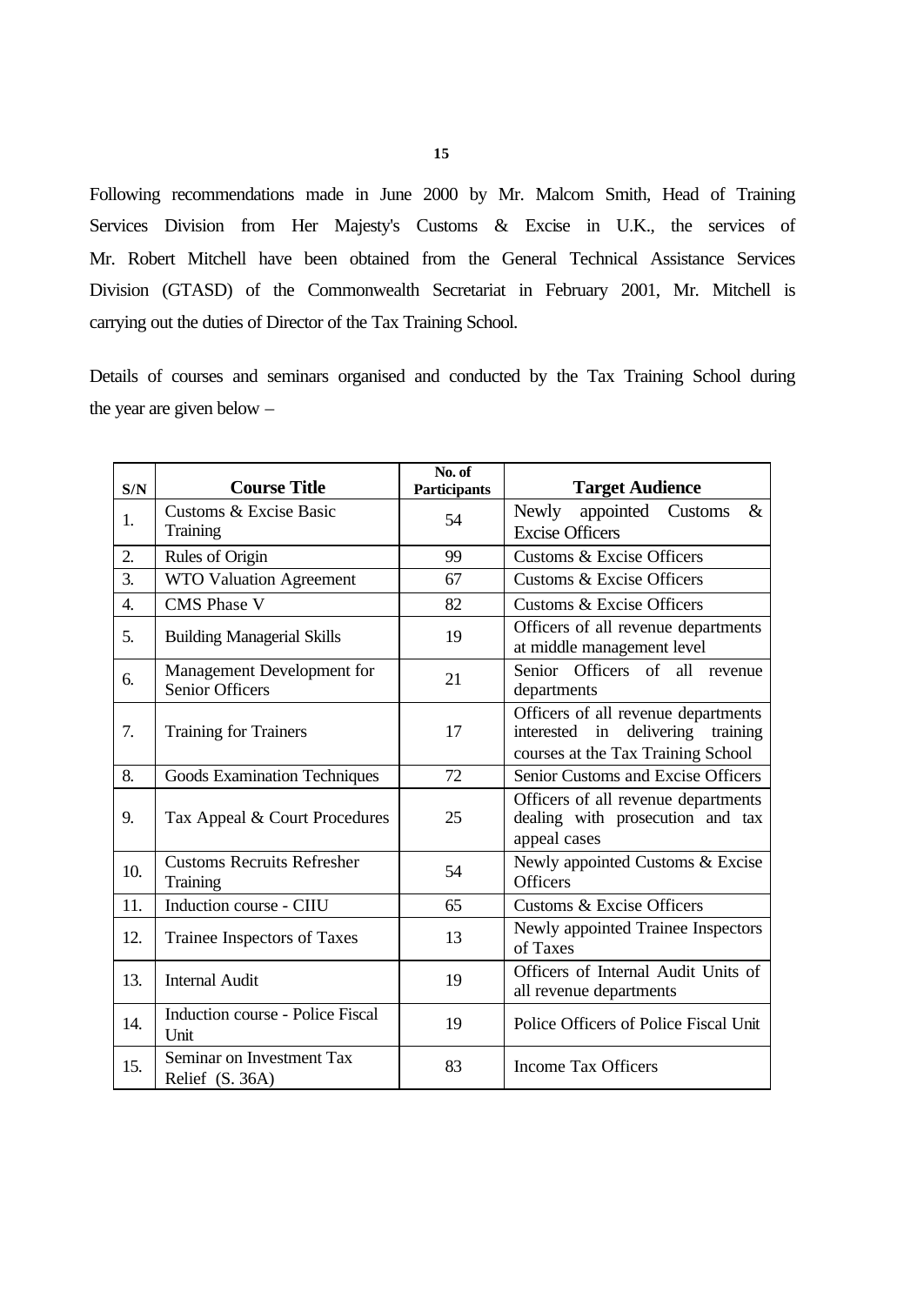Following recommendations made in June 2000 by Mr. Malcom Smith, Head of Training Services Division from Her Majesty's Customs & Excise in U.K., the services of Mr. Robert Mitchell have been obtained from the General Technical Assistance Services Division (GTASD) of the Commonwealth Secretariat in February 2001, Mr. Mitchell is carrying out the duties of Director of the Tax Training School.

Details of courses and seminars organised and conducted by the Tax Training School during the year are given below –

| S/N | <b>Course Title</b>                                  | No. of<br>Participants | <b>Target Audience</b>                                                                                               |
|-----|------------------------------------------------------|------------------------|----------------------------------------------------------------------------------------------------------------------|
| 1.  | Customs & Excise Basic                               | 54                     | appointed Customs<br>$\&$<br>Newly                                                                                   |
|     | Training                                             |                        | <b>Excise Officers</b>                                                                                               |
| 2.  | Rules of Origin                                      | 99                     | <b>Customs &amp; Excise Officers</b>                                                                                 |
| 3.  | WTO Valuation Agreement                              | 67                     | <b>Customs &amp; Excise Officers</b>                                                                                 |
| 4.  | <b>CMS</b> Phase V                                   | 82                     | <b>Customs &amp; Excise Officers</b>                                                                                 |
| 5.  | <b>Building Managerial Skills</b>                    | 19                     | Officers of all revenue departments<br>at middle management level                                                    |
| 6.  | Management Development for<br><b>Senior Officers</b> | 21                     | Senior Officers of all revenue<br>departments                                                                        |
| 7.  | <b>Training for Trainers</b>                         | 17                     | Officers of all revenue departments<br>interested in<br>delivering<br>training<br>courses at the Tax Training School |
| 8.  | <b>Goods Examination Techniques</b>                  | 72                     | Senior Customs and Excise Officers                                                                                   |
| 9.  | Tax Appeal & Court Procedures                        | 25                     | Officers of all revenue departments<br>dealing with prosecution and tax<br>appeal cases                              |
| 10. | <b>Customs Recruits Refresher</b><br><b>Training</b> | 54                     | Newly appointed Customs & Excise<br><b>Officers</b>                                                                  |
| 11. | Induction course - CIIU                              | 65                     | Customs & Excise Officers                                                                                            |
| 12. | Trainee Inspectors of Taxes                          | 13                     | Newly appointed Trainee Inspectors<br>of Taxes                                                                       |
| 13. | <b>Internal Audit</b>                                | 19                     | Officers of Internal Audit Units of<br>all revenue departments                                                       |
| 14. | Induction course - Police Fiscal<br>Unit             | 19                     | Police Officers of Police Fiscal Unit                                                                                |
| 15. | Seminar on Investment Tax<br>Relief (S. 36A)         | 83                     | <b>Income Tax Officers</b>                                                                                           |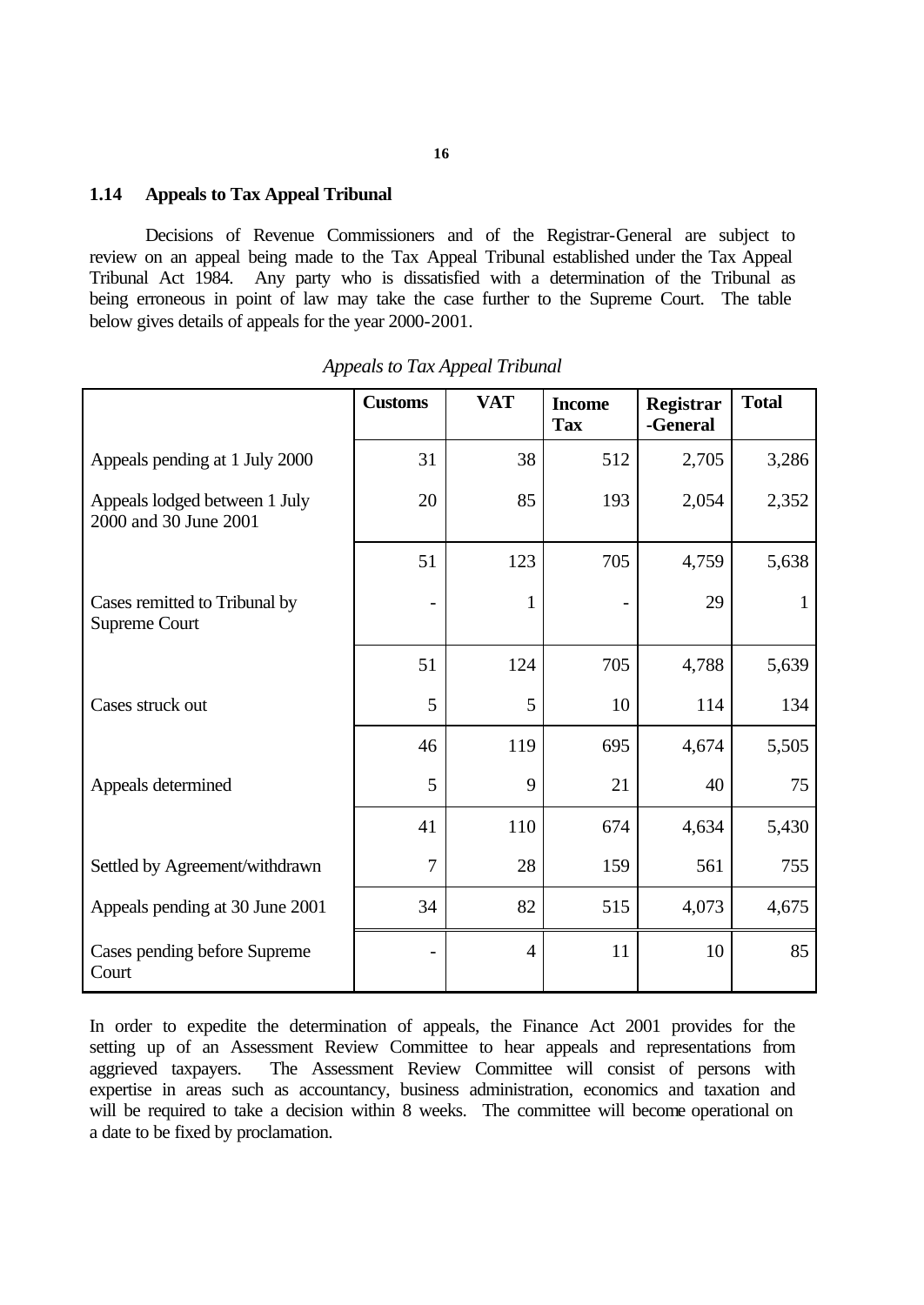#### **1.14 Appeals to Tax Appeal Tribunal**

Decisions of Revenue Commissioners and of the Registrar-General are subject to review on an appeal being made to the Tax Appeal Tribunal established under the Tax Appeal Tribunal Act 1984. Any party who is dissatisfied with a determination of the Tribunal as being erroneous in point of law may take the case further to the Supreme Court. The table below gives details of appeals for the year 2000-2001.

|                                                        | <b>Customs</b> | <b>VAT</b>     | <b>Income</b><br><b>Tax</b> | Registrar<br>-General | <b>Total</b> |
|--------------------------------------------------------|----------------|----------------|-----------------------------|-----------------------|--------------|
| Appeals pending at 1 July 2000                         | 31             | 38             | 512                         | 2,705                 | 3,286        |
| Appeals lodged between 1 July<br>2000 and 30 June 2001 | 20             | 85             | 193                         | 2,054                 | 2,352        |
|                                                        | 51             | 123            | 705                         | 4,759                 | 5,638        |
| Cases remitted to Tribunal by<br><b>Supreme Court</b>  |                | $\mathbf{1}$   |                             | 29                    | $\mathbf{1}$ |
|                                                        | 51             | 124            | 705                         | 4,788                 | 5,639        |
| Cases struck out                                       | 5              | 5              | 10                          | 114                   | 134          |
|                                                        | 46             | 119            | 695                         | 4,674                 | 5,505        |
| Appeals determined                                     | 5              | 9              | 21                          | 40                    | 75           |
|                                                        | 41             | 110            | 674                         | 4,634                 | 5,430        |
| Settled by Agreement/withdrawn                         | $\overline{7}$ | 28             | 159                         | 561                   | 755          |
| Appeals pending at 30 June 2001                        | 34             | 82             | 515                         | 4,073                 | 4,675        |
| Cases pending before Supreme<br>Court                  |                | $\overline{4}$ | 11                          | 10                    | 85           |

*Appeals to Tax Appeal Tribunal*

In order to expedite the determination of appeals, the Finance Act 2001 provides for the setting up of an Assessment Review Committee to hear appeals and representations from aggrieved taxpayers. The Assessment Review Committee will consist of persons with expertise in areas such as accountancy, business administration, economics and taxation and will be required to take a decision within 8 weeks. The committee will become operational on a date to be fixed by proclamation.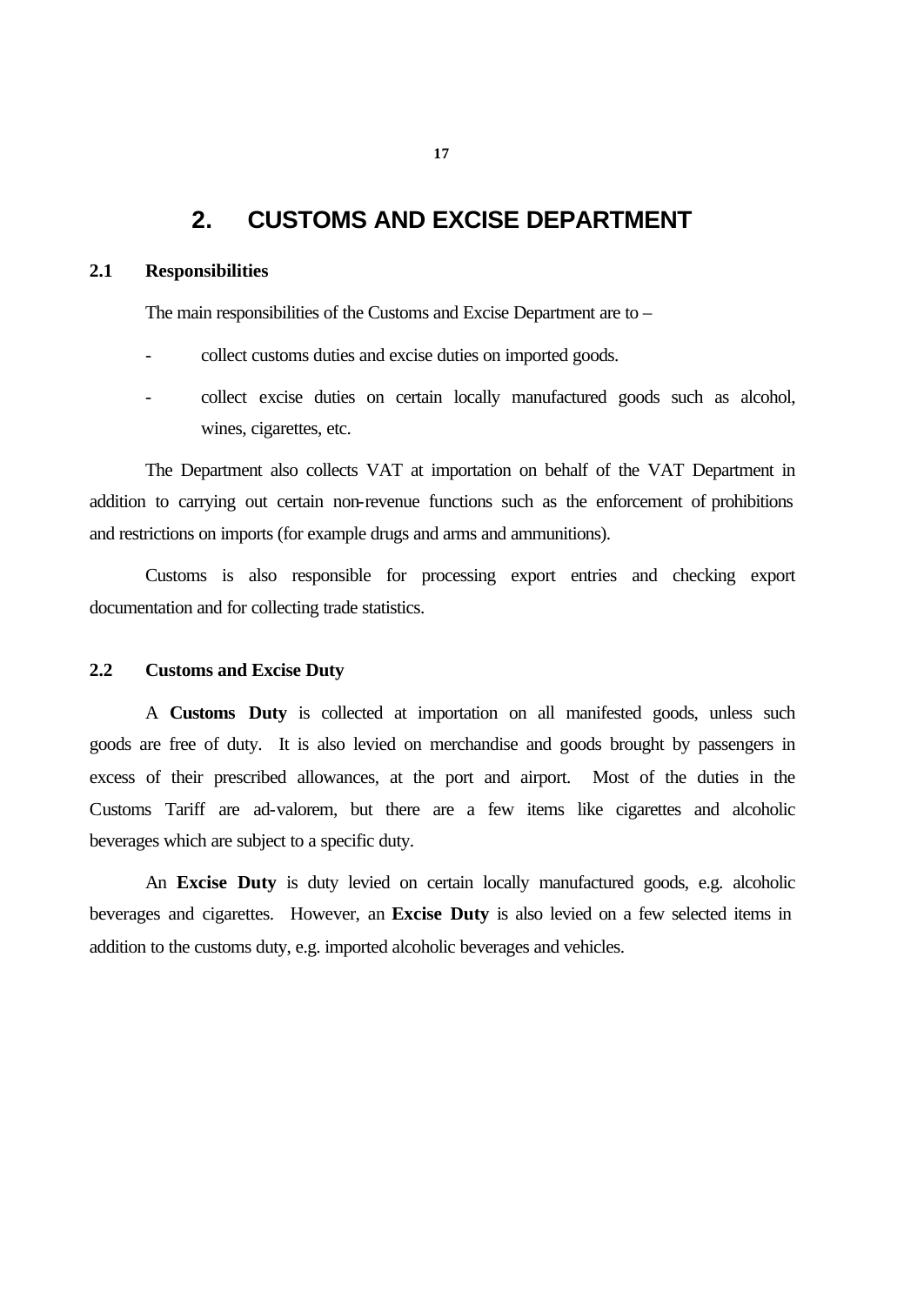# **2. CUSTOMS AND EXCISE DEPARTMENT**

#### **2.1 Responsibilities**

The main responsibilities of the Customs and Excise Department are to –

- collect customs duties and excise duties on imported goods.
- collect excise duties on certain locally manufactured goods such as alcohol, wines, cigarettes, etc.

The Department also collects VAT at importation on behalf of the VAT Department in addition to carrying out certain non-revenue functions such as the enforcement of prohibitions and restrictions on imports (for example drugs and arms and ammunitions).

Customs is also responsible for processing export entries and checking export documentation and for collecting trade statistics.

#### **2.2 Customs and Excise Duty**

A **Customs Duty** is collected at importation on all manifested goods, unless such goods are free of duty. It is also levied on merchandise and goods brought by passengers in excess of their prescribed allowances, at the port and airport. Most of the duties in the Customs Tariff are ad-valorem, but there are a few items like cigarettes and alcoholic beverages which are subject to a specific duty.

An **Excise Duty** is duty levied on certain locally manufactured goods, e.g. alcoholic beverages and cigarettes. However, an **Excise Duty** is also levied on a few selected items in addition to the customs duty, e.g. imported alcoholic beverages and vehicles.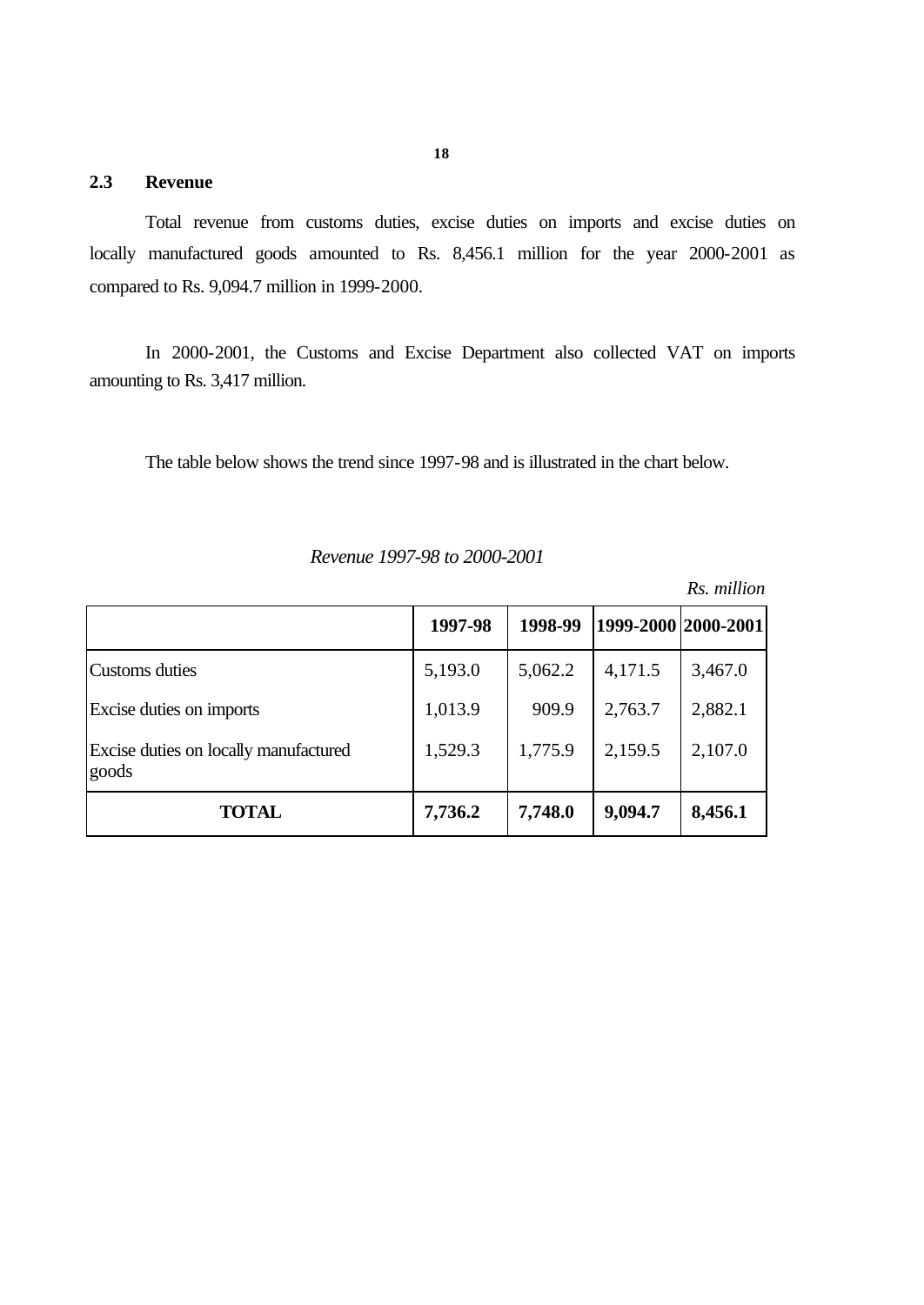### **2.3 Revenue**

Total revenue from customs duties, excise duties on imports and excise duties on locally manufactured goods amounted to Rs. 8,456.1 million for the year 2000-2001 as compared to Rs. 9,094.7 million in 1999-2000.

In 2000-2001, the Customs and Excise Department also collected VAT on imports amounting to Rs. 3,417 million.

The table below shows the trend since 1997-98 and is illustrated in the chart below.

|                                                | 1997-98 | 1998-99 | 1999-2000 2000-2001 |         |
|------------------------------------------------|---------|---------|---------------------|---------|
| Customs duties                                 | 5,193.0 | 5,062.2 | 4,171.5             | 3,467.0 |
| Excise duties on imports                       | 1,013.9 | 909.9   | 2,763.7             | 2,882.1 |
| Excise duties on locally manufactured<br>goods | 1,529.3 | 1,775.9 | 2,159.5             | 2,107.0 |
| <b>TOTAL</b>                                   | 7,736.2 | 7,748.0 | 9,094.7             | 8,456.1 |

*Revenue 1997-98 to 2000-2001*

*Rs. million*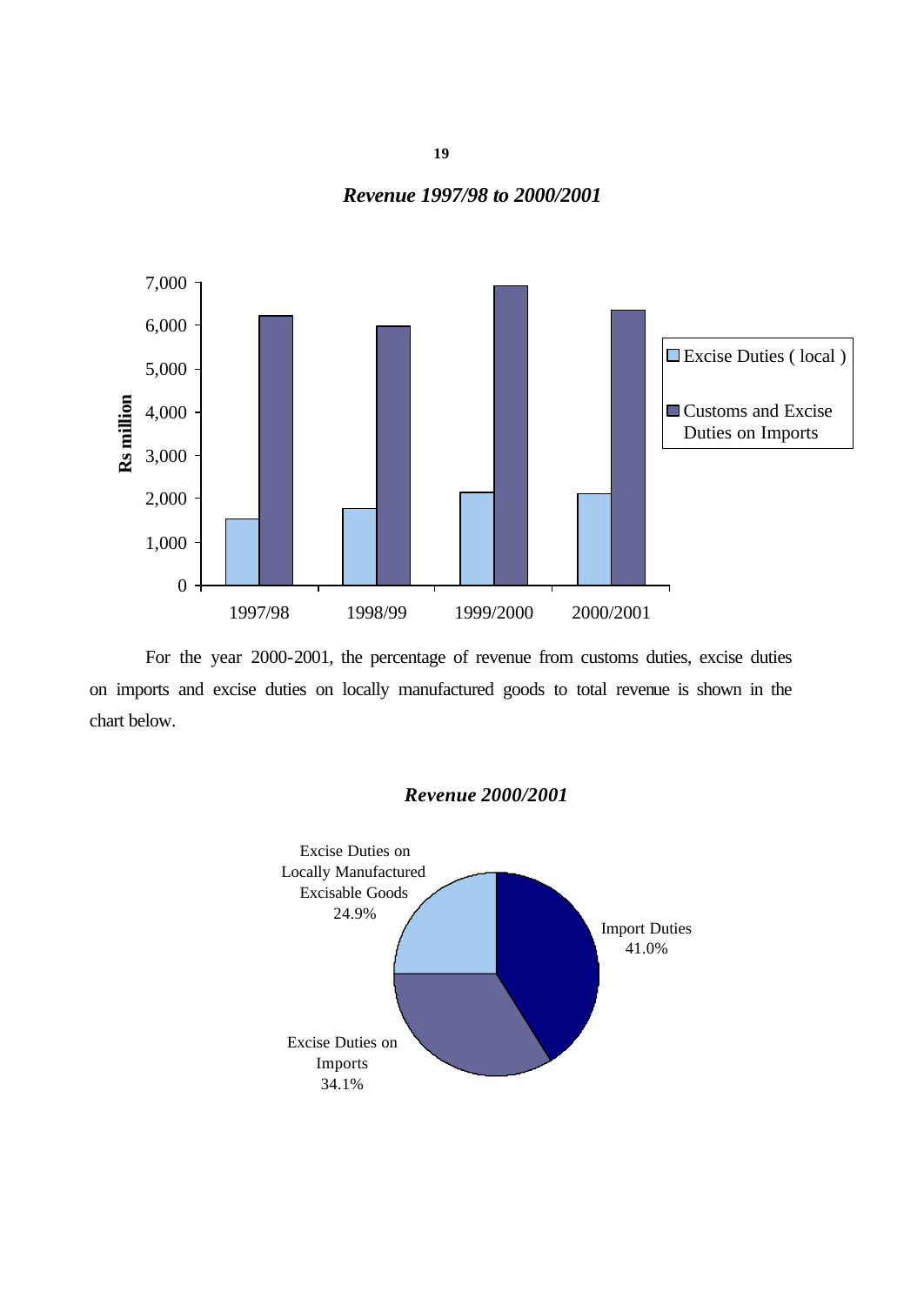**19**

#### *Revenue 1997/98 to 2000/2001*



For the year 2000-2001, the percentage of revenue from customs duties, excise duties on imports and excise duties on locally manufactured goods to total revenue is shown in the chart below.

# *Revenue 2000/2001*

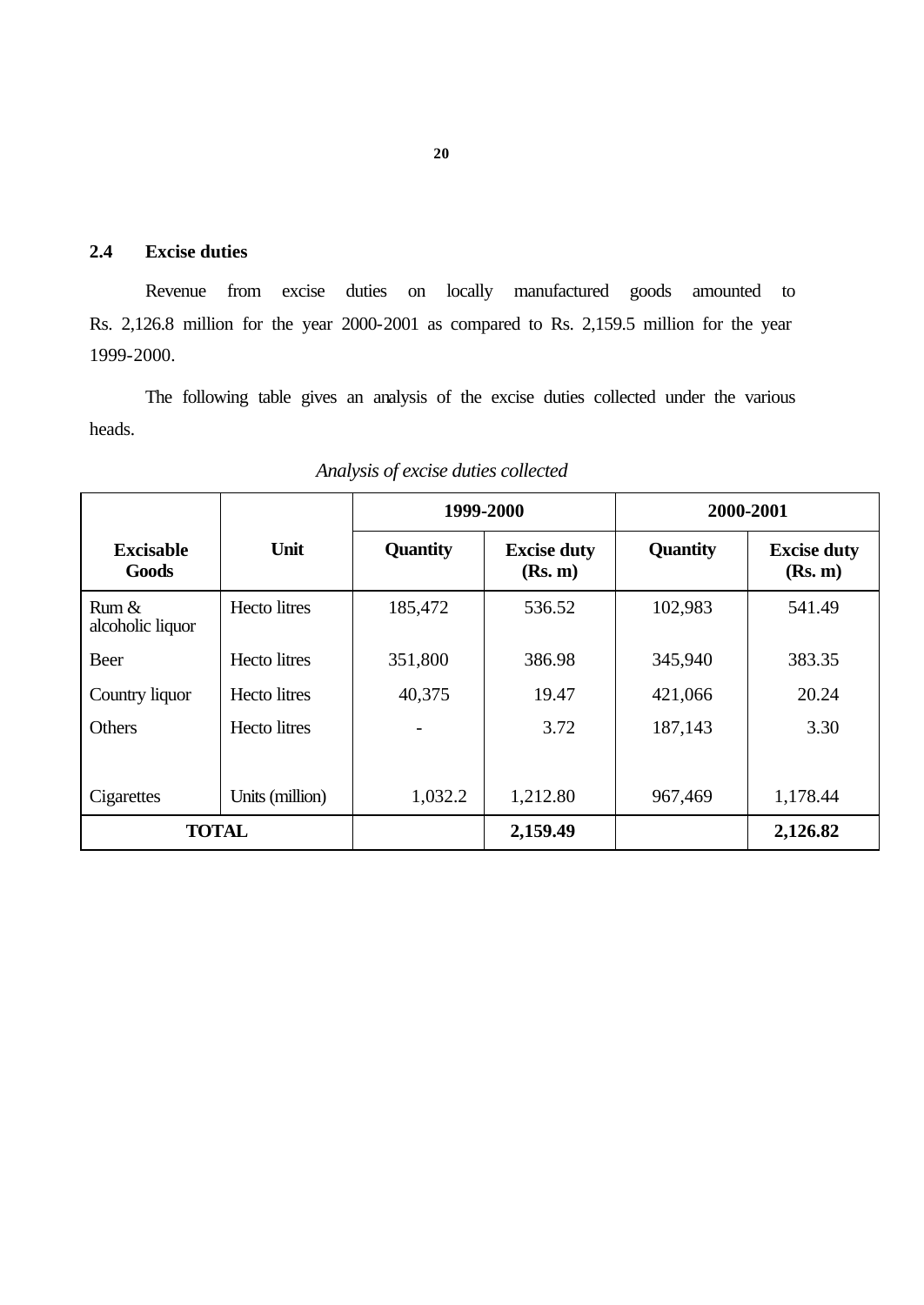# **2.4 Excise duties**

Revenue from excise duties on locally manufactured goods amounted to Rs. 2,126.8 million for the year 2000-2001 as compared to Rs. 2,159.5 million for the year 1999-2000.

The following table gives an analysis of the excise duties collected under the various heads.

|                           |                     | 1999-2000       |                               | 2000-2001       |                               |
|---------------------------|---------------------|-----------------|-------------------------------|-----------------|-------------------------------|
| <b>Excisable</b><br>Goods | Unit                | <b>Quantity</b> | <b>Excise duty</b><br>(Rs. m) | <b>Quantity</b> | <b>Excise duty</b><br>(Rs. m) |
| Rum &<br>alcoholic liquor | <b>Hecto</b> litres | 185,472         | 536.52                        | 102,983         | 541.49                        |
| Beer                      | <b>Hecto</b> litres | 351,800         | 386.98                        | 345,940         | 383.35                        |
| Country liquor            | Hecto litres        | 40,375          | 19.47                         | 421,066         | 20.24                         |
| Others                    | <b>Hecto</b> litres |                 | 3.72                          | 187,143         | 3.30                          |
| Cigarettes                | Units (million)     | 1,032.2         | 1,212.80                      | 967,469         | 1,178.44                      |
| <b>TOTAL</b>              |                     |                 | 2,159.49                      |                 | 2,126.82                      |

*Analysis of excise duties collected*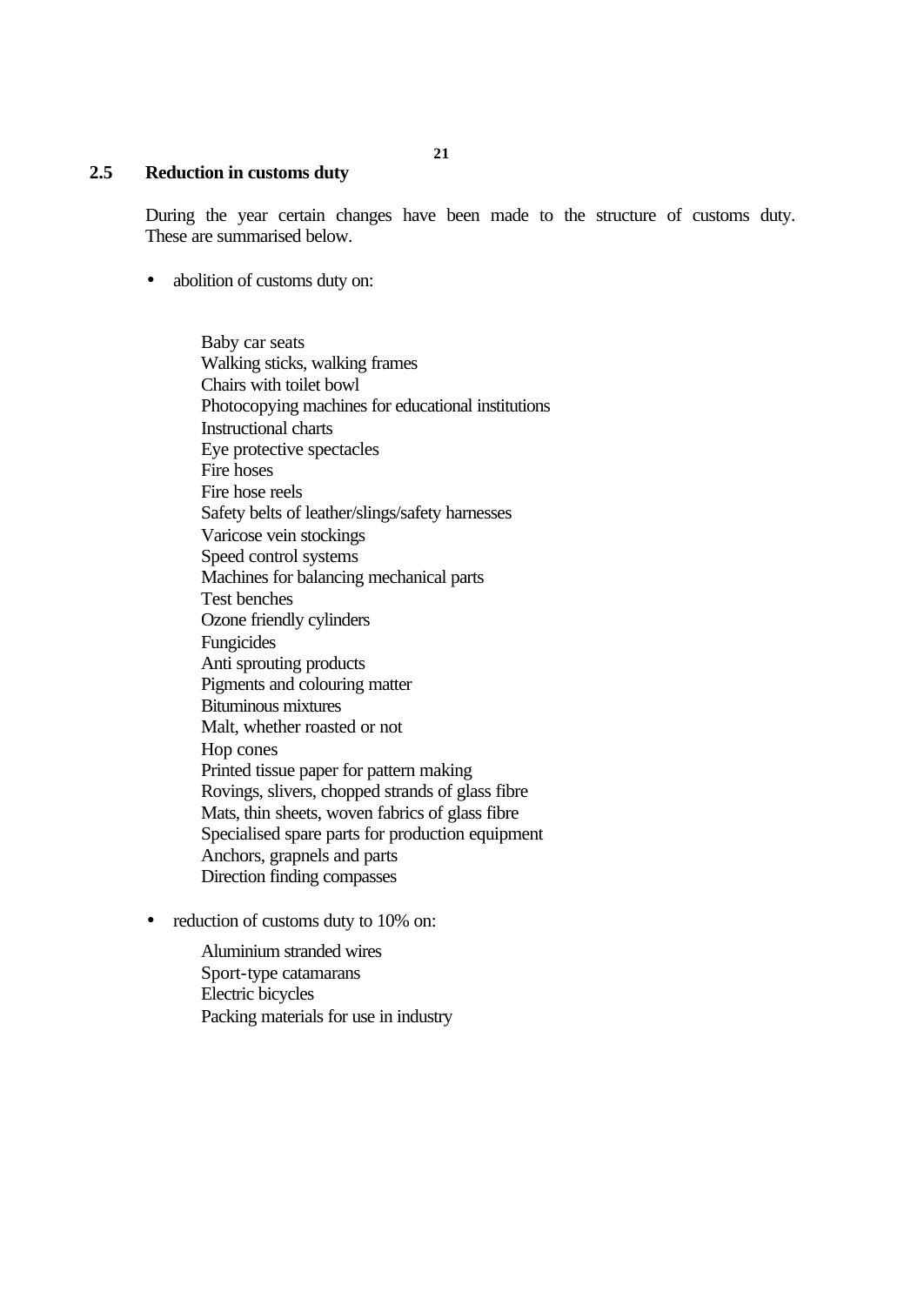**21**

#### **2.5 Reduction in customs duty**

During the year certain changes have been made to the structure of customs duty. These are summarised below.

• abolition of customs duty on:

Baby car seats Walking sticks, walking frames Chairs with toilet bowl Photocopying machines for educational institutions Instructional charts Eye protective spectacles Fire hoses Fire hose reels Safety belts of leather/slings/safety harnesses Varicose vein stockings Speed control systems Machines for balancing mechanical parts Test benches Ozone friendly cylinders Fungicides Anti sprouting products Pigments and colouring matter Bituminous mixtures Malt, whether roasted or not Hop cones Printed tissue paper for pattern making Rovings, slivers, chopped strands of glass fibre Mats, thin sheets, woven fabrics of glass fibre Specialised spare parts for production equipment Anchors, grapnels and parts Direction finding compasses

• reduction of customs duty to 10% on:

Aluminium stranded wires Sport-type catamarans Electric bicycles Packing materials for use in industry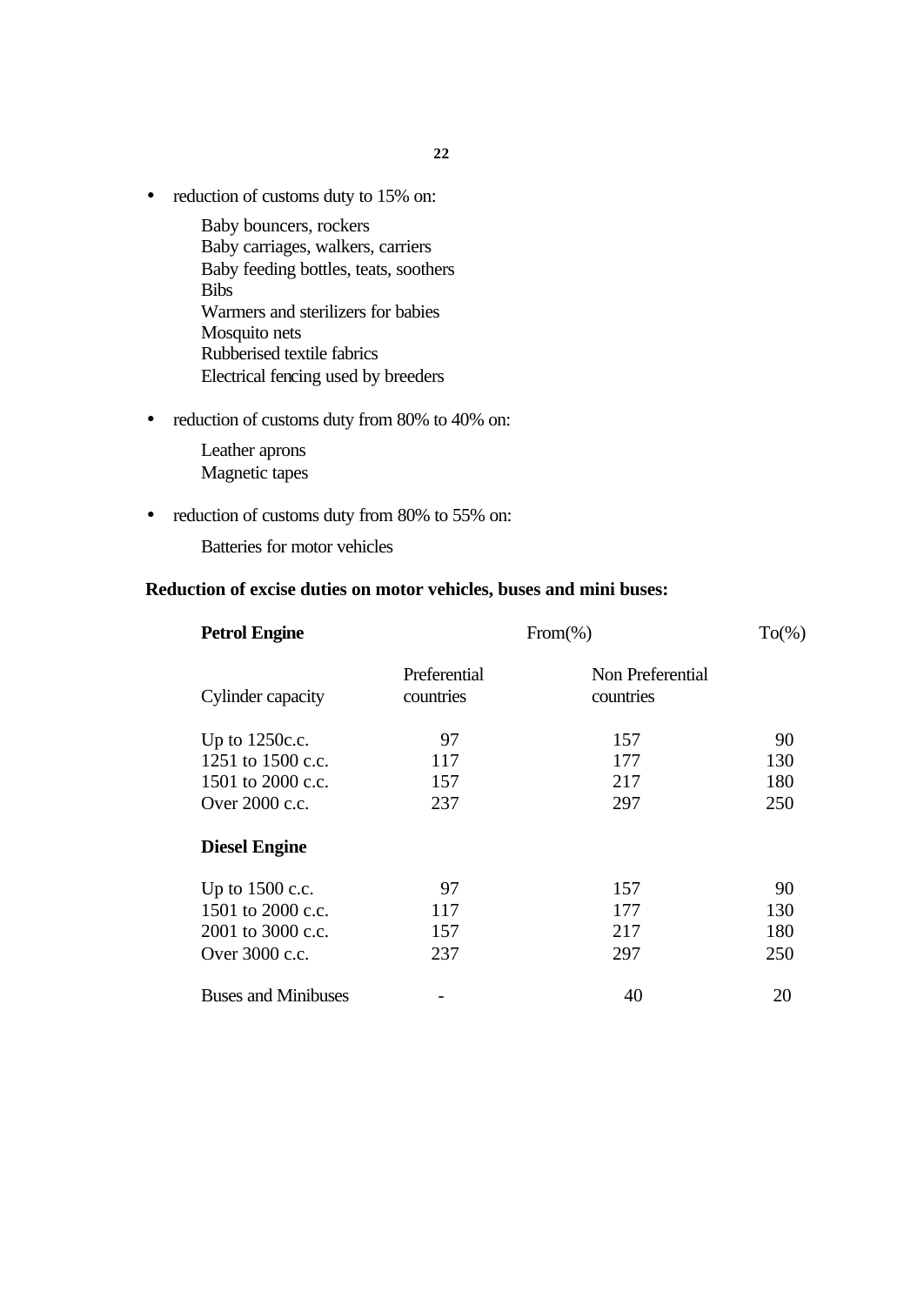• reduction of customs duty to 15% on:

Baby bouncers, rockers Baby carriages, walkers, carriers Baby feeding bottles, teats, soothers Bibs Warmers and sterilizers for babies Mosquito nets Rubberised textile fabrics Electrical fencing used by breeders

• reduction of customs duty from 80% to 40% on:

Leather aprons Magnetic tapes

• reduction of customs duty from 80% to 55% on:

Batteries for motor vehicles

# **Reduction of excise duties on motor vehicles, buses and mini buses:**

| <b>Petrol Engine</b>       | $From(\% )$               |                               |     |
|----------------------------|---------------------------|-------------------------------|-----|
| Cylinder capacity          | Preferential<br>countries | Non Preferential<br>countries |     |
| Up to $1250c.c.$           | 97                        | 157                           | 90  |
| 1251 to 1500 c.c.          | 117                       | 177                           | 130 |
| 1501 to 2000 c.c.          | 157                       | 217                           | 180 |
| Over 2000 c.c.             | 237                       | 297                           | 250 |
| <b>Diesel Engine</b>       |                           |                               |     |
| Up to $1500$ c.c.          | 97                        | 157                           | 90  |
| 1501 to 2000 c.c.          | 117                       | 177                           | 130 |
| 2001 to 3000 c.c.          | 157                       | 217                           | 180 |
| Over 3000 c.c.             | 237                       | 297                           | 250 |
| <b>Buses and Minibuses</b> |                           | 40                            | 20  |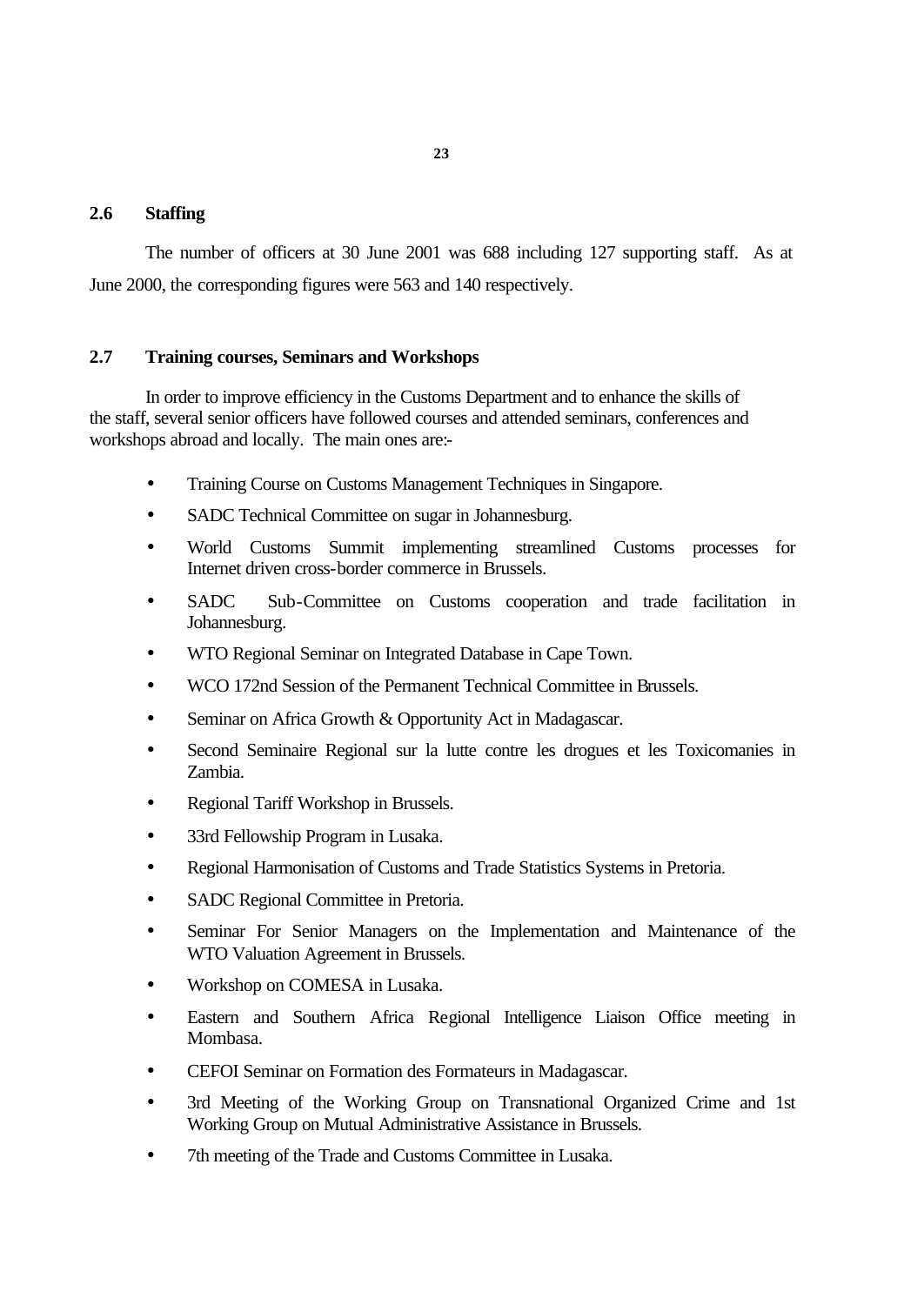#### **2.6 Staffing**

The number of officers at 30 June 2001 was 688 including 127 supporting staff. As at June 2000, the corresponding figures were 563 and 140 respectively.

#### **2.7 Training courses, Seminars and Workshops**

In order to improve efficiency in the Customs Department and to enhance the skills of the staff, several senior officers have followed courses and attended seminars, conferences and workshops abroad and locally. The main ones are:-

- Training Course on Customs Management Techniques in Singapore.
- SADC Technical Committee on sugar in Johannesburg.
- World Customs Summit implementing streamlined Customs processes for Internet driven cross-border commerce in Brussels.
- SADC Sub-Committee on Customs cooperation and trade facilitation in Johannesburg.
- WTO Regional Seminar on Integrated Database in Cape Town.
- WCO 172nd Session of the Permanent Technical Committee in Brussels.
- Seminar on Africa Growth & Opportunity Act in Madagascar.
- Second Seminaire Regional sur la lutte contre les drogues et les Toxicomanies in Zambia.
- Regional Tariff Workshop in Brussels.
- 33rd Fellowship Program in Lusaka.
- Regional Harmonisation of Customs and Trade Statistics Systems in Pretoria.
- SADC Regional Committee in Pretoria.
- Seminar For Senior Managers on the Implementation and Maintenance of the WTO Valuation Agreement in Brussels.
- Workshop on COMESA in Lusaka.
- Eastern and Southern Africa Regional Intelligence Liaison Office meeting in Mombasa.
- CEFOI Seminar on Formation des Formateurs in Madagascar.
- 3rd Meeting of the Working Group on Transnational Organized Crime and 1st Working Group on Mutual Administrative Assistance in Brussels.
- 7th meeting of the Trade and Customs Committee in Lusaka.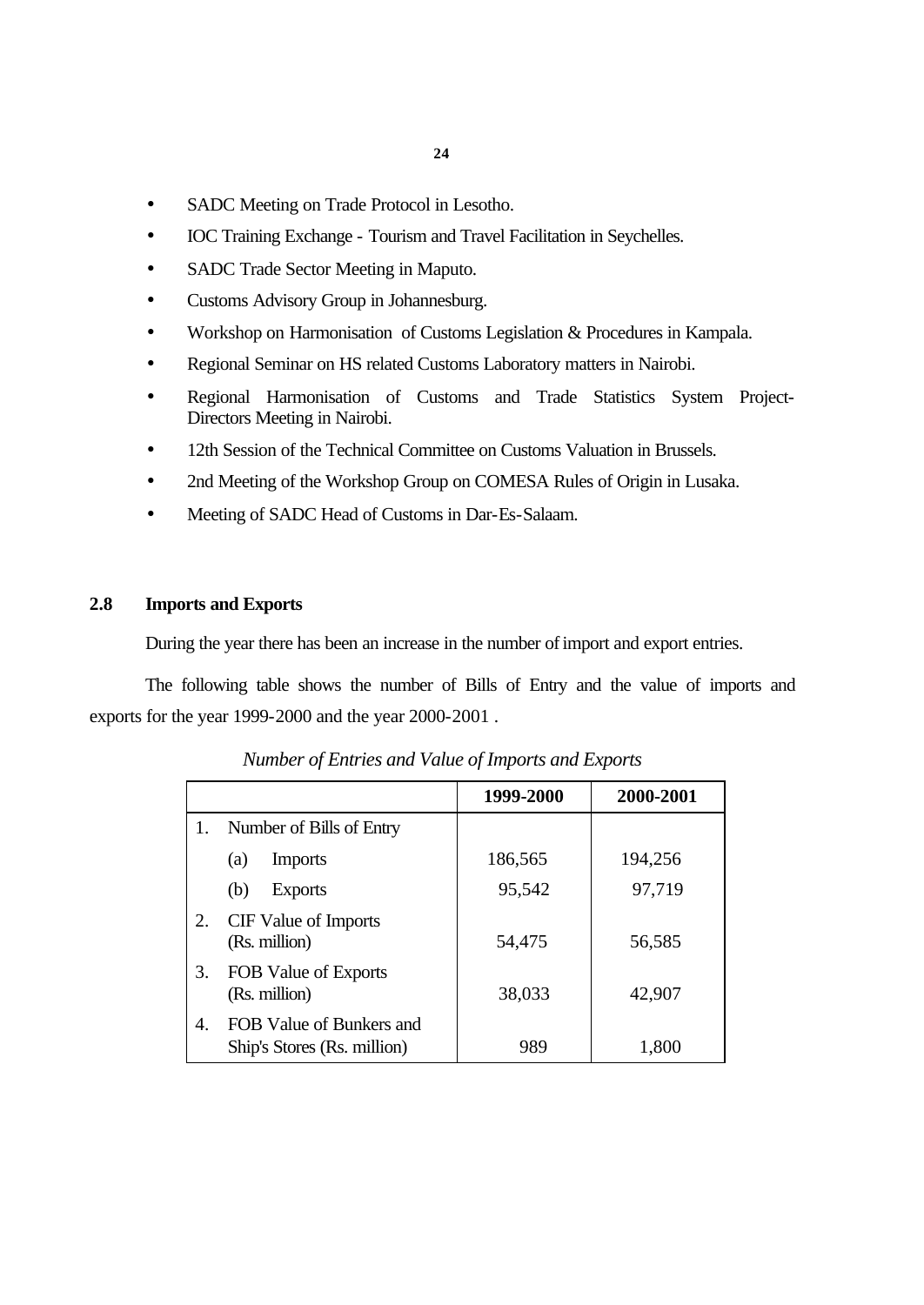- SADC Meeting on Trade Protocol in Lesotho.
- IOC Training Exchange Tourism and Travel Facilitation in Seychelles.
- SADC Trade Sector Meeting in Maputo.
- Customs Advisory Group in Johannesburg.
- Workshop on Harmonisation of Customs Legislation & Procedures in Kampala.
- Regional Seminar on HS related Customs Laboratory matters in Nairobi.
- Regional Harmonisation of Customs and Trade Statistics System Project-Directors Meeting in Nairobi.
- 12th Session of the Technical Committee on Customs Valuation in Brussels.
- 2nd Meeting of the Workshop Group on COMESA Rules of Origin in Lusaka.
- Meeting of SADC Head of Customs in Dar-Es-Salaam.

# **2.8 Imports and Exports**

During the year there has been an increase in the number of import and export entries.

The following table shows the number of Bills of Entry and the value of imports and exports for the year 1999-2000 and the year 2000-2001 .

|    |                                                         | 1999-2000 | 2000-2001 |
|----|---------------------------------------------------------|-----------|-----------|
|    | Number of Bills of Entry                                |           |           |
|    | <b>Imports</b><br>(a)                                   | 186,565   | 194,256   |
|    | (b)<br><b>Exports</b>                                   | 95,542    | 97,719    |
| 2. | CIF Value of Imports<br>(Rs. million)                   | 54,475    | 56,585    |
| 3. | FOB Value of Exports<br>(Rs. million)                   | 38,033    | 42,907    |
| 4. | FOB Value of Bunkers and<br>Ship's Stores (Rs. million) | 989       | 1,800     |

*Number of Entries and Value of Imports and Exports*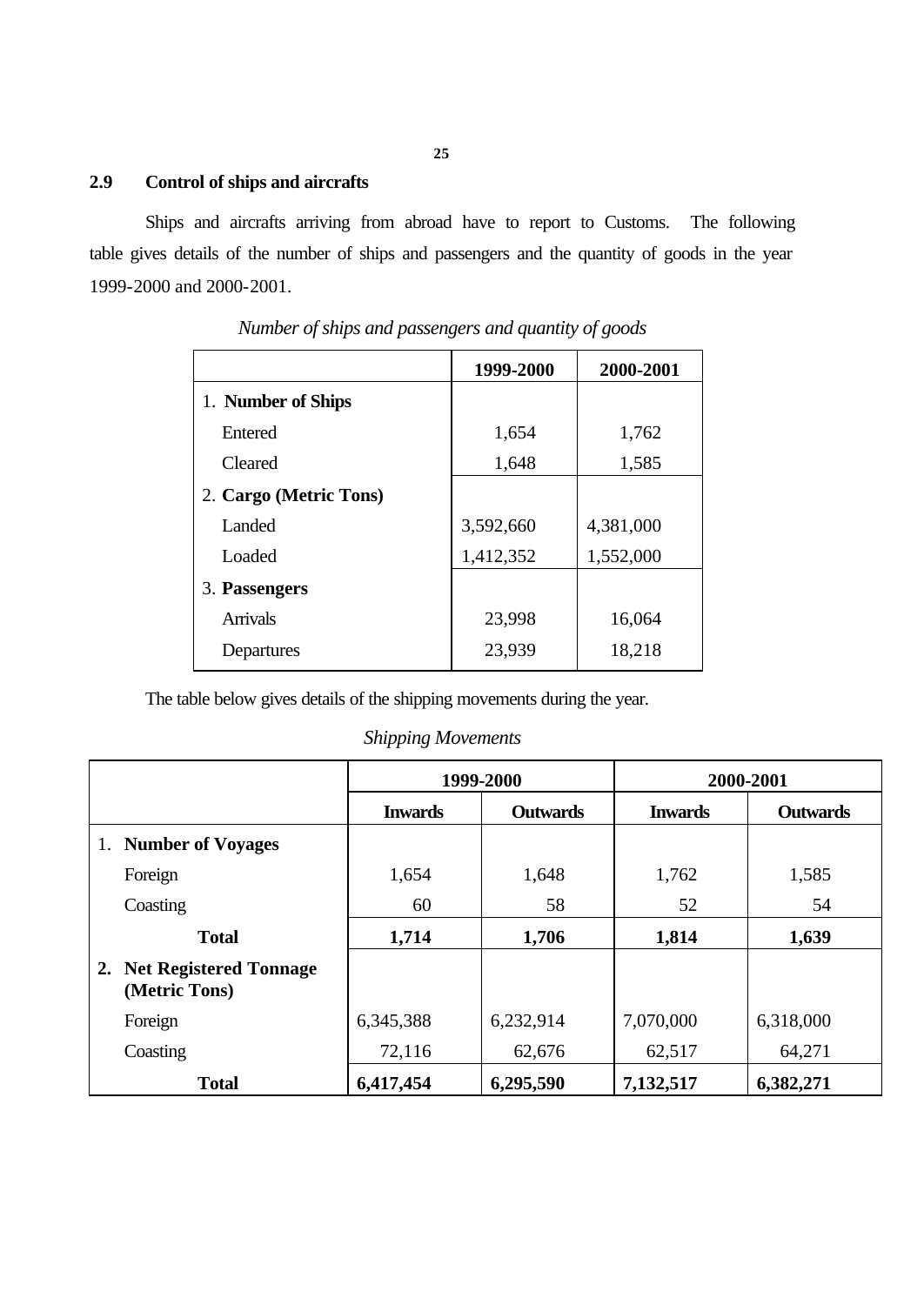# **2.9 Control of ships and aircrafts**

Ships and aircrafts arriving from abroad have to report to Customs. The following table gives details of the number of ships and passengers and the quantity of goods in the year 1999-2000 and 2000-2001.

|                        | 1999-2000 | 2000-2001 |
|------------------------|-----------|-----------|
| 1. Number of Ships     |           |           |
| Entered                | 1,654     | 1,762     |
| Cleared                | 1,648     | 1,585     |
| 2. Cargo (Metric Tons) |           |           |
| Landed                 | 3,592,660 | 4,381,000 |
| Loaded                 | 1,412,352 | 1,552,000 |
| 3. Passengers          |           |           |
| <b>Arrivals</b>        | 23,998    | 16,064    |
| Departures             | 23,939    | 18,218    |

*Number of ships and passengers and quantity of goods*

The table below gives details of the shipping movements during the year.

*Shipping Movements*

|                                            | 1999-2000      |                 | 2000-2001      |                 |
|--------------------------------------------|----------------|-----------------|----------------|-----------------|
|                                            | <b>Inwards</b> | <b>Outwards</b> | <b>Inwards</b> | <b>Outwards</b> |
| 1. Number of Voyages                       |                |                 |                |                 |
| Foreign                                    | 1,654          | 1,648           | 1,762          | 1,585           |
| Coasting                                   | 60             | 58              | 52             | 54              |
| <b>Total</b>                               | 1,714          | 1,706           | 1,814          | 1,639           |
| 2. Net Registered Tonnage<br>(Metric Tons) |                |                 |                |                 |
| Foreign                                    | 6,345,388      | 6,232,914       | 7,070,000      | 6,318,000       |
| Coasting                                   | 72,116         | 62,676          | 62,517         | 64,271          |
| <b>Total</b>                               | 6,417,454      | 6,295,590       | 7,132,517      | 6,382,271       |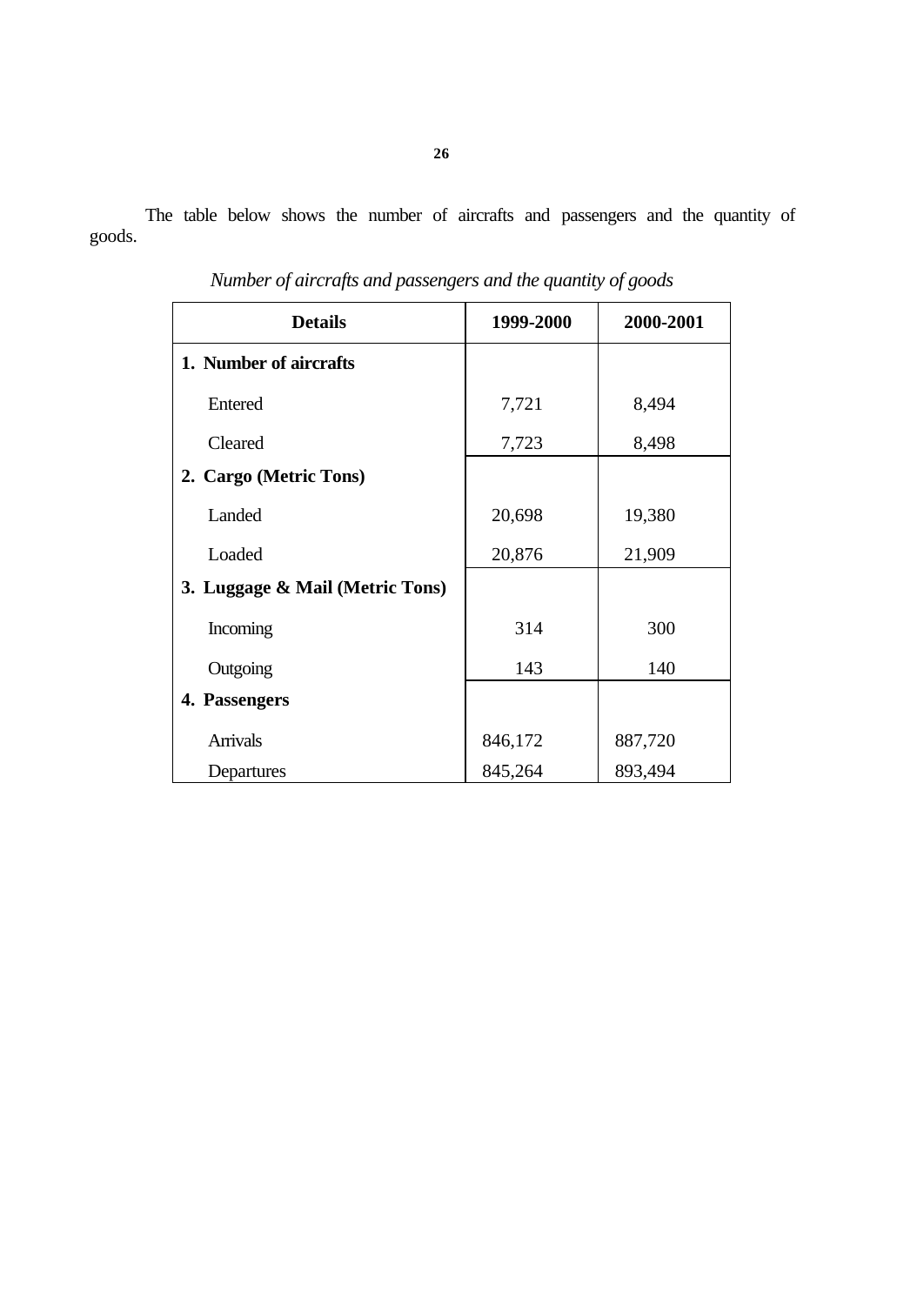The table below shows the number of aircrafts and passengers and the quantity of goods.

| <b>Details</b>                  | 1999-2000 | 2000-2001 |
|---------------------------------|-----------|-----------|
| 1. Number of aircrafts          |           |           |
| Entered                         | 7,721     | 8,494     |
| Cleared                         | 7,723     | 8,498     |
| 2. Cargo (Metric Tons)          |           |           |
| Landed                          | 20,698    | 19,380    |
| Loaded                          | 20,876    | 21,909    |
| 3. Luggage & Mail (Metric Tons) |           |           |
| Incoming                        | 314       | 300       |
| Outgoing                        | 143       | 140       |
| 4. Passengers                   |           |           |
| <b>Arrivals</b>                 | 846,172   | 887,720   |
| Departures                      | 845,264   | 893,494   |

*Number of aircrafts and passengers and the quantity of goods*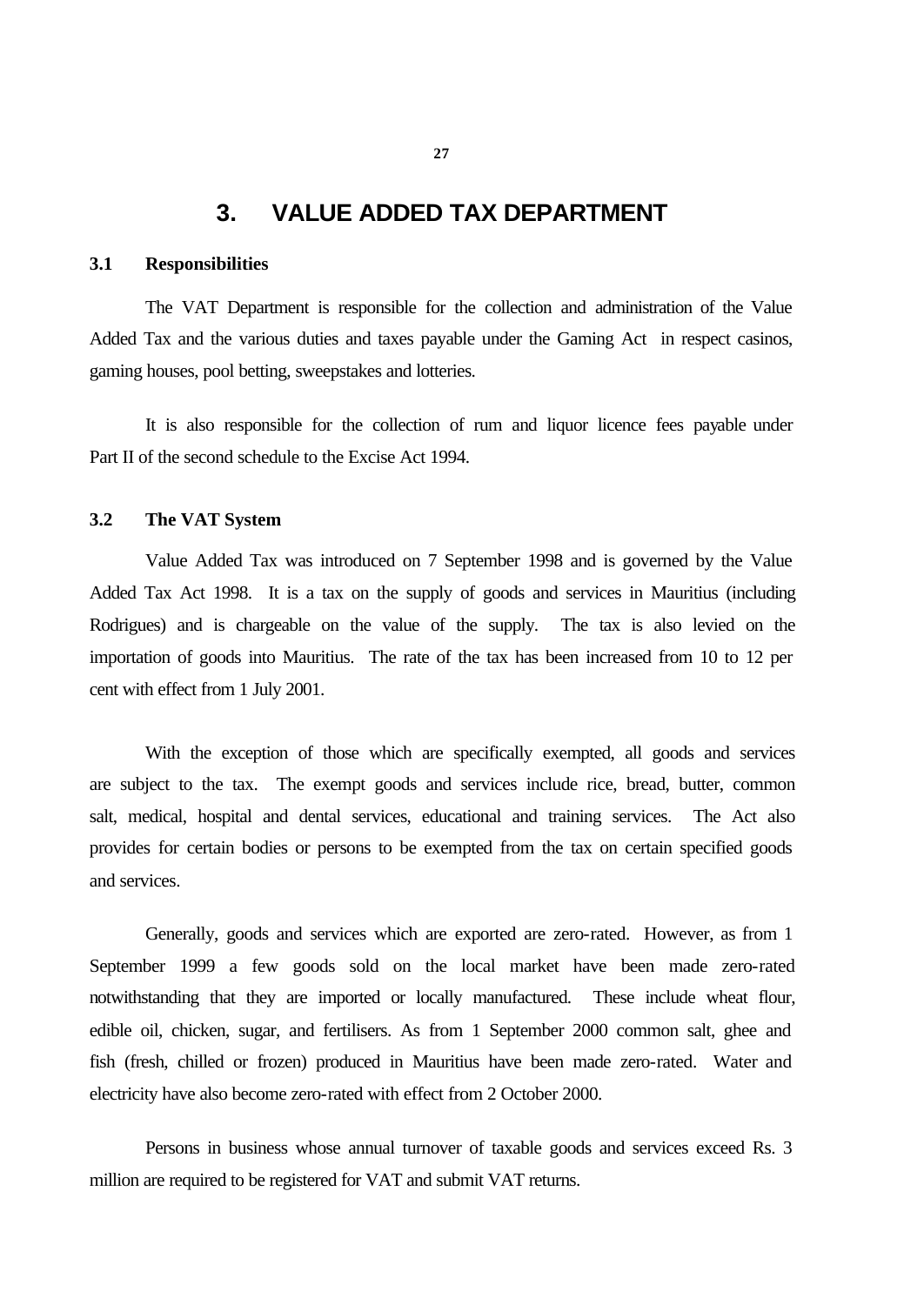# **3. VALUE ADDED TAX DEPARTMENT**

#### **3.1 Responsibilities**

The VAT Department is responsible for the collection and administration of the Value Added Tax and the various duties and taxes payable under the Gaming Act in respect casinos, gaming houses, pool betting, sweepstakes and lotteries.

It is also responsible for the collection of rum and liquor licence fees payable under Part II of the second schedule to the Excise Act 1994.

# **3.2 The VAT System**

Value Added Tax was introduced on 7 September 1998 and is governed by the Value Added Tax Act 1998. It is a tax on the supply of goods and services in Mauritius (including Rodrigues) and is chargeable on the value of the supply. The tax is also levied on the importation of goods into Mauritius. The rate of the tax has been increased from 10 to 12 per cent with effect from 1 July 2001.

With the exception of those which are specifically exempted, all goods and services are subject to the tax. The exempt goods and services include rice, bread, butter, common salt, medical, hospital and dental services, educational and training services. The Act also provides for certain bodies or persons to be exempted from the tax on certain specified goods and services.

Generally, goods and services which are exported are zero-rated. However, as from 1 September 1999 a few goods sold on the local market have been made zero-rated notwithstanding that they are imported or locally manufactured. These include wheat flour, edible oil, chicken, sugar, and fertilisers. As from 1 September 2000 common salt, ghee and fish (fresh, chilled or frozen) produced in Mauritius have been made zero-rated. Water and electricity have also become zero-rated with effect from 2 October 2000.

Persons in business whose annual turnover of taxable goods and services exceed Rs. 3 million are required to be registered for VAT and submit VAT returns.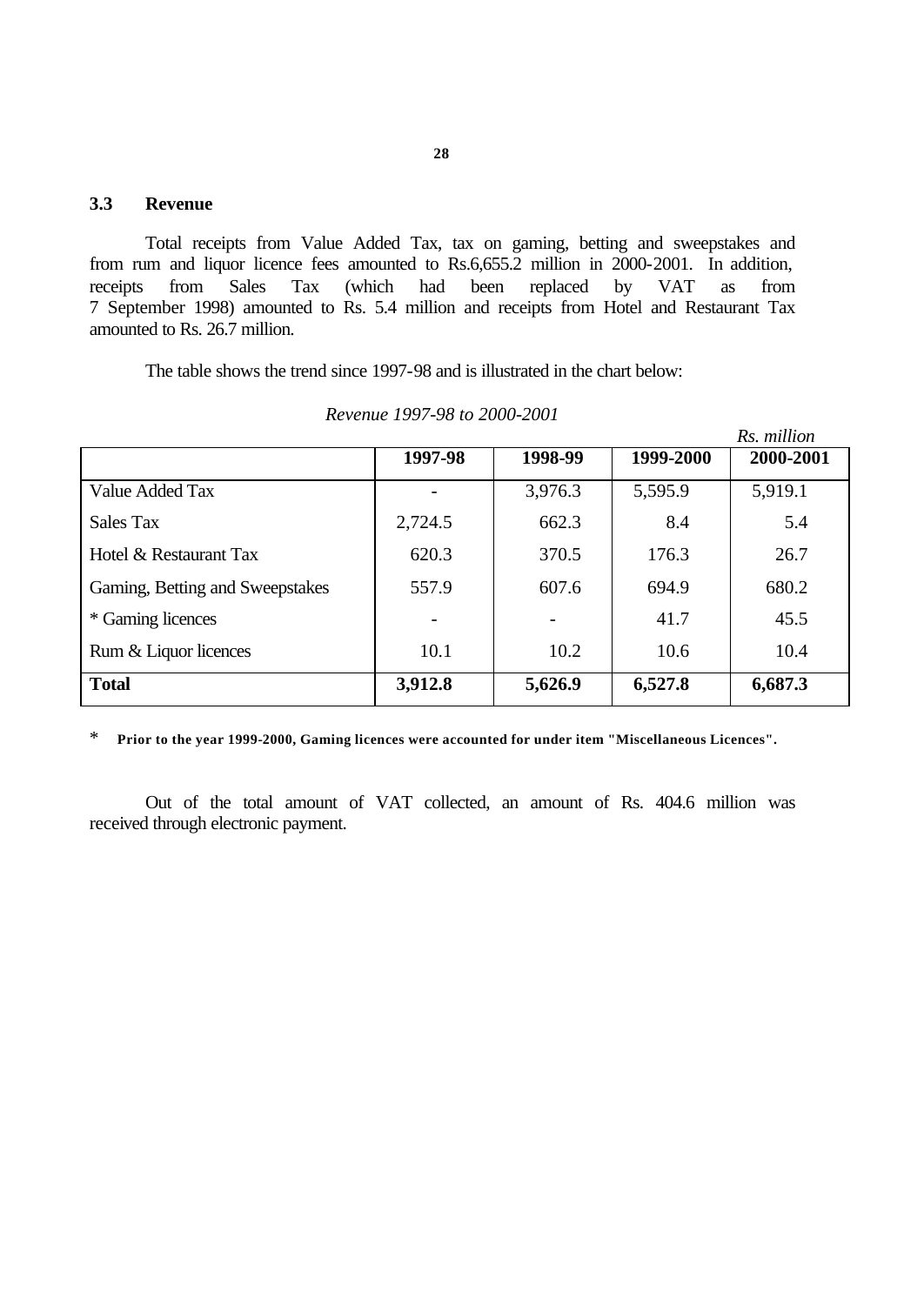# **3.3 Revenue**

Total receipts from Value Added Tax, tax on gaming, betting and sweepstakes and from rum and liquor licence fees amounted to Rs.6,655.2 million in 2000-2001. In addition, receipts from Sales Tax (which had been replaced by VAT as from 7 September 1998) amounted to Rs. 5.4 million and receipts from Hotel and Restaurant Tax amounted to Rs. 26.7 million.

The table shows the trend since 1997-98 and is illustrated in the chart below:

|                                 |         |         |           | Rs. million |
|---------------------------------|---------|---------|-----------|-------------|
|                                 | 1997-98 | 1998-99 | 1999-2000 | 2000-2001   |
| Value Added Tax                 |         | 3,976.3 | 5,595.9   | 5,919.1     |
| Sales Tax                       | 2,724.5 | 662.3   | 8.4       | 5.4         |
| Hotel & Restaurant Tax          | 620.3   | 370.5   | 176.3     | 26.7        |
| Gaming, Betting and Sweepstakes | 557.9   | 607.6   | 694.9     | 680.2       |
| * Gaming licences               |         |         | 41.7      | 45.5        |
| Rum & Liquor licences           | 10.1    | 10.2    | 10.6      | 10.4        |
| <b>Total</b>                    | 3,912.8 | 5,626.9 | 6,527.8   | 6,687.3     |

*Revenue 1997-98 to 2000-2001*

\* **Prior to the year 1999-2000, Gaming licences were accounted for under item "Miscellaneous Licences".**

Out of the total amount of VAT collected, an amount of Rs. 404.6 million was received through electronic payment.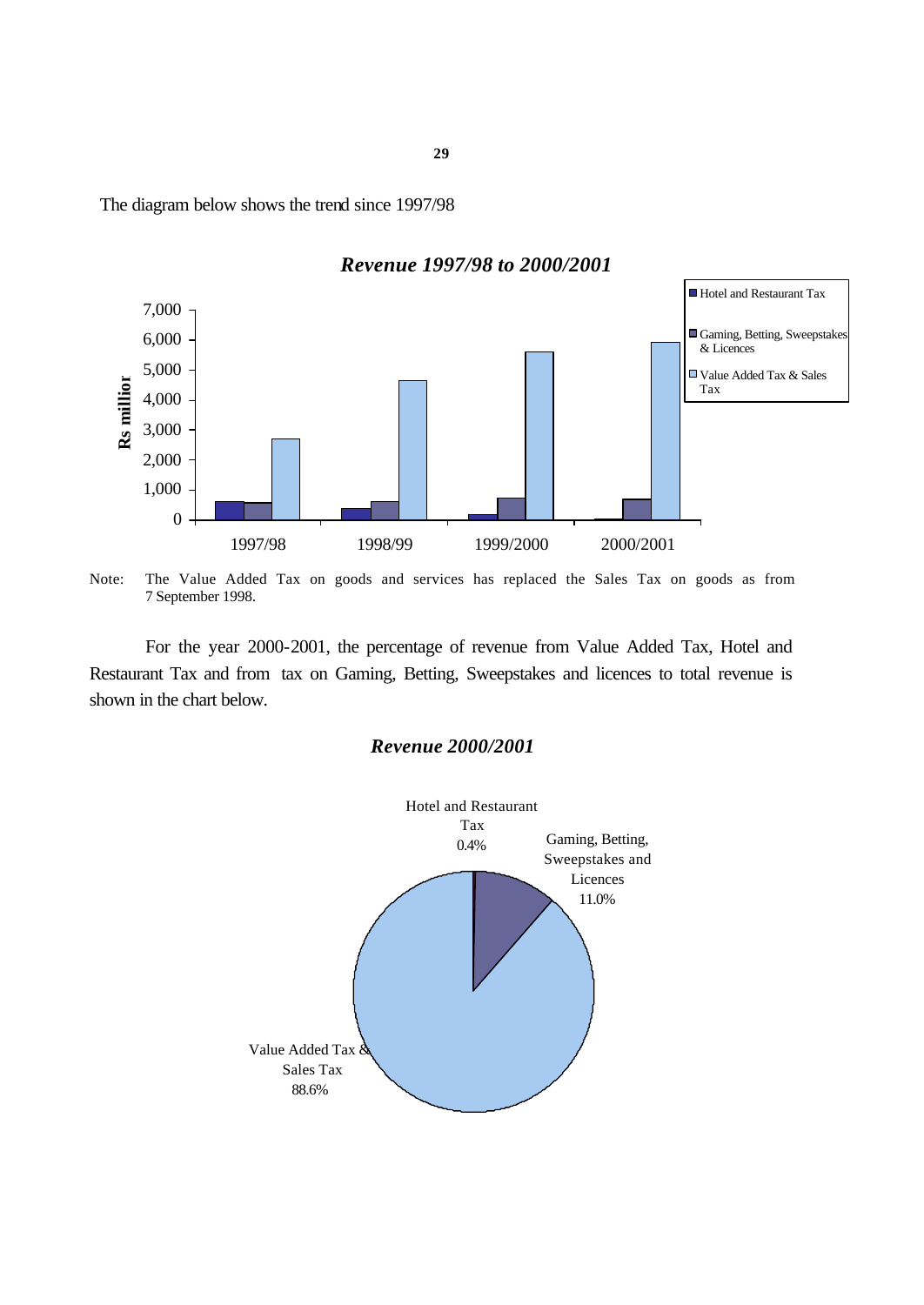The diagram below shows the trend since 1997/98



*Revenue 1997/98 to 2000/2001* 

Note: The Value Added Tax on goods and services has replaced the Sales Tax on goods as from 7 September 1998.

For the year 2000-2001, the percentage of revenue from Value Added Tax, Hotel and Restaurant Tax and from tax on Gaming, Betting, Sweepstakes and licences to total revenue is shown in the chart below.

#### *Revenue 2000/2001*

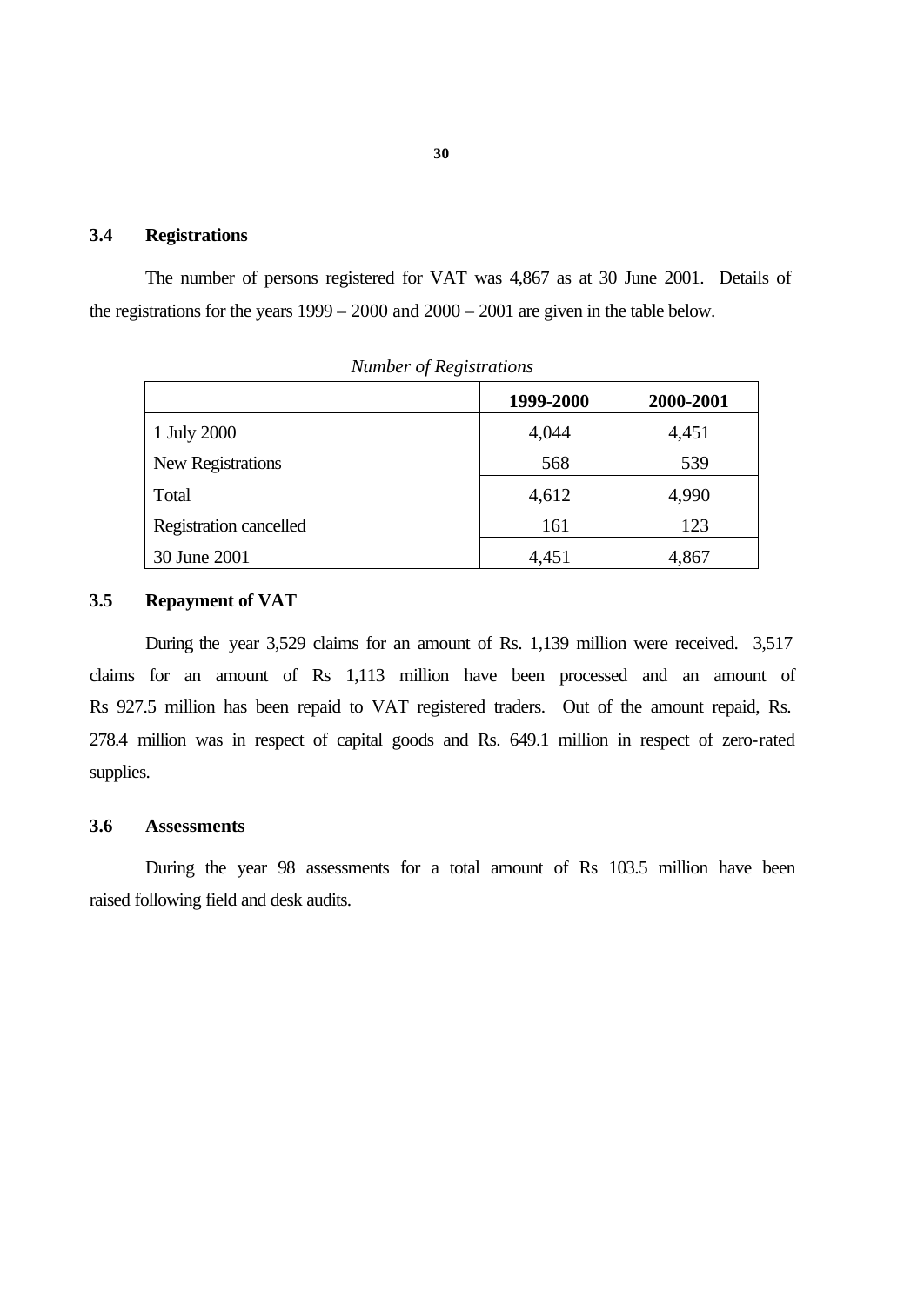### **3.4 Registrations**

The number of persons registered for VAT was 4,867 as at 30 June 2001. Details of the registrations for the years 1999 – 2000 and 2000 – 2001 are given in the table below.

| <i>ivaniber b Registrations</i> |           |           |  |  |  |
|---------------------------------|-----------|-----------|--|--|--|
|                                 | 1999-2000 | 2000-2001 |  |  |  |
| 1 July 2000                     | 4,044     | 4,451     |  |  |  |
| New Registrations               | 568       | 539       |  |  |  |
| Total                           | 4,612     | 4,990     |  |  |  |
| Registration cancelled          | 161       | 123       |  |  |  |
| 30 June 2001                    | 4,451     | 4,867     |  |  |  |

*Number of Registrations*

#### **3.5 Repayment of VAT**

During the year 3,529 claims for an amount of Rs. 1,139 million were received. 3,517 claims for an amount of Rs 1,113 million have been processed and an amount of Rs 927.5 million has been repaid to VAT registered traders. Out of the amount repaid, Rs. 278.4 million was in respect of capital goods and Rs. 649.1 million in respect of zero-rated supplies.

#### **3.6 Assessments**

During the year 98 assessments for a total amount of Rs 103.5 million have been raised following field and desk audits.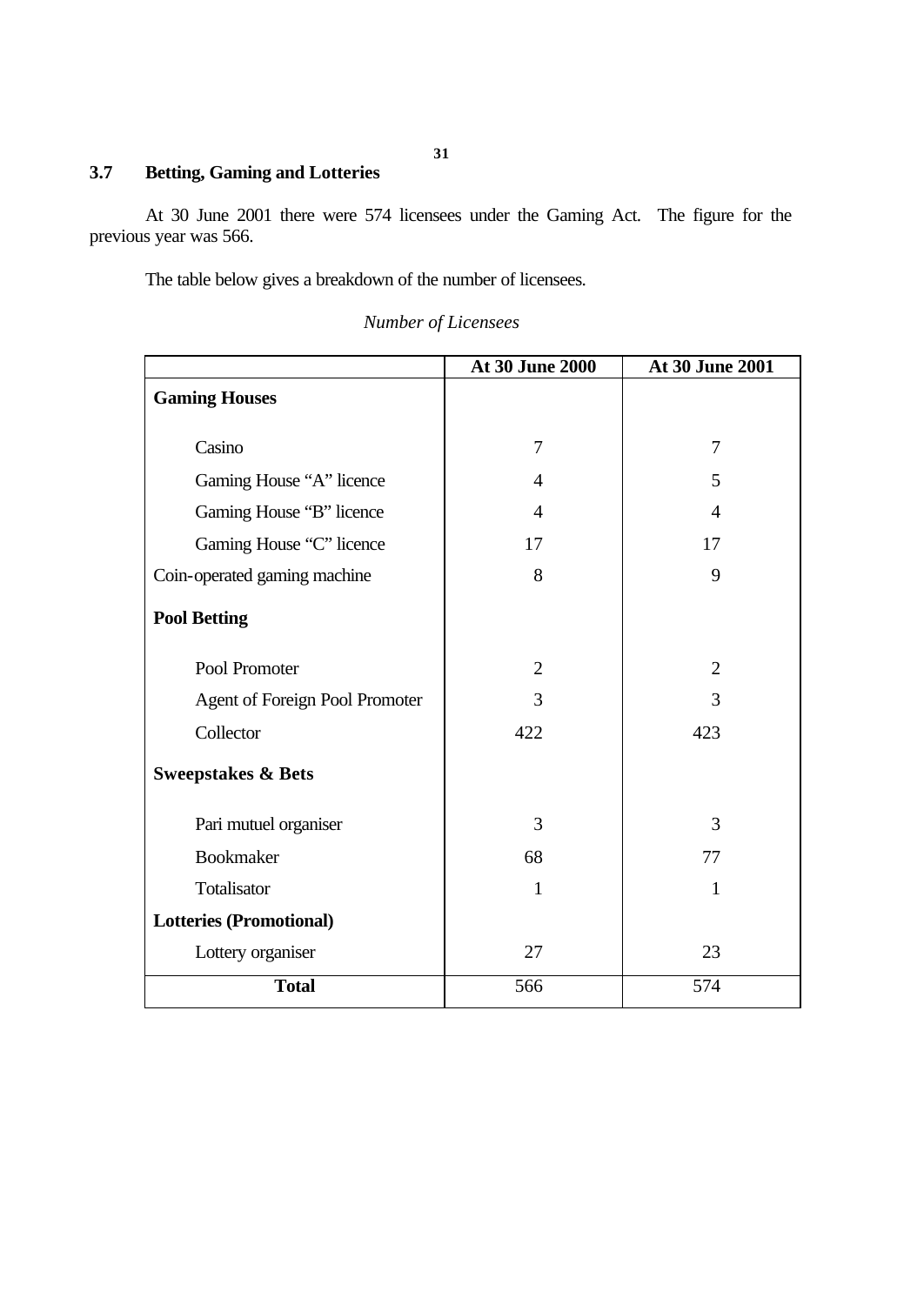# **3.7 Betting, Gaming and Lotteries**

At 30 June 2001 there were 574 licensees under the Gaming Act. The figure for the previous year was 566.

The table below gives a breakdown of the number of licensees.

|                                       | At 30 June 2000 | At 30 June 2001 |
|---------------------------------------|-----------------|-----------------|
| <b>Gaming Houses</b>                  |                 |                 |
|                                       |                 |                 |
| Casino                                | $\overline{7}$  | 7               |
| Gaming House "A" licence              | $\overline{4}$  | 5               |
| Gaming House "B" licence              | $\overline{4}$  | $\overline{4}$  |
| Gaming House "C" licence              | 17              | 17              |
| Coin-operated gaming machine          | 8               | 9               |
| <b>Pool Betting</b>                   |                 |                 |
| Pool Promoter                         | $\overline{2}$  | $\overline{2}$  |
| <b>Agent of Foreign Pool Promoter</b> | 3               | 3               |
| Collector                             | 422             | 423             |
| <b>Sweepstakes &amp; Bets</b>         |                 |                 |
| Pari mutuel organiser                 | 3               | 3               |
| <b>Bookmaker</b>                      | 68              | 77              |
| Totalisator                           | 1               | $\mathbf{1}$    |
| <b>Lotteries (Promotional)</b>        |                 |                 |
| Lottery organiser                     | 27              | 23              |
| <b>Total</b>                          | 566             | 574             |

*Number of Licensees*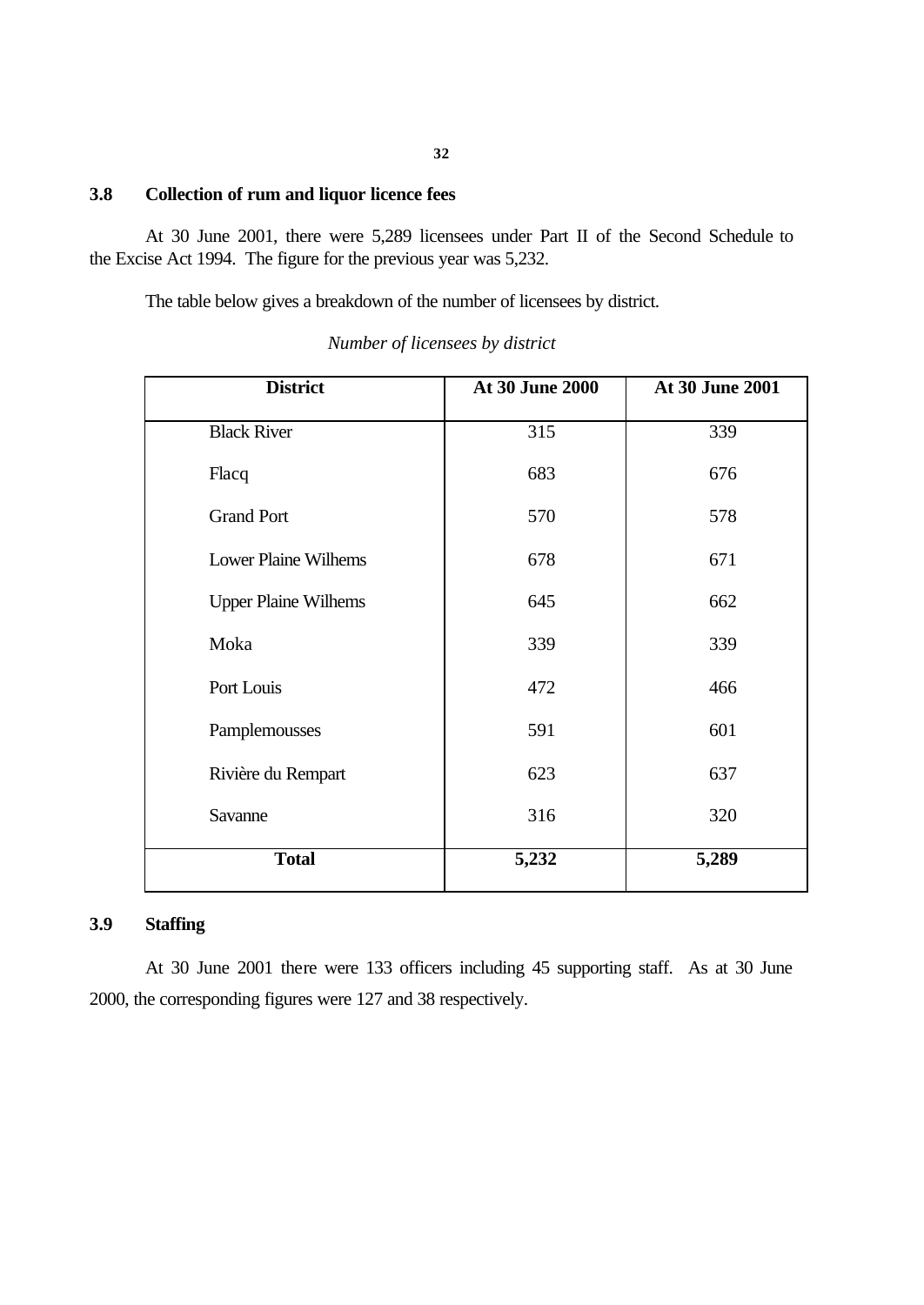#### **3.8 Collection of rum and liquor licence fees**

At 30 June 2001, there were 5,289 licensees under Part II of the Second Schedule to the Excise Act 1994. The figure for the previous year was 5,232.

The table below gives a breakdown of the number of licensees by district.

| <b>District</b>             | <b>At 30 June 2000</b> | At 30 June 2001 |
|-----------------------------|------------------------|-----------------|
| <b>Black River</b>          | 315                    | 339             |
| Flacq                       | 683                    | 676             |
| <b>Grand Port</b>           | 570                    | 578             |
| <b>Lower Plaine Wilhems</b> | 678                    | 671             |
| <b>Upper Plaine Wilhems</b> | 645                    | 662             |
| Moka                        | 339                    | 339             |
| Port Louis                  | 472                    | 466             |
| Pamplemousses               | 591                    | 601             |
| Rivière du Rempart          | 623                    | 637             |
| Savanne                     | 316                    | 320             |
| <b>Total</b>                | 5,232                  | 5,289           |

*Number of licensees by district*

## **3.9 Staffing**

At 30 June 2001 there were 133 officers including 45 supporting staff. As at 30 June 2000, the corresponding figures were 127 and 38 respectively.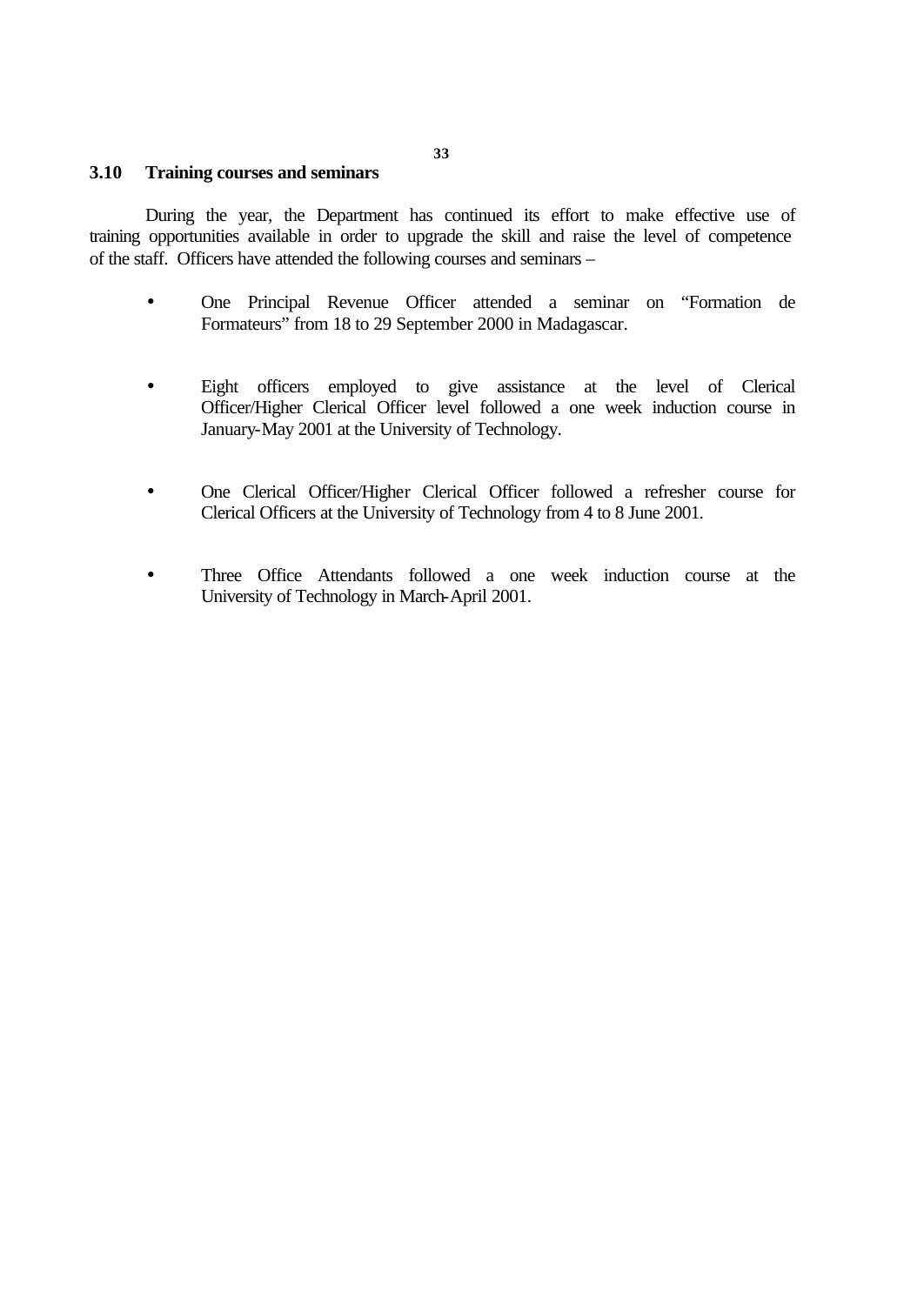#### **3.10 Training courses and seminars**

During the year, the Department has continued its effort to make effective use of training opportunities available in order to upgrade the skill and raise the level of competence of the staff. Officers have attended the following courses and seminars –

- One Principal Revenue Officer attended a seminar on "Formation de Formateurs" from 18 to 29 September 2000 in Madagascar.
- Eight officers employed to give assistance at the level of Clerical Officer/Higher Clerical Officer level followed a one week induction course in January-May 2001 at the University of Technology.
- One Clerical Officer/Higher Clerical Officer followed a refresher course for Clerical Officers at the University of Technology from 4 to 8 June 2001.
- Three Office Attendants followed a one week induction course at the University of Technology in March-April 2001.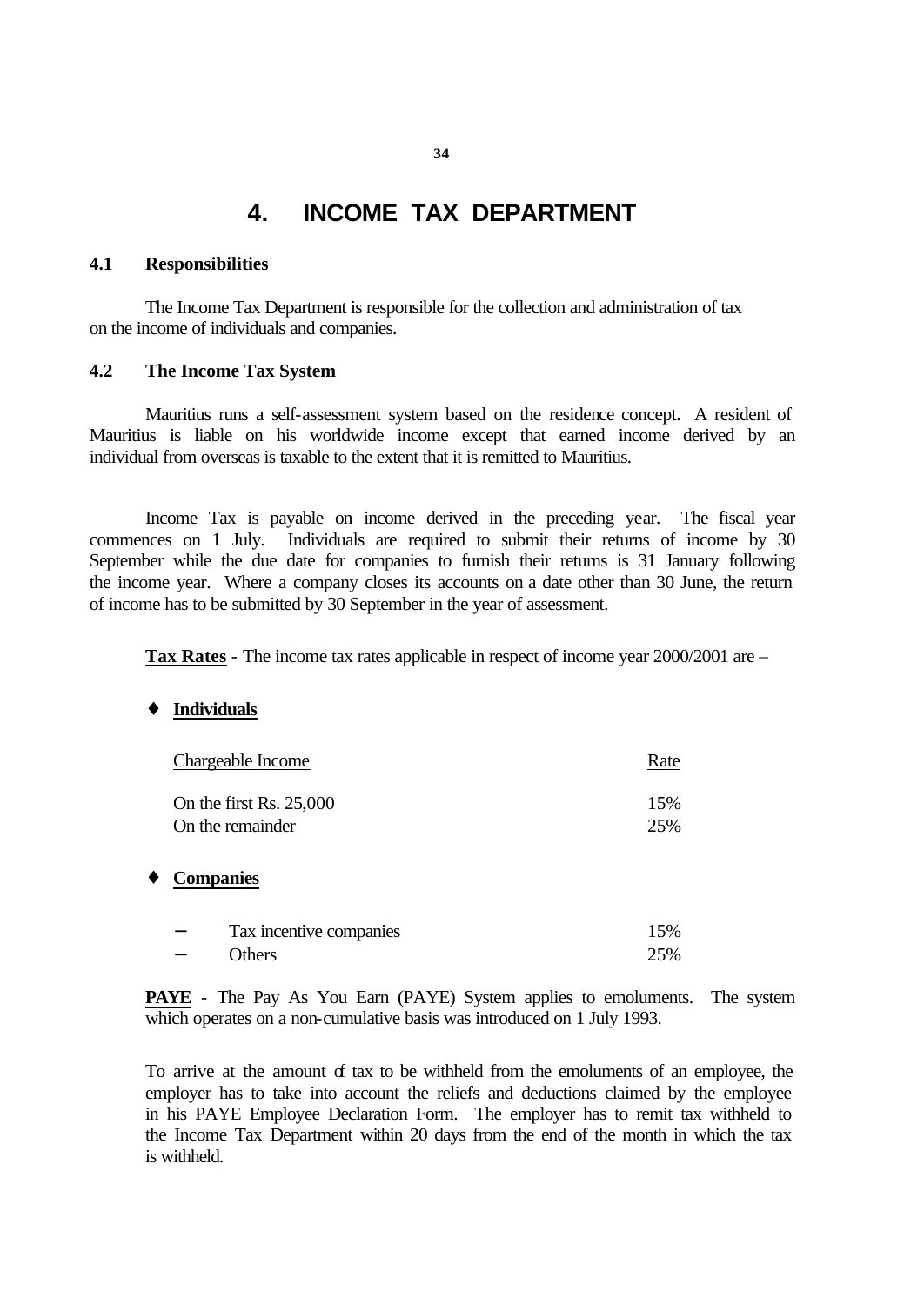# **4. INCOME TAX DEPARTMENT**

#### **4.1 Responsibilities**

The Income Tax Department is responsible for the collection and administration of tax on the income of individuals and companies.

#### **4.2 The Income Tax System**

Mauritius runs a self-assessment system based on the residence concept. A resident of Mauritius is liable on his worldwide income except that earned income derived by an individual from overseas is taxable to the extent that it is remitted to Mauritius.

Income Tax is payable on income derived in the preceding year. The fiscal year commences on 1 July. Individuals are required to submit their returns of income by 30 September while the due date for companies to furnish their returns is 31 January following the income year. Where a company closes its accounts on a date other than 30 June, the return of income has to be submitted by 30 September in the year of assessment.

**Tax Rates** - The income tax rates applicable in respect of income year 2000/2001 are –

#### ♦ **Individuals**

|   |                  | Chargeable Income                           | Rate       |
|---|------------------|---------------------------------------------|------------|
|   |                  | On the first Rs. 25,000<br>On the remainder | 15%<br>25% |
| ٠ | <b>Companies</b> |                                             |            |
|   |                  | Tax incentive companies                     | 15%        |
|   |                  | Others                                      | 25%        |

**PAYE** - The Pay As You Earn (PAYE) System applies to emoluments. The system which operates on a non-cumulative basis was introduced on 1 July 1993.

To arrive at the amount of tax to be withheld from the emoluments of an employee, the employer has to take into account the reliefs and deductions claimed by the employee in his PAYE Employee Declaration Form. The employer has to remit tax withheld to the Income Tax Department within 20 days from the end of the month in which the tax is withheld.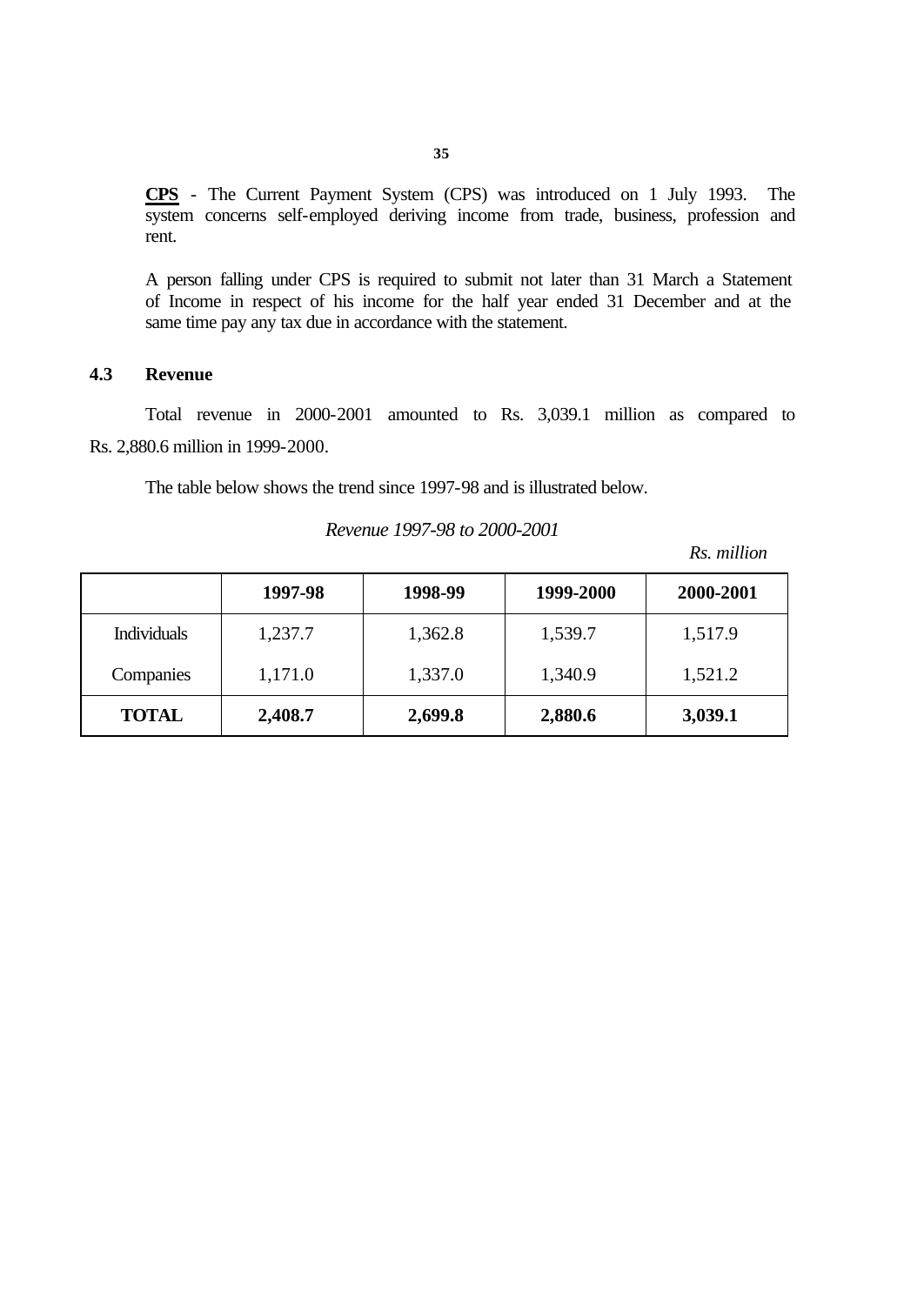**CPS** - The Current Payment System (CPS) was introduced on 1 July 1993. The system concerns self-employed deriving income from trade, business, profession and rent.

A person falling under CPS is required to submit not later than 31 March a Statement of Income in respect of his income for the half year ended 31 December and at the same time pay any tax due in accordance with the statement.

### **4.3 Revenue**

Total revenue in 2000-2001 amounted to Rs. 3,039.1 million as compared to Rs. 2,880.6 million in 1999-2000.

The table below shows the trend since 1997-98 and is illustrated below.

#### *Revenue 1997-98 to 2000-2001*

*Rs. million*

|                    | 1997-98 | 1998-99 | 1999-2000 | 2000-2001 |
|--------------------|---------|---------|-----------|-----------|
| <b>Individuals</b> | 1,237.7 | 1,362.8 | 1,539.7   | 1,517.9   |
| Companies          | 1,171.0 | 1,337.0 | 1,340.9   | 1,521.2   |
| <b>TOTAL</b>       | 2,408.7 | 2,699.8 | 2,880.6   | 3,039.1   |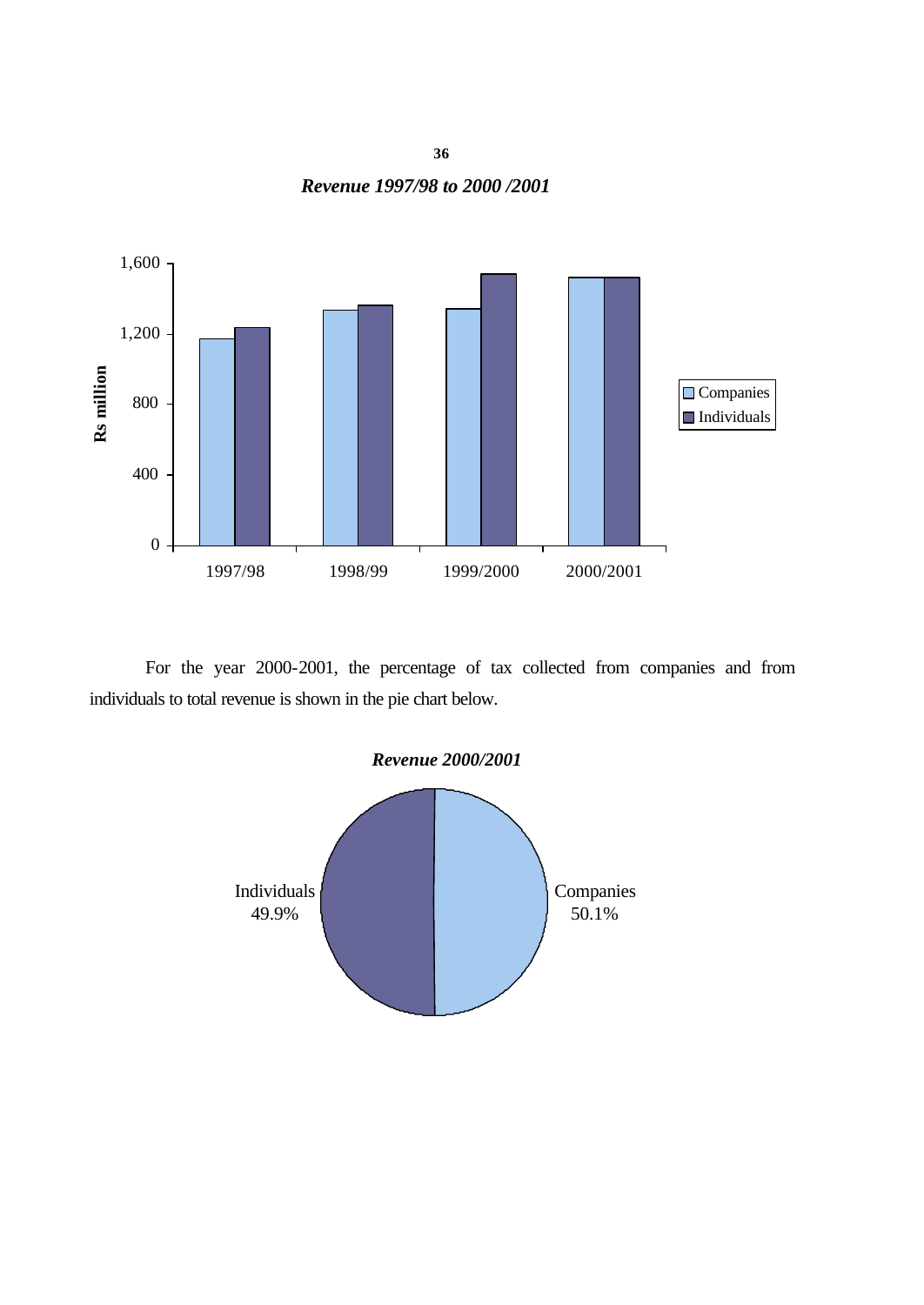**36** *Revenue 1997/98 to 2000 /2001* 



For the year 2000-2001, the percentage of tax collected from companies and from individuals to total revenue is shown in the pie chart below.

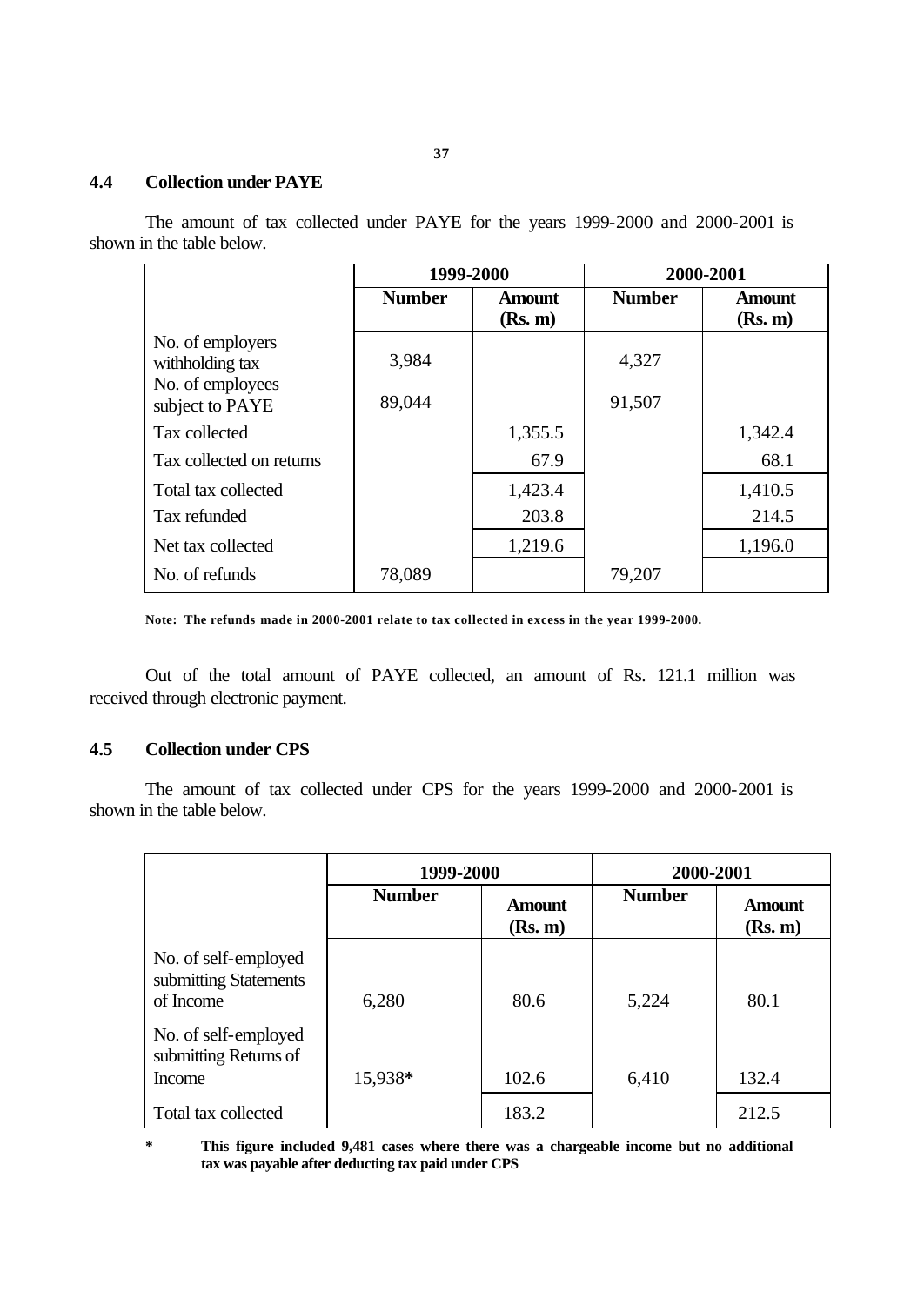# **4.4 Collection under PAYE**

The amount of tax collected under PAYE for the years 1999-2000 and 2000-2001 is shown in the table below.

|                                                         | 1999-2000     |                          | 2000-2001     |                          |
|---------------------------------------------------------|---------------|--------------------------|---------------|--------------------------|
|                                                         | <b>Number</b> | <b>Amount</b><br>(Rs. m) | <b>Number</b> | <b>Amount</b><br>(Rs. m) |
| No. of employers<br>withholding tax<br>No. of employees | 3,984         |                          | 4,327         |                          |
| subject to PAYE                                         | 89,044        |                          | 91,507        |                          |
| Tax collected                                           |               | 1,355.5                  |               | 1,342.4                  |
| Tax collected on returns                                |               | 67.9                     |               | 68.1                     |
| Total tax collected                                     |               | 1,423.4                  |               | 1,410.5                  |
| Tax refunded                                            |               | 203.8                    |               | 214.5                    |
| Net tax collected                                       |               | 1,219.6                  |               | 1,196.0                  |
| No. of refunds                                          | 78,089        |                          | 79,207        |                          |

**Note: The refunds made in 2000-2001 relate to tax collected in excess in the year 1999-2000.**

Out of the total amount of PAYE collected, an amount of Rs. 121.1 million was received through electronic payment.

#### **4.5 Collection under CPS**

The amount of tax collected under CPS for the years 1999-2000 and 2000-2001 is shown in the table below.

|                                                            | 1999-2000     |                          | 2000-2001     |                          |
|------------------------------------------------------------|---------------|--------------------------|---------------|--------------------------|
|                                                            | <b>Number</b> | <b>Amount</b><br>(Rs. m) | <b>Number</b> | <b>Amount</b><br>(Rs. m) |
| No. of self-employed<br>submitting Statements<br>of Income | 6,280         | 80.6                     | 5,224         | 80.1                     |
| No. of self-employed<br>submitting Returns of<br>Income    | 15,938*       | 102.6                    | 6,410         | 132.4                    |
| Total tax collected                                        |               | 183.2                    |               | 212.5                    |

**\* This figure included 9,481 cases where there was a chargeable income but no additional tax was payable after deducting tax paid under CPS**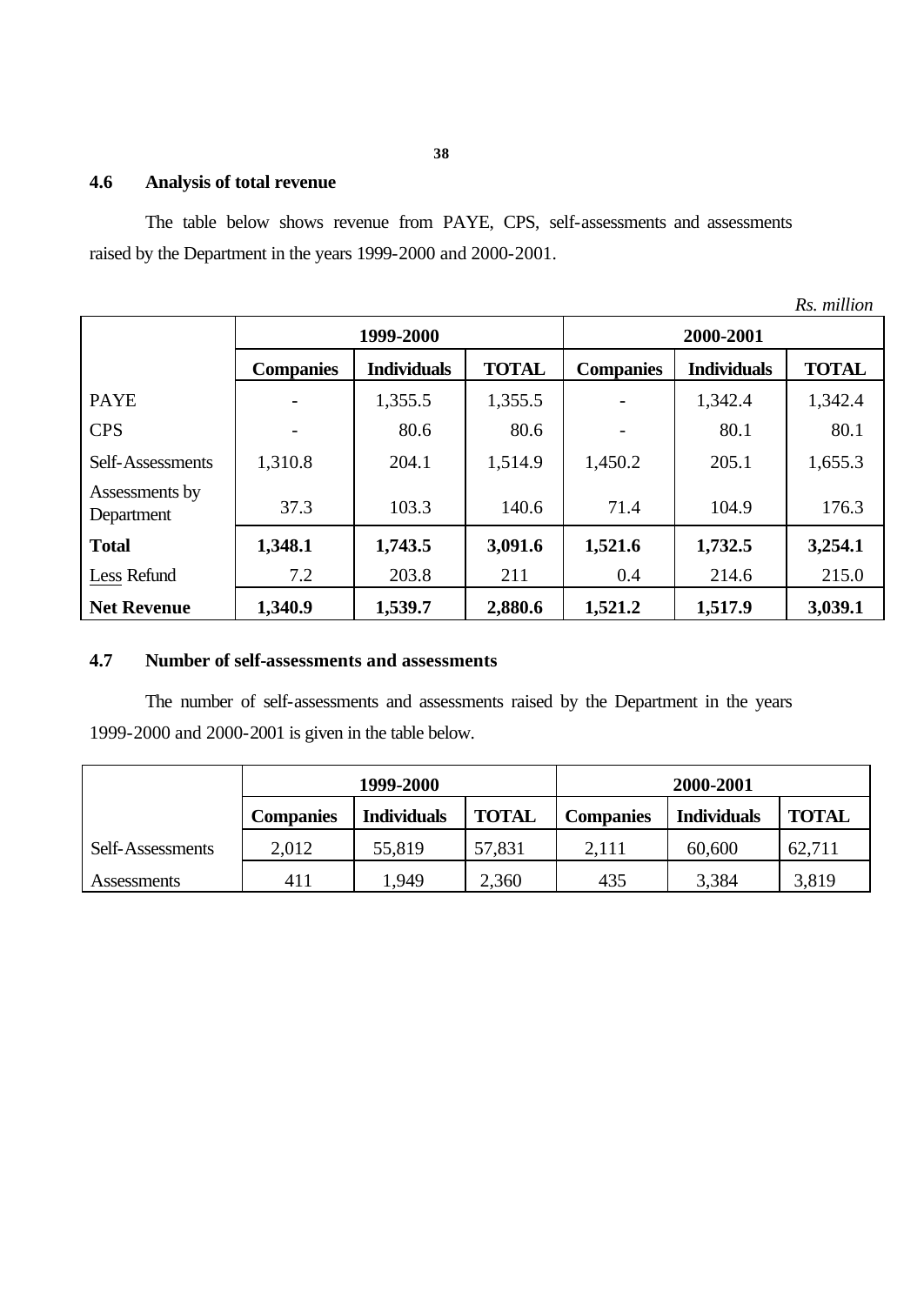# **4.6 Analysis of total revenue**

The table below shows revenue from PAYE, CPS, self-assessments and assessments raised by the Department in the years 1999-2000 and 2000-2001.

|                              |                  |                    |              |                  |                    | Rs. million  |  |
|------------------------------|------------------|--------------------|--------------|------------------|--------------------|--------------|--|
|                              | 1999-2000        |                    |              | 2000-2001        |                    |              |  |
|                              | <b>Companies</b> | <b>Individuals</b> | <b>TOTAL</b> | <b>Companies</b> | <b>Individuals</b> | <b>TOTAL</b> |  |
| <b>PAYE</b>                  |                  | 1,355.5            | 1,355.5      |                  | 1,342.4            | 1,342.4      |  |
| <b>CPS</b>                   |                  | 80.6               | 80.6         |                  | 80.1               | 80.1         |  |
| Self-Assessments             | 1,310.8          | 204.1              | 1,514.9      | 1,450.2          | 205.1              | 1,655.3      |  |
| Assessments by<br>Department | 37.3             | 103.3              | 140.6        | 71.4             | 104.9              | 176.3        |  |
| <b>Total</b>                 | 1,348.1          | 1,743.5            | 3,091.6      | 1,521.6          | 1,732.5            | 3,254.1      |  |
| Less Refund                  | 7.2              | 203.8              | 211          | 0.4              | 214.6              | 215.0        |  |
| <b>Net Revenue</b>           | 1,340.9          | 1,539.7            | 2,880.6      | 1,521.2          | 1,517.9            | 3,039.1      |  |

# **4.7 Number of self-assessments and assessments**

The number of self-assessments and assessments raised by the Department in the years 1999-2000 and 2000-2001 is given in the table below.

|                  | 1999-2000        |                    |              | 2000-2001        |                    |              |  |
|------------------|------------------|--------------------|--------------|------------------|--------------------|--------------|--|
|                  | <b>Companies</b> | <b>Individuals</b> | <b>TOTAL</b> | <b>Companies</b> | <b>Individuals</b> | <b>TOTAL</b> |  |
| Self-Assessments | 2,012            | 55,819             | 57,831       | 2,111            | 60,600             | 62,711       |  |
| Assessments      | 411              | 1.949              | 2,360        | 435              | 3,384              | 3,819        |  |

**38**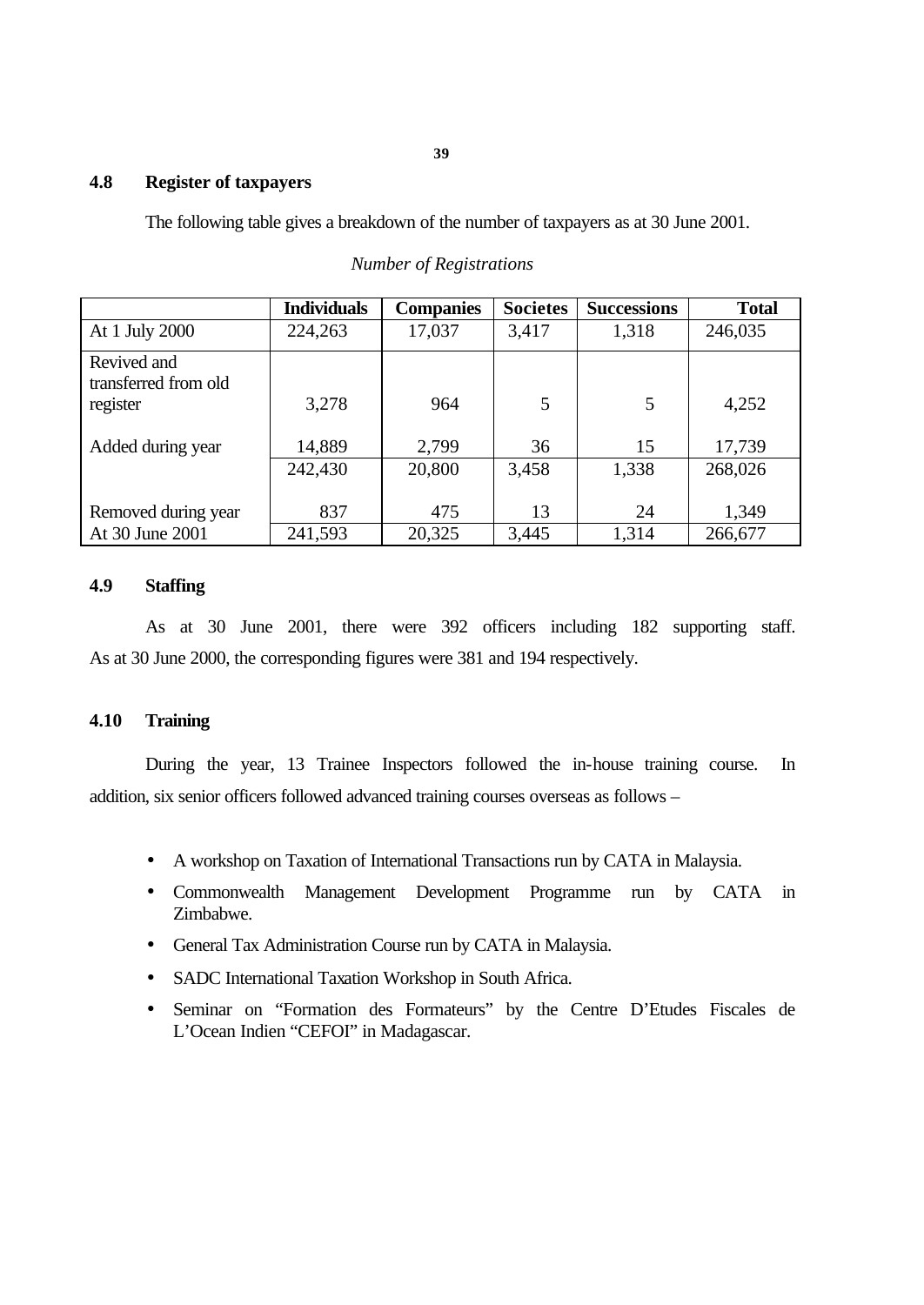# **4.8 Register of taxpayers**

The following table gives a breakdown of the number of taxpayers as at 30 June 2001.

|                                     | <b>Individuals</b> | <b>Companies</b> | <b>Societes</b> | <b>Successions</b> | <b>Total</b> |
|-------------------------------------|--------------------|------------------|-----------------|--------------------|--------------|
| At 1 July 2000                      | 224,263            | 17,037           | 3,417           | 1,318              | 246,035      |
| Revived and<br>transferred from old |                    |                  |                 |                    |              |
| register                            | 3,278              | 964              | 5               | 5                  | 4,252        |
| Added during year                   | 14,889             | 2,799            | 36              | 15                 | 17,739       |
|                                     | 242,430            | 20,800           | 3,458           | 1,338              | 268,026      |
| Removed during year                 | 837                | 475              | 13              | 24                 | 1,349        |
| At 30 June 2001                     | 241,593            | 20,325           | 3,445           | 1,314              | 266,677      |

# *Number of Registrations*

# **4.9 Staffing**

As at 30 June 2001, there were 392 officers including 182 supporting staff. As at 30 June 2000, the corresponding figures were 381 and 194 respectively.

# **4.10 Training**

During the year, 13 Trainee Inspectors followed the in-house training course. In addition, six senior officers followed advanced training courses overseas as follows –

- A workshop on Taxation of International Transactions run by CATA in Malaysia.
- Commonwealth Management Development Programme run by CATA in Zimbabwe.
- General Tax Administration Course run by CATA in Malaysia.
- SADC International Taxation Workshop in South Africa.
- Seminar on "Formation des Formateurs" by the Centre D'Etudes Fiscales de L'Ocean Indien "CEFOI" in Madagascar.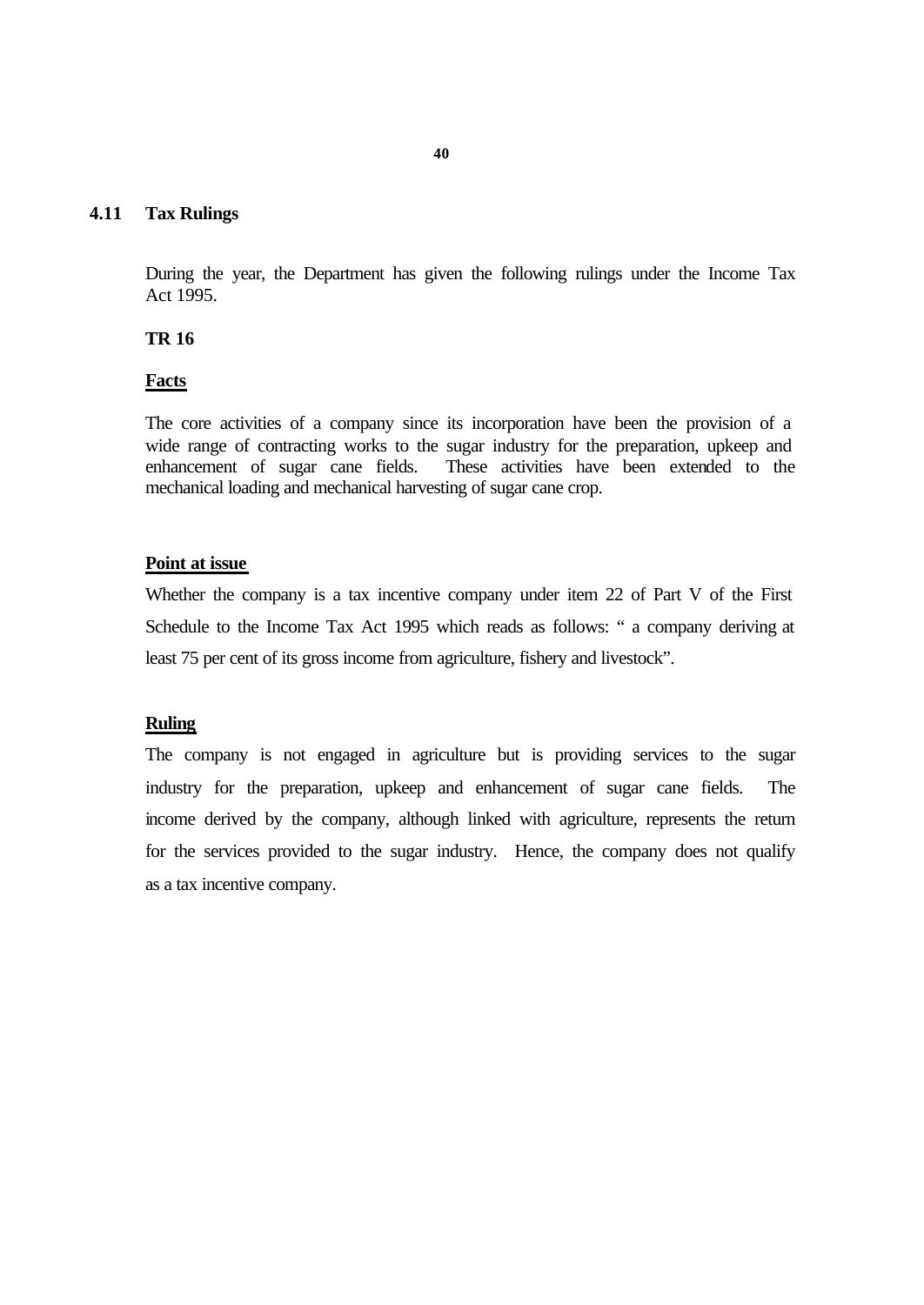#### **4.11 Tax Rulings**

During the year, the Department has given the following rulings under the Income Tax Act 1995.

#### **TR 16**

#### **Facts**

The core activities of a company since its incorporation have been the provision of a wide range of contracting works to the sugar industry for the preparation, upkeep and enhancement of sugar cane fields. These activities have been extended to the mechanical loading and mechanical harvesting of sugar cane crop.

#### **Point at issue**

Whether the company is a tax incentive company under item 22 of Part V of the First Schedule to the Income Tax Act 1995 which reads as follows: " a company deriving at least 75 per cent of its gross income from agriculture, fishery and livestock".

#### **Ruling**

The company is not engaged in agriculture but is providing services to the sugar industry for the preparation, upkeep and enhancement of sugar cane fields. The income derived by the company, although linked with agriculture, represents the return for the services provided to the sugar industry. Hence, the company does not qualify as a tax incentive company.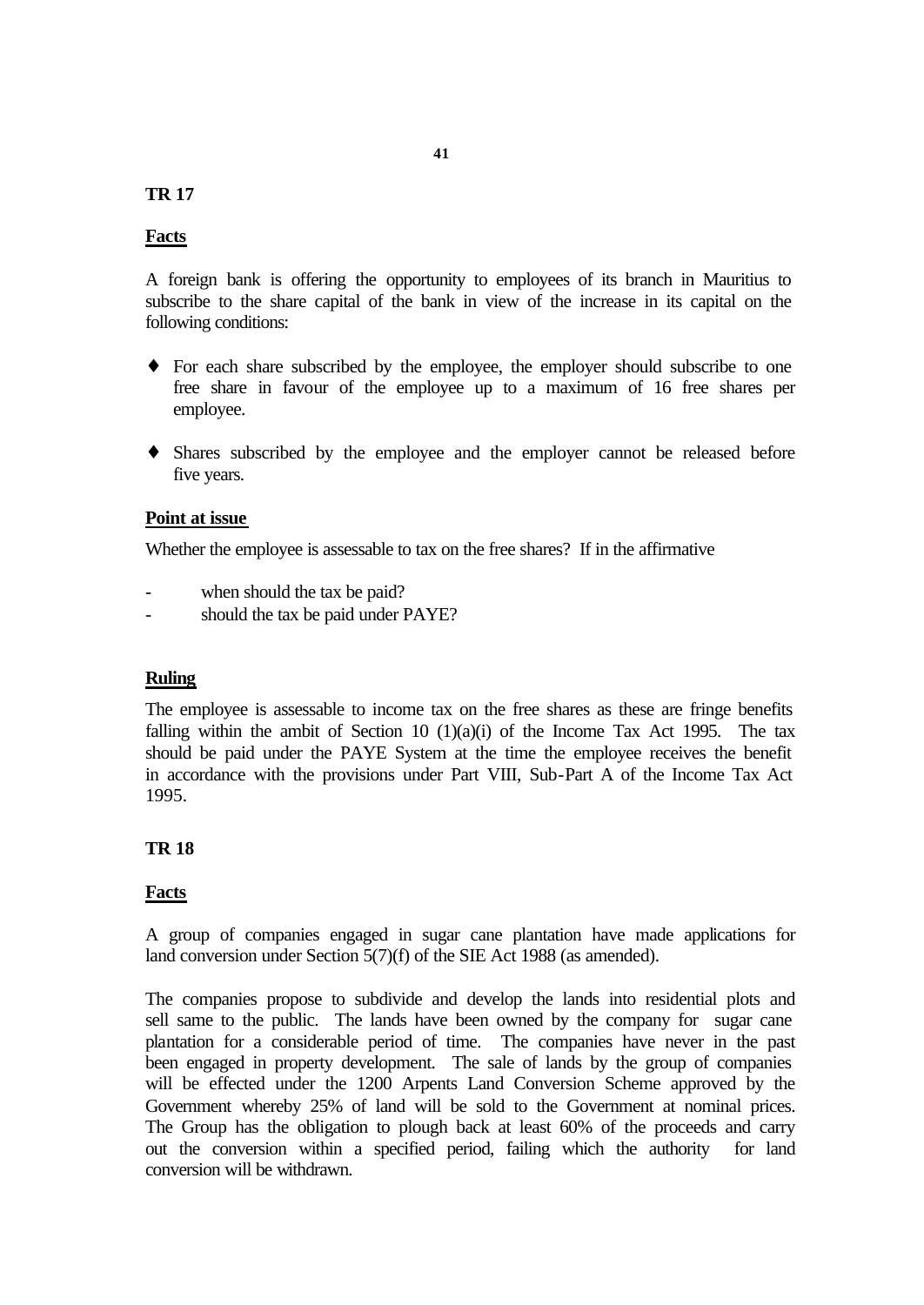#### **TR 17**

#### **Facts**

A foreign bank is offering the opportunity to employees of its branch in Mauritius to subscribe to the share capital of the bank in view of the increase in its capital on the following conditions:

- ♦ For each share subscribed by the employee, the employer should subscribe to one free share in favour of the employee up to a maximum of 16 free shares per employee.
- ♦ Shares subscribed by the employee and the employer cannot be released before five years.

#### **Point at issue**

Whether the employee is assessable to tax on the free shares? If in the affirmative

- when should the tax be paid?
- should the tax be paid under PAYE?

#### **Ruling**

The employee is assessable to income tax on the free shares as these are fringe benefits falling within the ambit of Section 10  $(1)(a)(i)$  of the Income Tax Act 1995. The tax should be paid under the PAYE System at the time the employee receives the benefit in accordance with the provisions under Part VIII, Sub-Part A of the Income Tax Act 1995.

#### **TR 18**

#### **Facts**

A group of companies engaged in sugar cane plantation have made applications for land conversion under Section 5(7)(f) of the SIE Act 1988 (as amended).

The companies propose to subdivide and develop the lands into residential plots and sell same to the public. The lands have been owned by the company for sugar cane plantation for a considerable period of time. The companies have never in the past been engaged in property development. The sale of lands by the group of companies will be effected under the 1200 Arpents Land Conversion Scheme approved by the Government whereby 25% of land will be sold to the Government at nominal prices. The Group has the obligation to plough back at least 60% of the proceeds and carry out the conversion within a specified period, failing which the authority for land conversion will be withdrawn.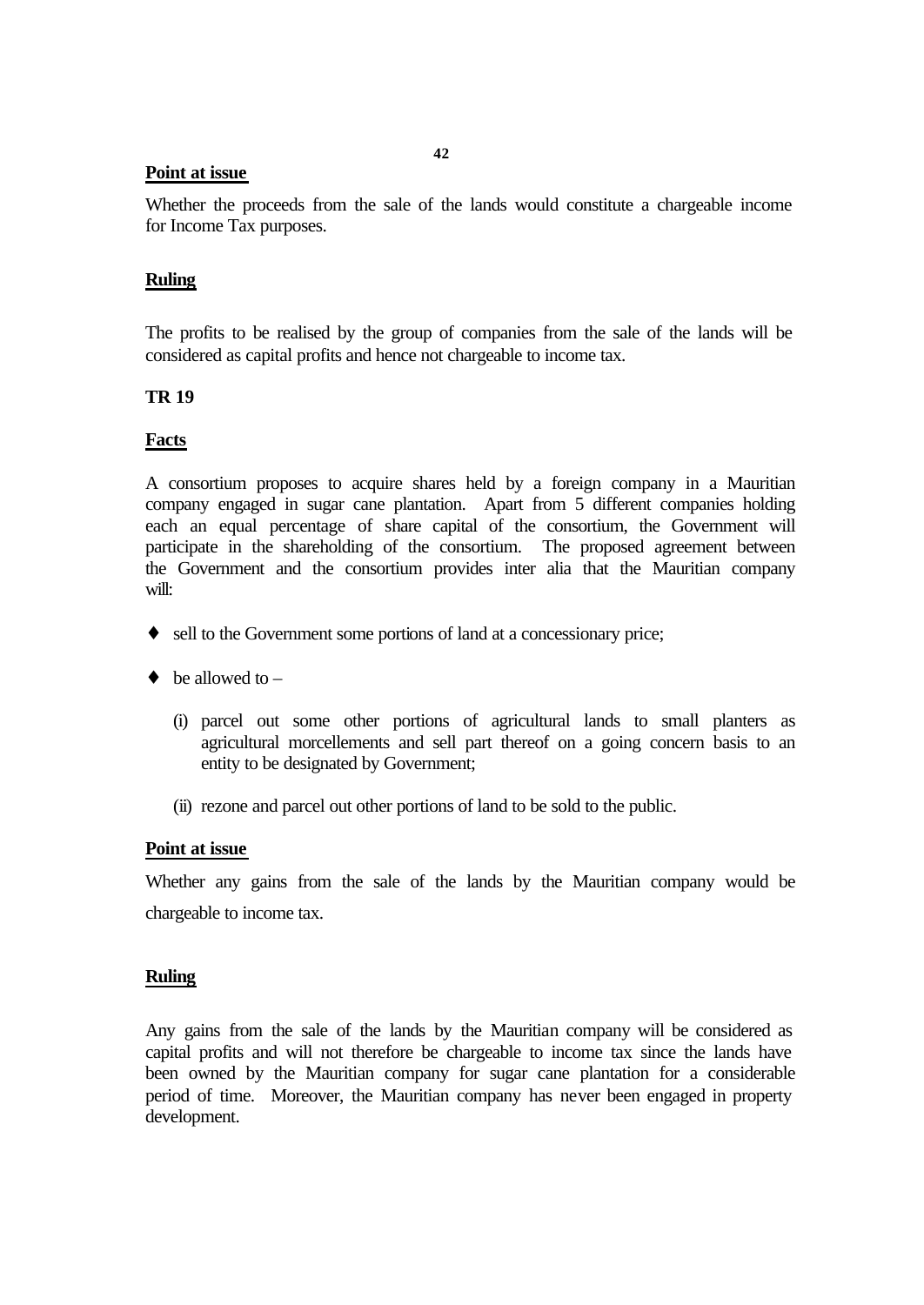#### **Point at issue**

Whether the proceeds from the sale of the lands would constitute a chargeable income for Income Tax purposes.

## **Ruling**

The profits to be realised by the group of companies from the sale of the lands will be considered as capital profits and hence not chargeable to income tax.

# **TR 19**

# **Facts**

A consortium proposes to acquire shares held by a foreign company in a Mauritian company engaged in sugar cane plantation. Apart from 5 different companies holding each an equal percentage of share capital of the consortium, the Government will participate in the shareholding of the consortium. The proposed agreement between the Government and the consortium provides inter alia that the Mauritian company will:

- ♦ sell to the Government some portions of land at a concessionary price;
- $\bullet$  be allowed to
	- (i) parcel out some other portions of agricultural lands to small planters as agricultural morcellements and sell part thereof on a going concern basis to an entity to be designated by Government;
	- (ii) rezone and parcel out other portions of land to be sold to the public.

### **Point at issue**

Whether any gains from the sale of the lands by the Mauritian company would be chargeable to income tax.

### **Ruling**

Any gains from the sale of the lands by the Mauritian company will be considered as capital profits and will not therefore be chargeable to income tax since the lands have been owned by the Mauritian company for sugar cane plantation for a considerable period of time. Moreover, the Mauritian company has never been engaged in property development.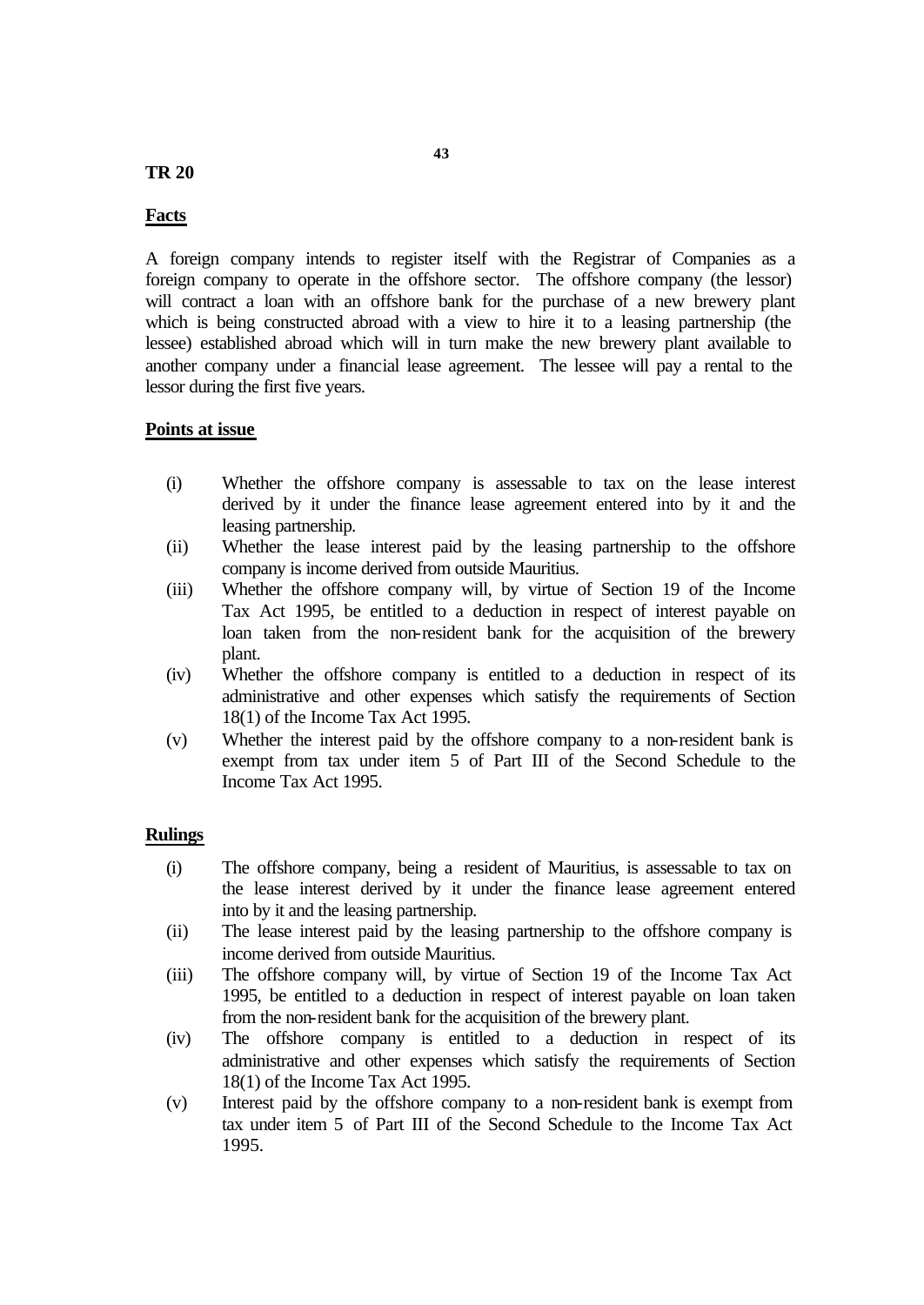#### **TR 20**

### **Facts**

A foreign company intends to register itself with the Registrar of Companies as a foreign company to operate in the offshore sector. The offshore company (the lessor) will contract a loan with an offshore bank for the purchase of a new brewery plant which is being constructed abroad with a view to hire it to a leasing partnership (the lessee) established abroad which will in turn make the new brewery plant available to another company under a financial lease agreement. The lessee will pay a rental to the lessor during the first five years.

### **Points at issue**

- (i) Whether the offshore company is assessable to tax on the lease interest derived by it under the finance lease agreement entered into by it and the leasing partnership.
- (ii) Whether the lease interest paid by the leasing partnership to the offshore company is income derived from outside Mauritius.
- (iii) Whether the offshore company will, by virtue of Section 19 of the Income Tax Act 1995, be entitled to a deduction in respect of interest payable on loan taken from the non-resident bank for the acquisition of the brewery plant.
- (iv) Whether the offshore company is entitled to a deduction in respect of its administrative and other expenses which satisfy the requirements of Section 18(1) of the Income Tax Act 1995.
- (v) Whether the interest paid by the offshore company to a non-resident bank is exempt from tax under item 5 of Part III of the Second Schedule to the Income Tax Act 1995.

#### **Rulings**

- (i) The offshore company, being a resident of Mauritius, is assessable to tax on the lease interest derived by it under the finance lease agreement entered into by it and the leasing partnership.
- (ii) The lease interest paid by the leasing partnership to the offshore company is income derived from outside Mauritius.
- (iii) The offshore company will, by virtue of Section 19 of the Income Tax Act 1995, be entitled to a deduction in respect of interest payable on loan taken from the non-resident bank for the acquisition of the brewery plant.
- (iv) The offshore company is entitled to a deduction in respect of its administrative and other expenses which satisfy the requirements of Section 18(1) of the Income Tax Act 1995.
- (v) Interest paid by the offshore company to a non-resident bank is exempt from tax under item 5 of Part III of the Second Schedule to the Income Tax Act 1995.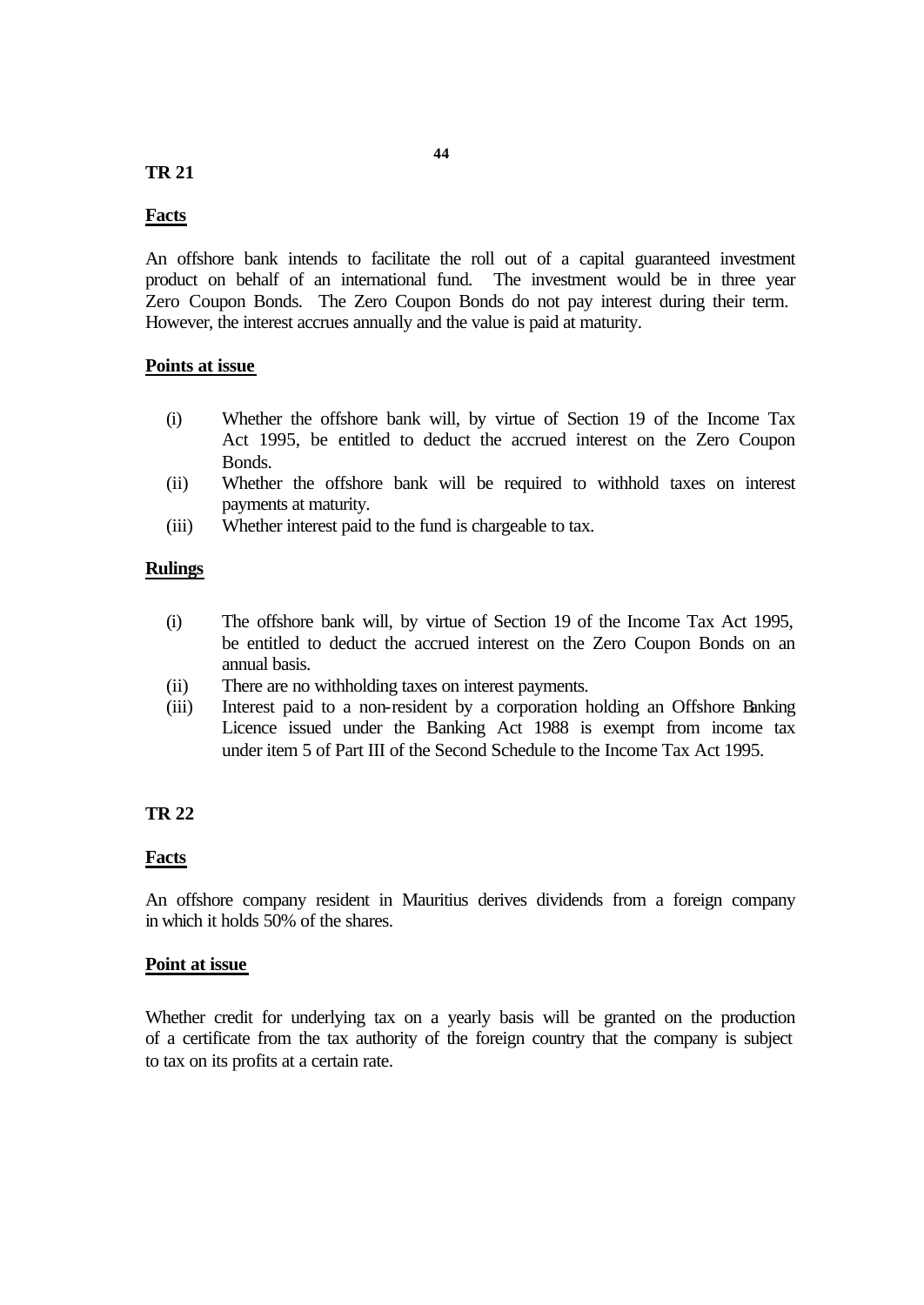### **TR 21**

#### **Facts**

An offshore bank intends to facilitate the roll out of a capital guaranteed investment product on behalf of an international fund. The investment would be in three year Zero Coupon Bonds. The Zero Coupon Bonds do not pay interest during their term. However, the interest accrues annually and the value is paid at maturity.

#### **Points at issue**

- (i) Whether the offshore bank will, by virtue of Section 19 of the Income Tax Act 1995, be entitled to deduct the accrued interest on the Zero Coupon Bonds.
- (ii) Whether the offshore bank will be required to withhold taxes on interest payments at maturity.
- (iii) Whether interest paid to the fund is chargeable to tax.

#### **Rulings**

- (i) The offshore bank will, by virtue of Section 19 of the Income Tax Act 1995, be entitled to deduct the accrued interest on the Zero Coupon Bonds on an annual basis.
- (ii) There are no withholding taxes on interest payments.
- (iii) Interest paid to a non-resident by a corporation holding an Offshore Banking Licence issued under the Banking Act 1988 is exempt from income tax under item 5 of Part III of the Second Schedule to the Income Tax Act 1995.

#### **TR 22**

#### **Facts**

An offshore company resident in Mauritius derives dividends from a foreign company in which it holds 50% of the shares.

#### **Point at issue**

Whether credit for underlying tax on a yearly basis will be granted on the production of a certificate from the tax authority of the foreign country that the company is subject to tax on its profits at a certain rate.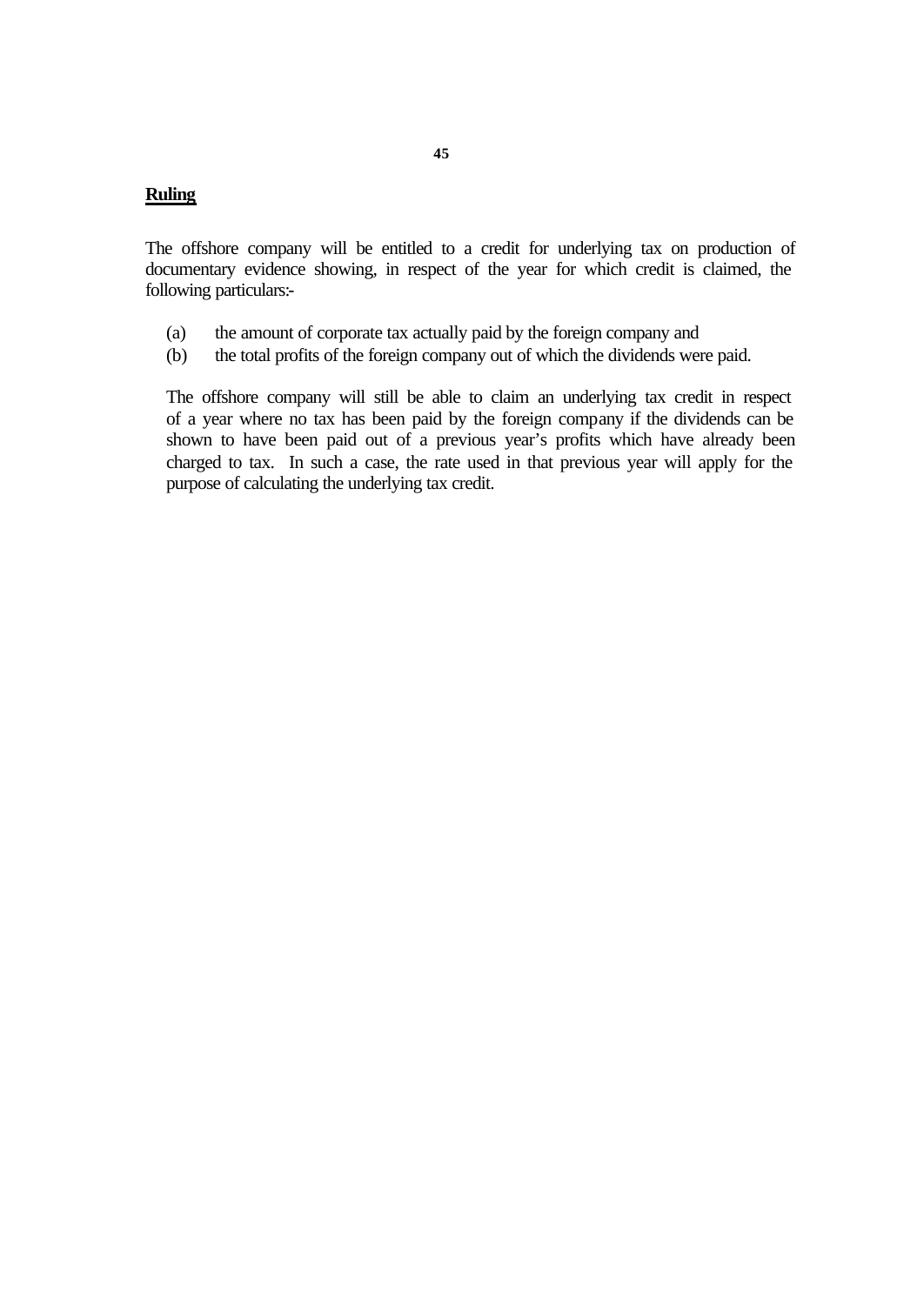### **Ruling**

The offshore company will be entitled to a credit for underlying tax on production of documentary evidence showing, in respect of the year for which credit is claimed, the following particulars:-

- (a) the amount of corporate tax actually paid by the foreign company and
- (b) the total profits of the foreign company out of which the dividends were paid.

The offshore company will still be able to claim an underlying tax credit in respect of a year where no tax has been paid by the foreign company if the dividends can be shown to have been paid out of a previous year's profits which have already been charged to tax. In such a case, the rate used in that previous year will apply for the purpose of calculating the underlying tax credit.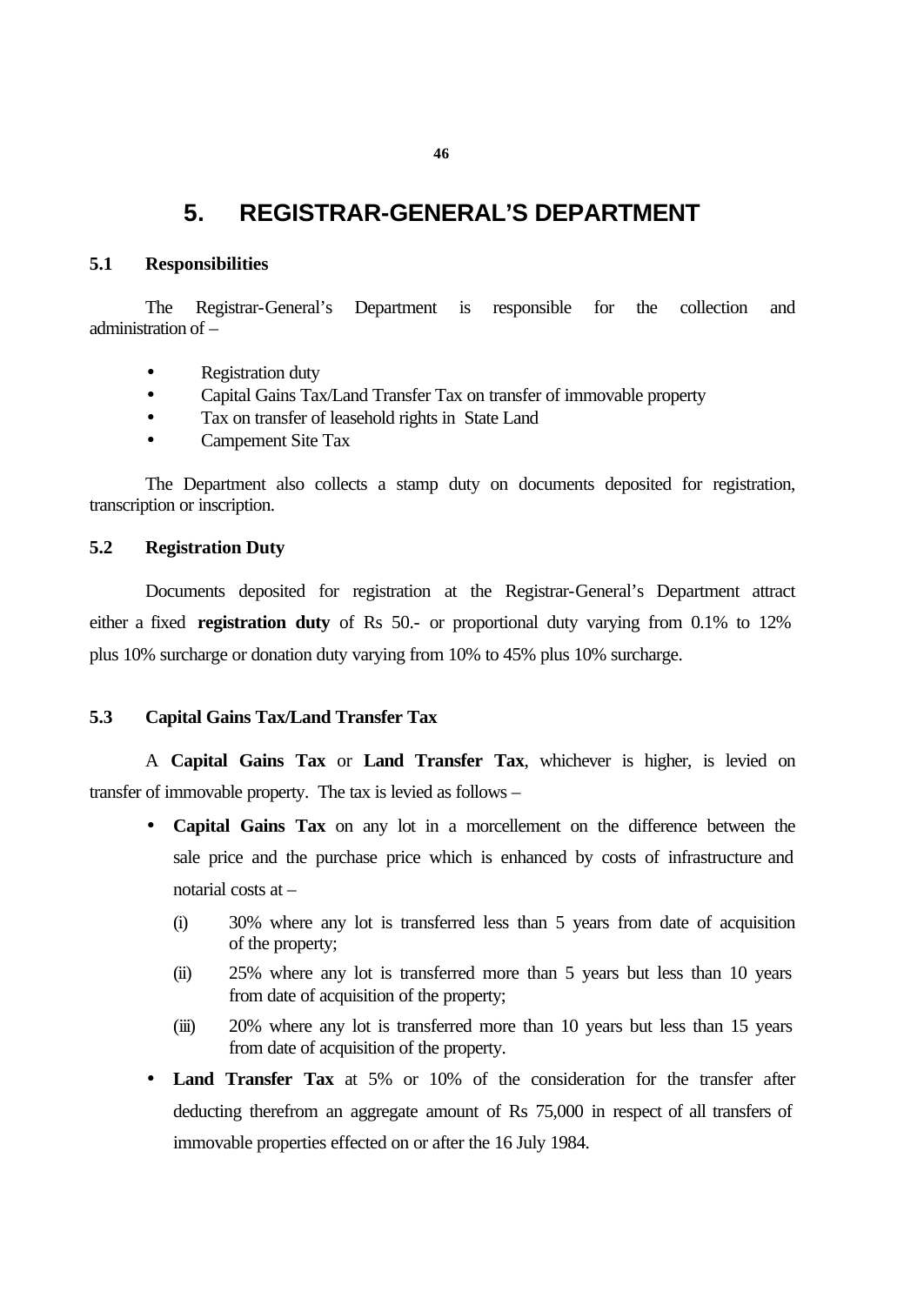# **5. REGISTRAR-GENERAL'S DEPARTMENT**

#### **5.1 Responsibilities**

The Registrar-General's Department is responsible for the collection and administration of –

- Registration duty
- Capital Gains Tax/Land Transfer Tax on transfer of immovable property
- Tax on transfer of leasehold rights in State Land
- Campement Site Tax

The Department also collects a stamp duty on documents deposited for registration, transcription or inscription.

#### **5.2 Registration Duty**

Documents deposited for registration at the Registrar-General's Department attract either a fixed **registration duty** of Rs 50.- or proportional duty varying from 0.1% to 12% plus 10% surcharge or donation duty varying from 10% to 45% plus 10% surcharge.

#### **5.3 Capital Gains Tax/Land Transfer Tax**

A **Capital Gains Tax** or **Land Transfer Tax**, whichever is higher, is levied on transfer of immovable property. The tax is levied as follows –

- **Capital Gains Tax** on any lot in a morcellement on the difference between the sale price and the purchase price which is enhanced by costs of infrastructure and notarial costs at –
	- (i) 30% where any lot is transferred less than 5 years from date of acquisition of the property;
	- (ii) 25% where any lot is transferred more than 5 years but less than 10 years from date of acquisition of the property;
	- (iii) 20% where any lot is transferred more than 10 years but less than 15 years from date of acquisition of the property.
- **Land Transfer Tax** at 5% or 10% of the consideration for the transfer after deducting therefrom an aggregate amount of Rs 75,000 in respect of all transfers of immovable properties effected on or after the 16 July 1984.

**46**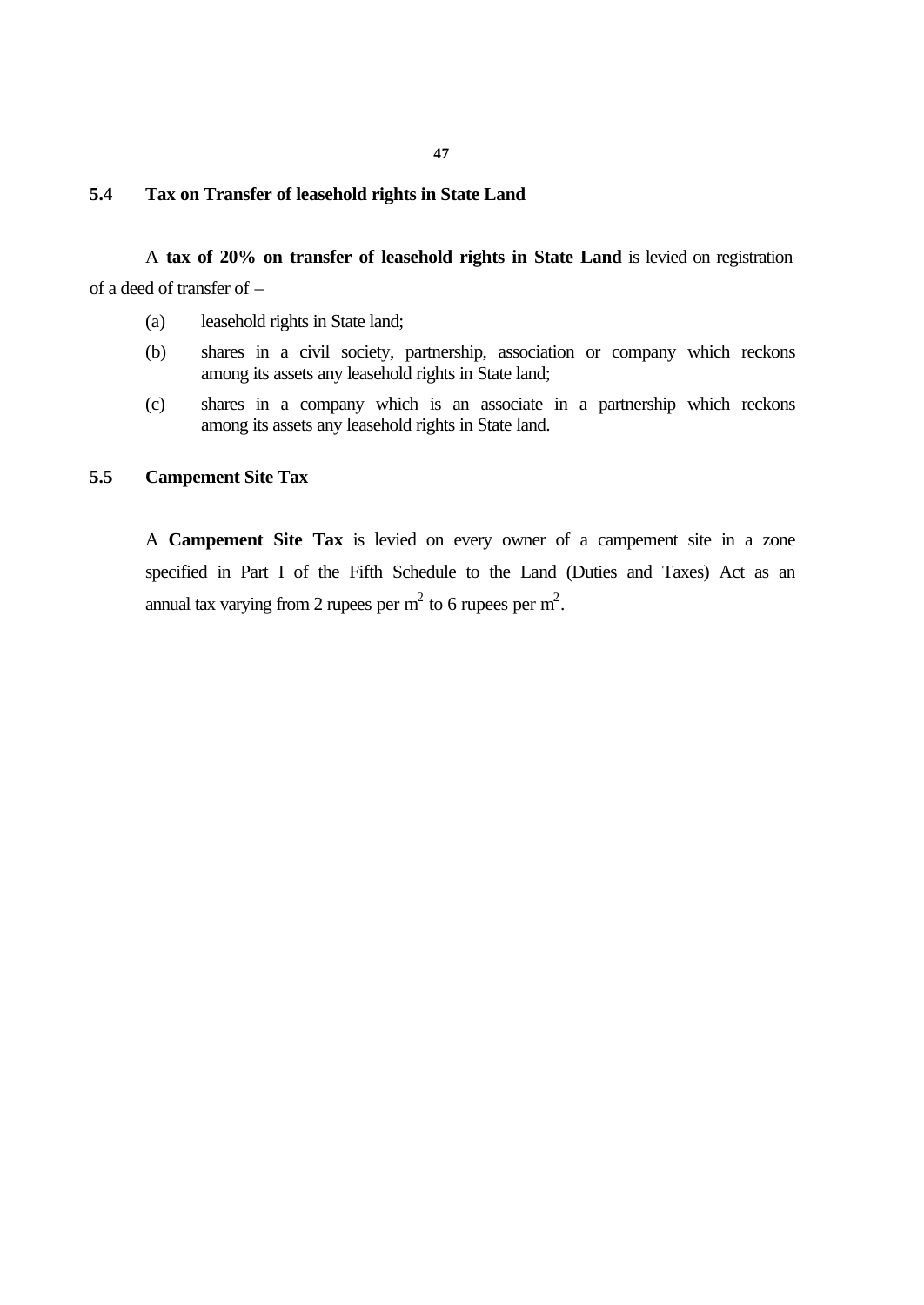#### **47**

#### **5.4 Tax on Transfer of leasehold rights in State Land**

A **tax of 20% on transfer of leasehold rights in State Land** is levied on registration of a deed of transfer of –

- (a) leasehold rights in State land;
- (b) shares in a civil society, partnership, association or company which reckons among its assets any leasehold rights in State land;
- (c) shares in a company which is an associate in a partnership which reckons among its assets any leasehold rights in State land.

#### **5.5 Campement Site Tax**

A **Campement Site Tax** is levied on every owner of a campement site in a zone specified in Part I of the Fifth Schedule to the Land (Duties and Taxes) Act as an annual tax varying from 2 rupees per  $m^2$  to 6 rupees per  $m^2$ .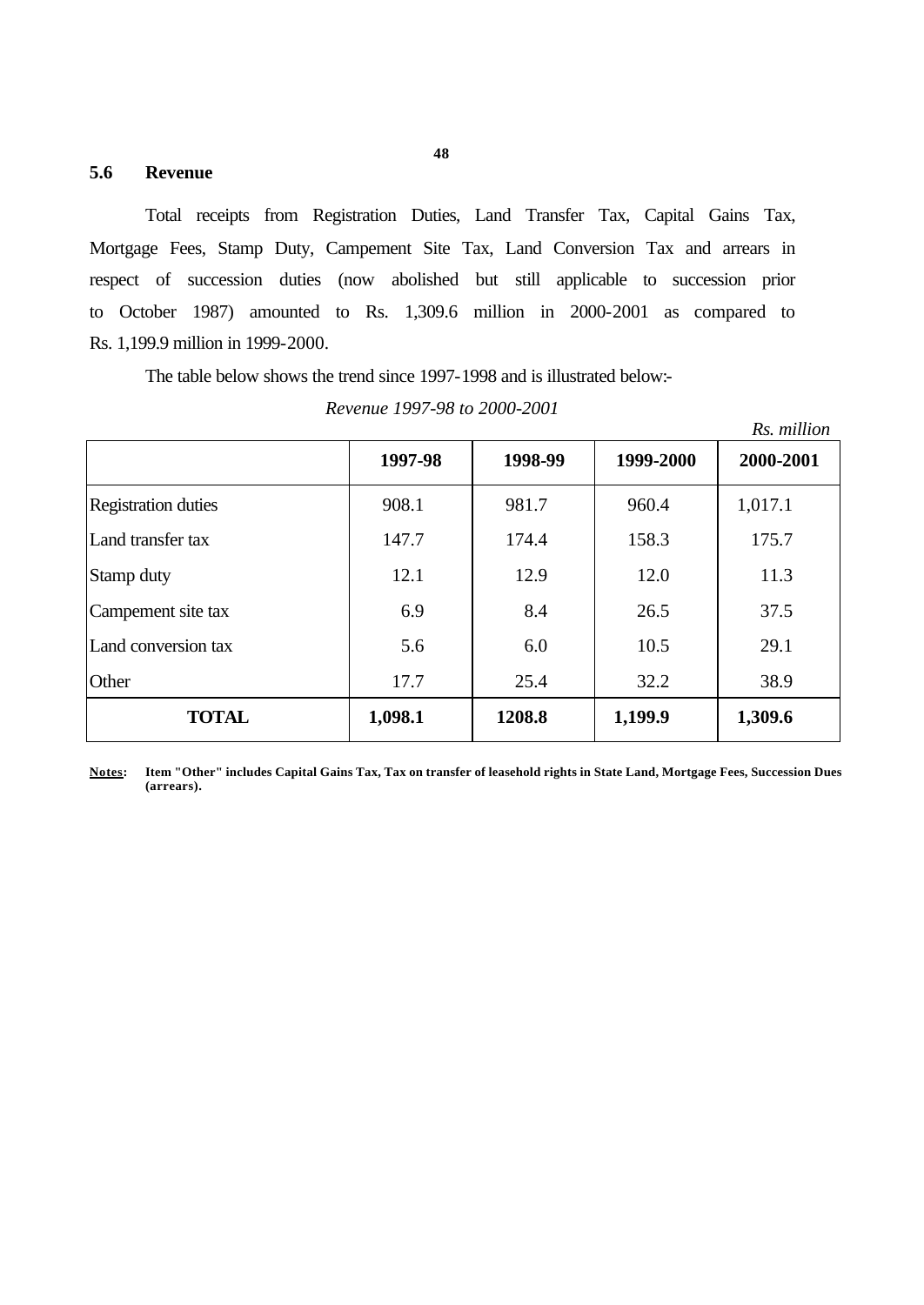#### **5.6 Revenue**

Total receipts from Registration Duties, Land Transfer Tax, Capital Gains Tax, Mortgage Fees, Stamp Duty, Campement Site Tax, Land Conversion Tax and arrears in respect of succession duties (now abolished but still applicable to succession prior to October 1987) amounted to Rs. 1,309.6 million in 2000-2001 as compared to Rs. 1,199.9 million in 1999-2000.

The table below shows the trend since 1997-1998 and is illustrated below:-

*Revenue 1997-98 to 2000-2001*

|                            |         |         |           | Rs. million |
|----------------------------|---------|---------|-----------|-------------|
|                            | 1997-98 | 1998-99 | 1999-2000 | 2000-2001   |
| <b>Registration duties</b> | 908.1   | 981.7   | 960.4     | 1,017.1     |
| Land transfer tax          | 147.7   | 174.4   | 158.3     | 175.7       |
| Stamp duty                 | 12.1    | 12.9    | 12.0      | 11.3        |
| Campement site tax         | 6.9     | 8.4     | 26.5      | 37.5        |
| Land conversion tax        | 5.6     | 6.0     | 10.5      | 29.1        |
| Other                      | 17.7    | 25.4    | 32.2      | 38.9        |
| <b>TOTAL</b>               | 1,098.1 | 1208.8  | 1,199.9   | 1,309.6     |

**Notes: Item "Other" includes Capital Gains Tax, Tax on transfer of leasehold rights in State Land, Mortgage Fees, Succession Dues (arrears).**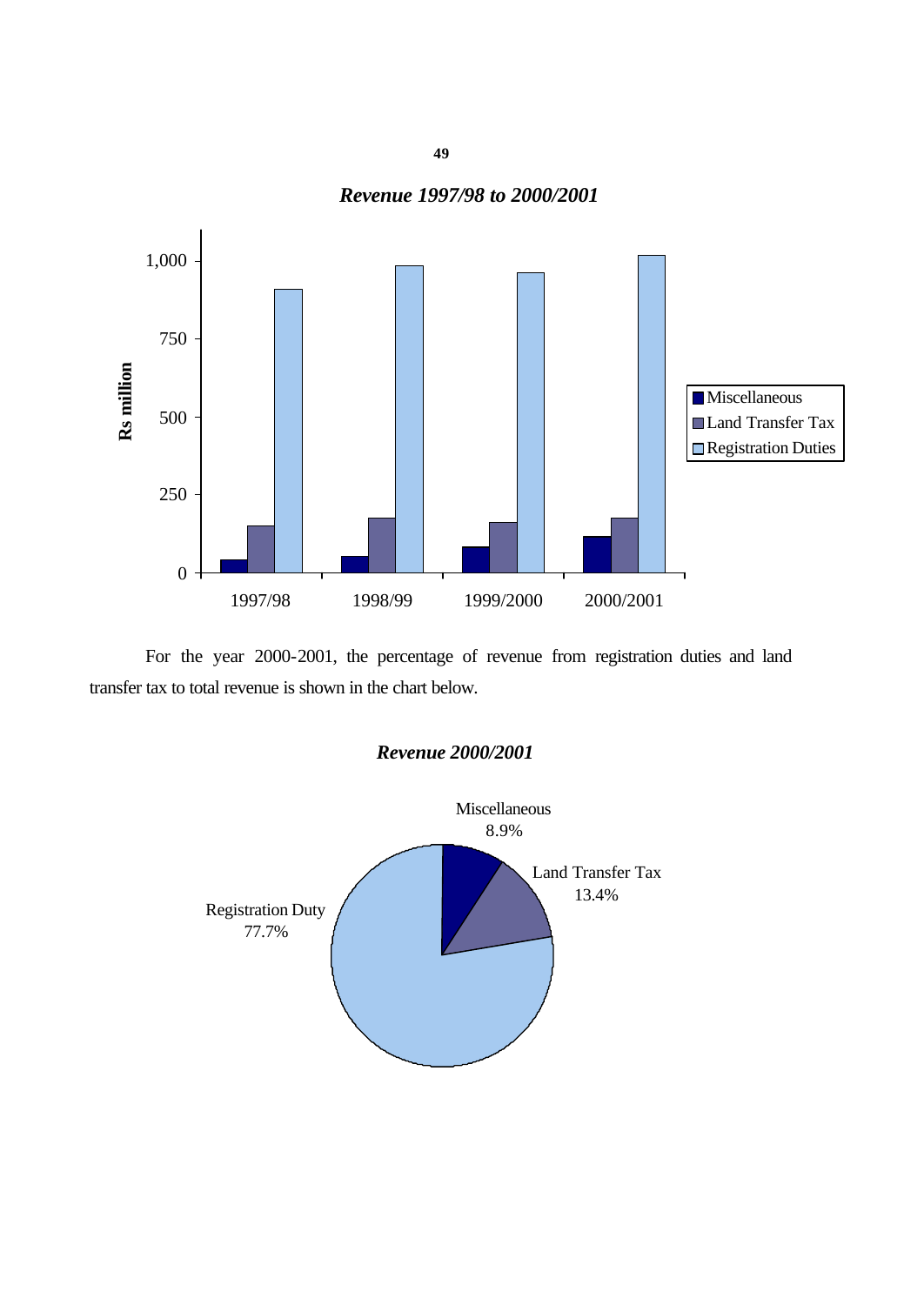# *Revenue 1997/98 to 2000/2001*



For the year 2000-2001, the percentage of revenue from registration duties and land transfer tax to total revenue is shown in the chart below.



**49**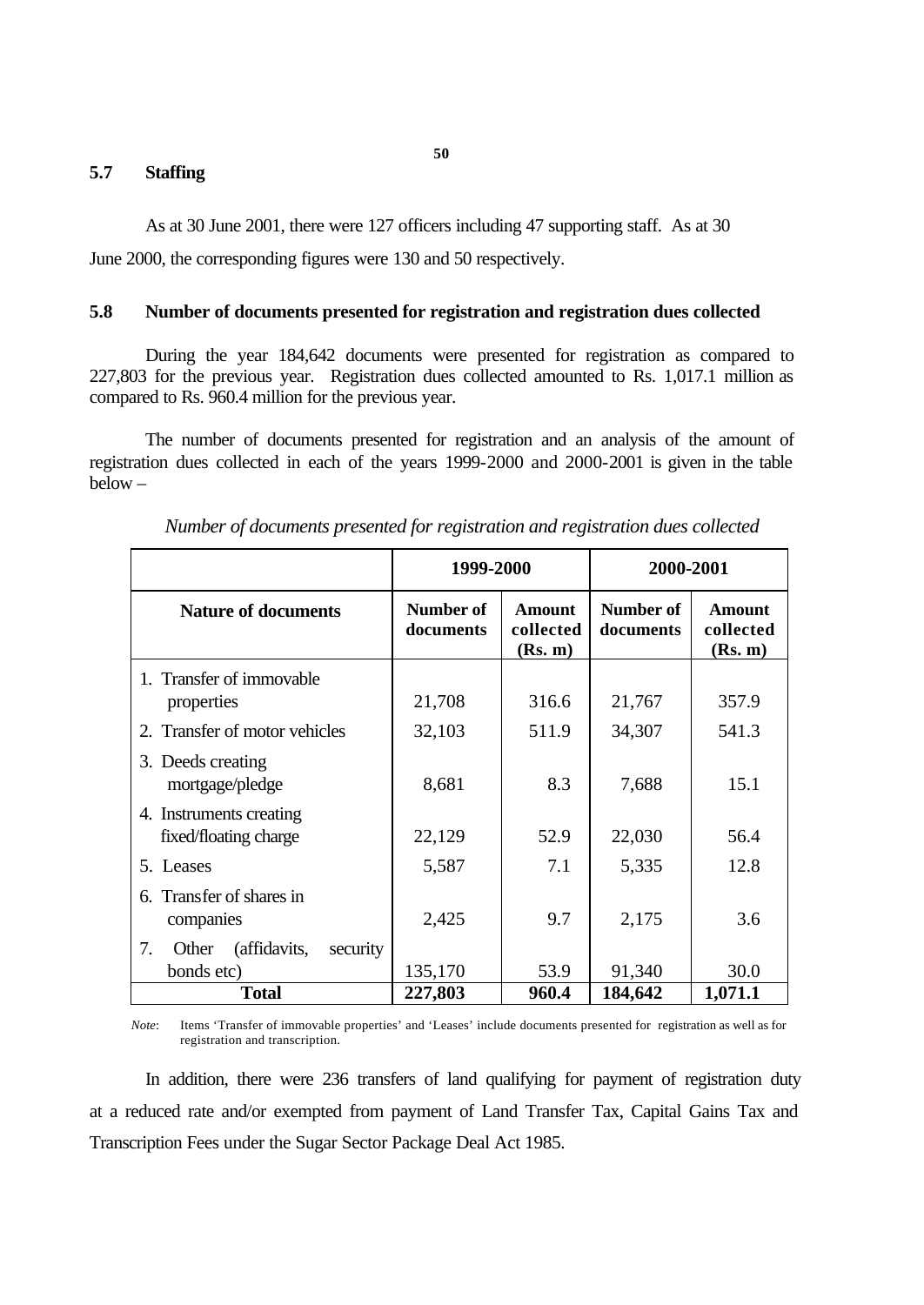#### **5.7 Staffing**

As at 30 June 2001, there were 127 officers including 47 supporting staff. As at 30

June 2000, the corresponding figures were 130 and 50 respectively.

#### **5.8 Number of documents presented for registration and registration dues collected**

During the year 184,642 documents were presented for registration as compared to 227,803 for the previous year. Registration dues collected amounted to Rs. 1,017.1 million as compared to Rs. 960.4 million for the previous year.

The number of documents presented for registration and an analysis of the amount of registration dues collected in each of the years 1999-2000 and 2000-2001 is given in the table below –

|                                                       | 1999-2000              |                                       | 2000-2001              |                                       |  |
|-------------------------------------------------------|------------------------|---------------------------------------|------------------------|---------------------------------------|--|
| <b>Nature of documents</b>                            | Number of<br>documents | <b>Amount</b><br>collected<br>(Rs. m) | Number of<br>documents | <b>Amount</b><br>collected<br>(Rs. m) |  |
| 1. Transfer of immovable<br>properties                | 21,708                 | 316.6                                 | 21,767                 | 357.9                                 |  |
| 2. Transfer of motor vehicles                         | 32,103                 | 511.9                                 | 34,307                 | 541.3                                 |  |
| 3. Deeds creating<br>mortgage/pledge                  | 8,681                  | 8.3                                   | 7,688                  | 15.1                                  |  |
| 4. Instruments creating<br>fixed/floating charge      | 22,129                 | 52.9                                  | 22,030                 | 56.4                                  |  |
| 5. Leases                                             | 5,587                  | 7.1                                   | 5,335                  | 12.8                                  |  |
| Transfer of shares in<br>6.<br>companies              | 2,425                  | 9.7                                   | 2,175                  | 3.6                                   |  |
| 7.<br>(affidavits,<br>security<br>Other<br>bonds etc) | 135,170                | 53.9                                  | 91,340                 | 30.0                                  |  |
| <b>Total</b>                                          | 227,803                | 960.4                                 | 184,642                | 1,071.1                               |  |

*Number of documents presented for registration and registration dues collected*

*Note*: Items 'Transfer of immovable properties' and 'Leases' include documents presented for registration as well as for registration and transcription.

In addition, there were 236 transfers of land qualifying for payment of registration duty at a reduced rate and/or exempted from payment of Land Transfer Tax, Capital Gains Tax and Transcription Fees under the Sugar Sector Package Deal Act 1985.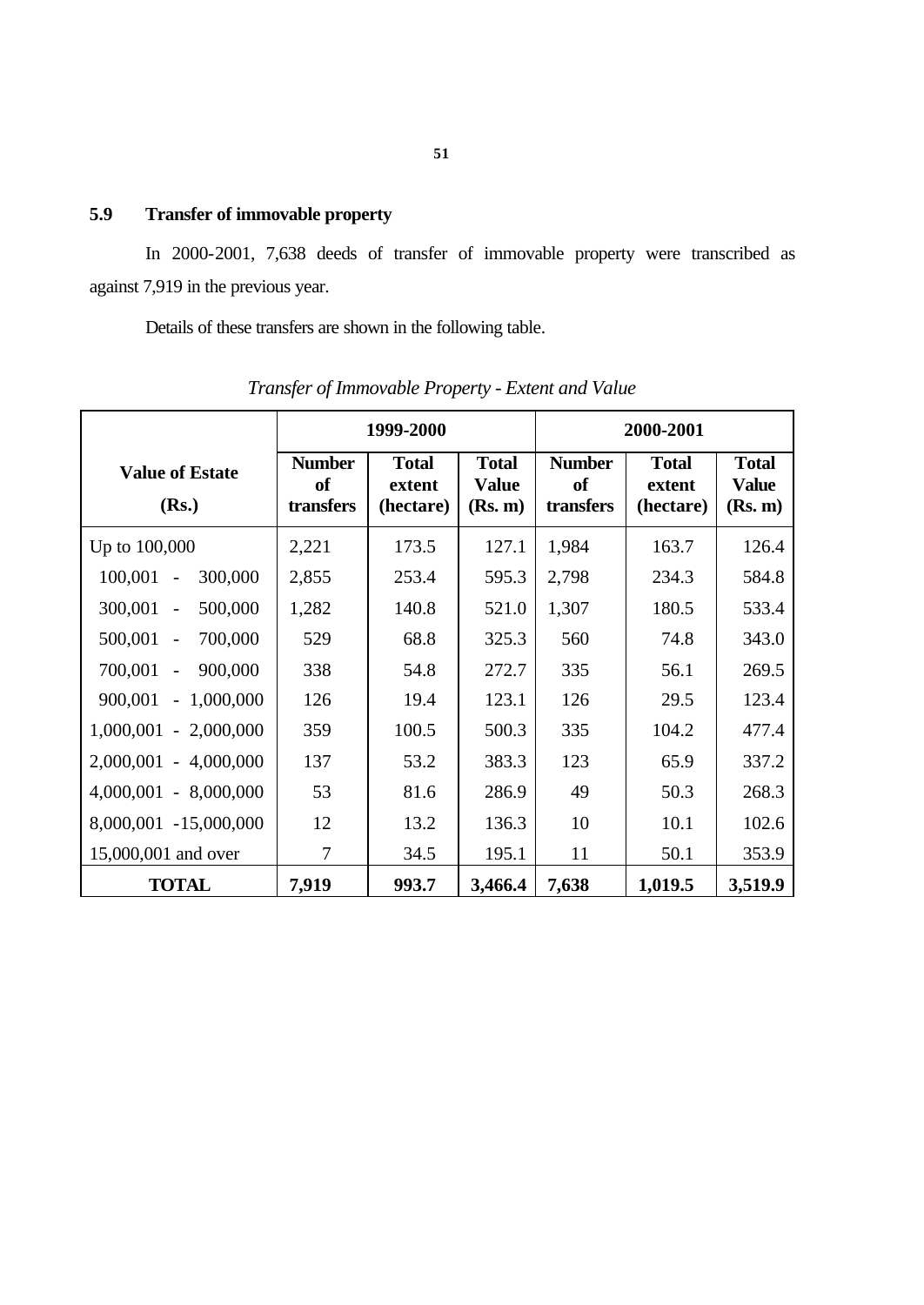# **5.9 Transfer of immovable property**

In 2000-2001, 7,638 deeds of transfer of immovable property were transcribed as against 7,919 in the previous year.

Details of these transfers are shown in the following table.

|                                      | 1999-2000                               |                                     |                                         | 2000-2001                               |                                     |                                         |
|--------------------------------------|-----------------------------------------|-------------------------------------|-----------------------------------------|-----------------------------------------|-------------------------------------|-----------------------------------------|
| <b>Value of Estate</b><br>(Rs.)      | <b>Number</b><br><b>of</b><br>transfers | <b>Total</b><br>extent<br>(hectare) | <b>Total</b><br><b>Value</b><br>(Rs. m) | <b>Number</b><br><b>of</b><br>transfers | <b>Total</b><br>extent<br>(hectare) | <b>Total</b><br><b>Value</b><br>(Rs. m) |
| Up to 100,000                        | 2,221                                   | 173.5                               | 127.1                                   | 1,984                                   | 163.7                               | 126.4                                   |
| 100,001<br>300,000<br>$\blacksquare$ | 2,855                                   | 253.4                               | 595.3                                   | 2,798                                   | 234.3                               | 584.8                                   |
| 300,001<br>500,000<br>$\blacksquare$ | 1,282                                   | 140.8                               | 521.0                                   | 1,307                                   | 180.5                               | 533.4                                   |
| 500,001 -<br>700,000                 | 529                                     | 68.8                                | 325.3                                   | 560                                     | 74.8                                | 343.0                                   |
| 700,001<br>900,000<br>$\blacksquare$ | 338                                     | 54.8                                | 272.7                                   | 335                                     | 56.1                                | 269.5                                   |
| 900,001<br>$-1,000,000$              | 126                                     | 19.4                                | 123.1                                   | 126                                     | 29.5                                | 123.4                                   |
| $1,000,001 - 2,000,000$              | 359                                     | 100.5                               | 500.3                                   | 335                                     | 104.2                               | 477.4                                   |
| 2,000,001 - 4,000,000                | 137                                     | 53.2                                | 383.3                                   | 123                                     | 65.9                                | 337.2                                   |
| $4,000,001 - 8,000,000$              | 53                                      | 81.6                                | 286.9                                   | 49                                      | 50.3                                | 268.3                                   |
| 8,000,001 -15,000,000                | 12                                      | 13.2                                | 136.3                                   | 10                                      | 10.1                                | 102.6                                   |
| 15,000,001 and over                  | $\overline{7}$                          | 34.5                                | 195.1                                   | 11                                      | 50.1                                | 353.9                                   |
| <b>TOTAL</b>                         | 7,919                                   | 993.7                               | 3,466.4                                 | 7,638                                   | 1,019.5                             | 3,519.9                                 |

*Transfer of Immovable Property - Extent and Value*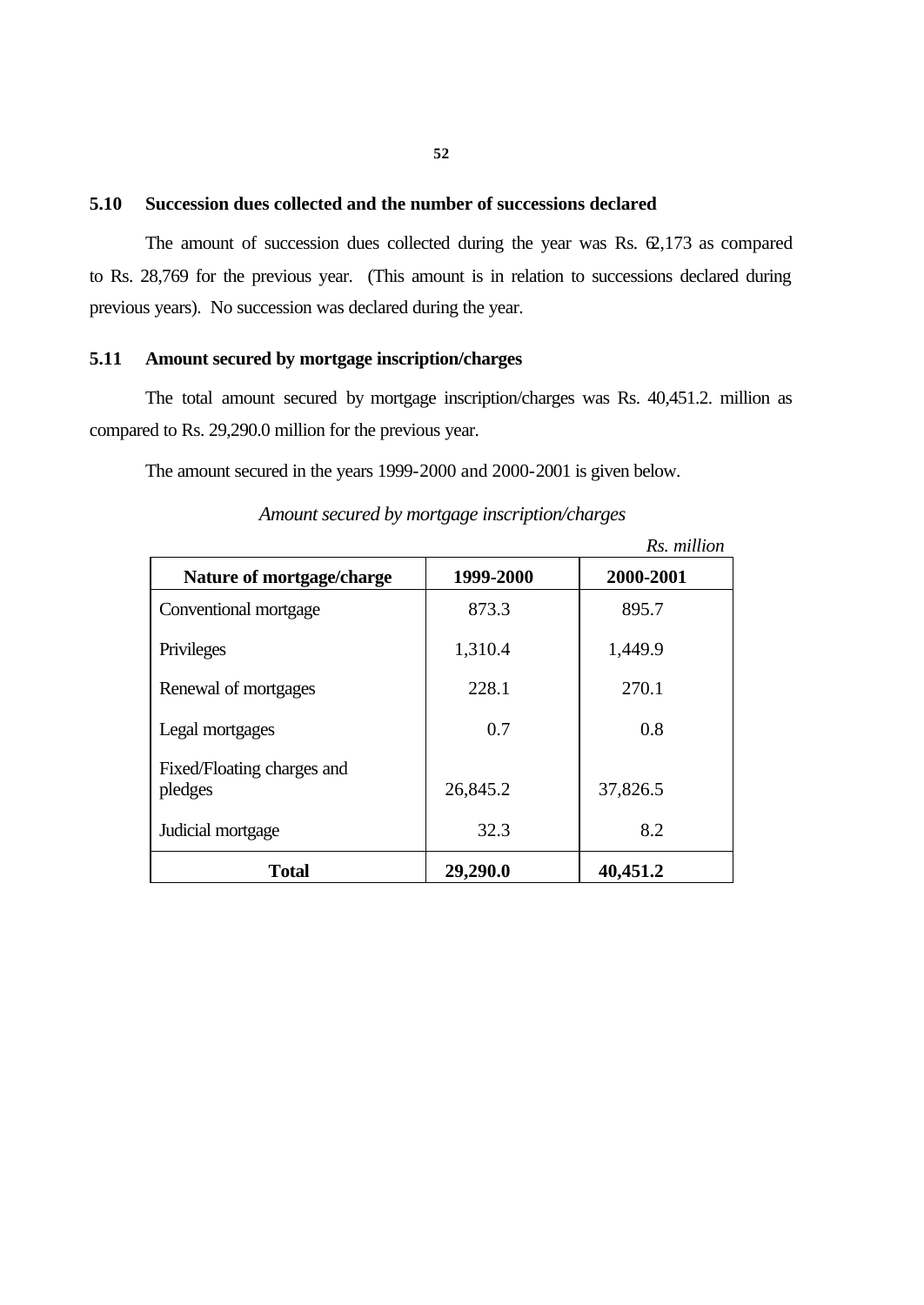#### **5.10 Succession dues collected and the number of successions declared**

The amount of succession dues collected during the year was Rs.  $62,173$  as compared to Rs. 28,769 for the previous year. (This amount is in relation to successions declared during previous years). No succession was declared during the year.

#### **5.11 Amount secured by mortgage inscription/charges**

The total amount secured by mortgage inscription/charges was Rs. 40,451.2. million as compared to Rs. 29,290.0 million for the previous year.

The amount secured in the years 1999-2000 and 2000-2001 is given below.

|                                       |           | Rs. million |
|---------------------------------------|-----------|-------------|
| Nature of mortgage/charge             | 1999-2000 | 2000-2001   |
| Conventional mortgage                 | 873.3     | 895.7       |
| Privileges                            | 1,310.4   | 1,449.9     |
| Renewal of mortgages                  | 228.1     | 270.1       |
| Legal mortgages                       | 0.7       | 0.8         |
| Fixed/Floating charges and<br>pledges | 26,845.2  | 37,826.5    |
| Judicial mortgage                     | 32.3      | 8.2         |
| <b>Total</b>                          | 29,290.0  | 40,451.2    |

*Amount secured by mortgage inscription/charges*